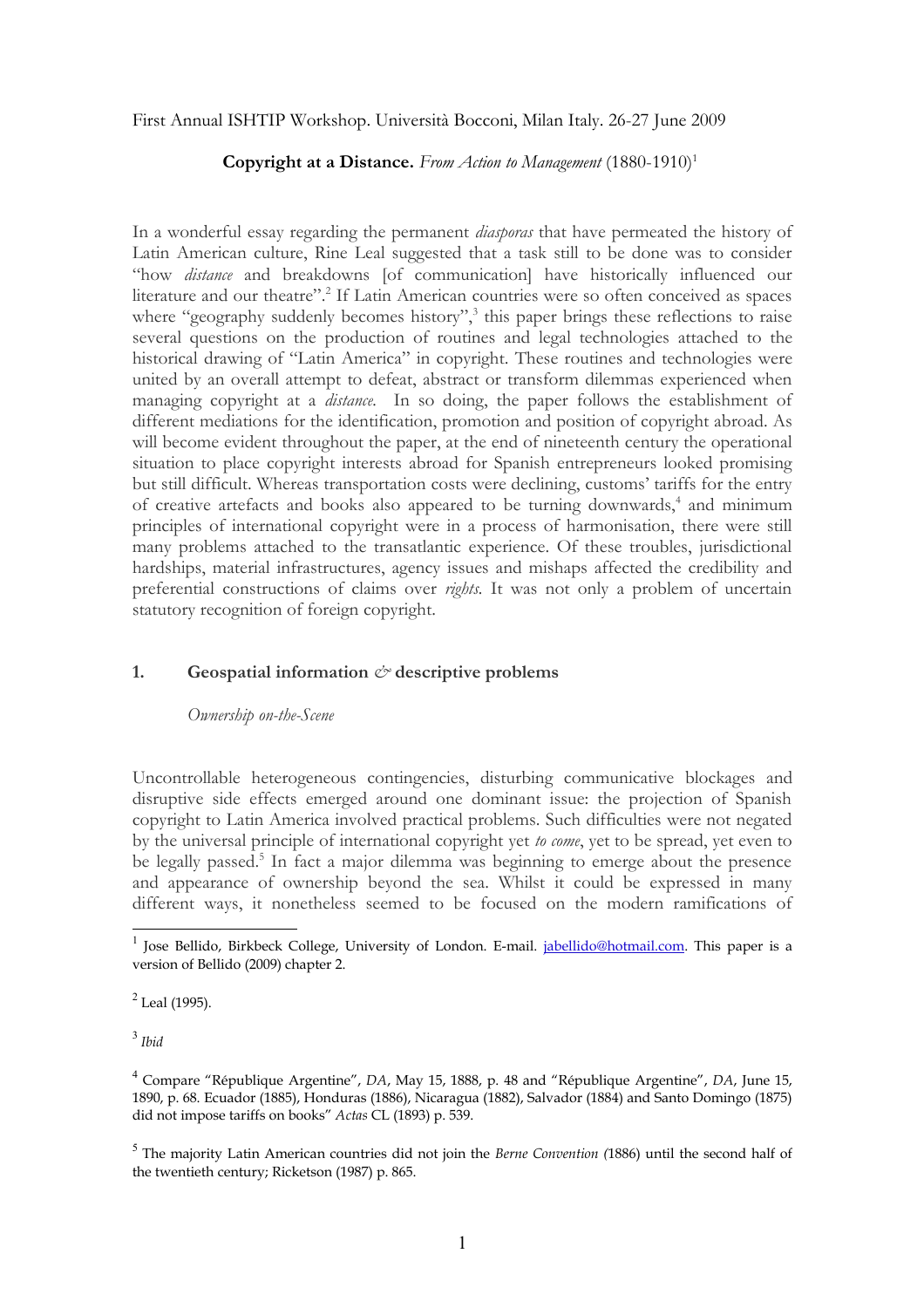First Annual ISHTIP Workshop. Università Bocconi, Milan Italy. 26-27 June 2009

## **Copyright at a Distance.** From Action to Management  $(1880-1910)^{1}$  $(1880-1910)^{1}$  $(1880-1910)^{1}$

In a wonderful essay regarding the permanent *diasporas* that have permeated the history of Latin American culture, Rine Leal suggested that a task still to be done was to consider "how *distance* and breakdowns [of communication] have historically influenced our literature and our theatre".<sup>[2](#page-0-1)</sup> If Latin American countries were so often conceived as spaces where "geography suddenly becomes history",<sup>[3](#page-0-2)</sup> this paper brings these reflections to raise several questions on the production of routines and legal technologies attached to the historical drawing of "Latin America" in copyright. These routines and technologies were united by an overall attempt to defeat, abstract or transform dilemmas experienced when managing copyright at a *distance.* In so doing, the paper follows the establishment of different mediations for the identification, promotion and position of copyright abroad. As will become evident throughout the paper, at the end of nineteenth century the operational situation to place copyright interests abroad for Spanish entrepreneurs looked promising but still difficult. Whereas transportation costs were declining, customs' tariffs for the entry of creative artefacts and books also appeared to be turning downwards,<sup>[4](#page-0-3)</sup> and minimum principles of international copyright were in a process of harmonisation, there were still many problems attached to the transatlantic experience. Of these troubles, jurisdictional hardships, material infrastructures, agency issues and mishaps affected the credibility and preferential constructions of claims over *rights.* It was not only a problem of uncertain statutory recognition of foreign copyright.

# **1. Geospatial information** *&* **descriptive problems**

## *Ownership on-the-Scene*

Uncontrollable heterogeneous contingencies, disturbing communicative blockages and disruptive side effects emerged around one dominant issue: the projection of Spanish copyright to Latin America involved practical problems. Such difficulties were not negated by the universal principle of international copyright yet *to come*, yet to be spread, yet even to be legally passed.<sup>[5](#page-0-4)</sup> In fact a major dilemma was beginning to emerge about the presence and appearance of ownership beyond the sea. Whilst it could be expressed in many different ways, it nonetheless seemed to be focused on the modern ramifications of

<span id="page-0-2"></span>3 *Ibid*

<span id="page-0-0"></span><sup>&</sup>lt;sup>1</sup> Jose Bellido, Birkbeck College, University of London. E-mail. [jabellido@hotmail.com.](mailto:jabellido@hotmail.com) This paper is a version of Bellido (2009) chapter 2.

<span id="page-0-1"></span> $2$  Leal (1995).

<span id="page-0-3"></span><sup>4</sup> Compare "République Argentine", *DA*, May 15, 1888, p. 48 and "République Argentine", *DA*, June 15, 1890, p. 68. Ecuador (1885), Honduras (1886), Nicaragua (1882), Salvador (1884) and Santo Domingo (1875) did not impose tariffs on books" *Actas* CL (1893) p. 539.

<span id="page-0-4"></span><sup>5</sup> The majority Latin American countries did not join the *Berne Convention (*1886) until the second half of the twentieth century; Ricketson (1987) p. 865.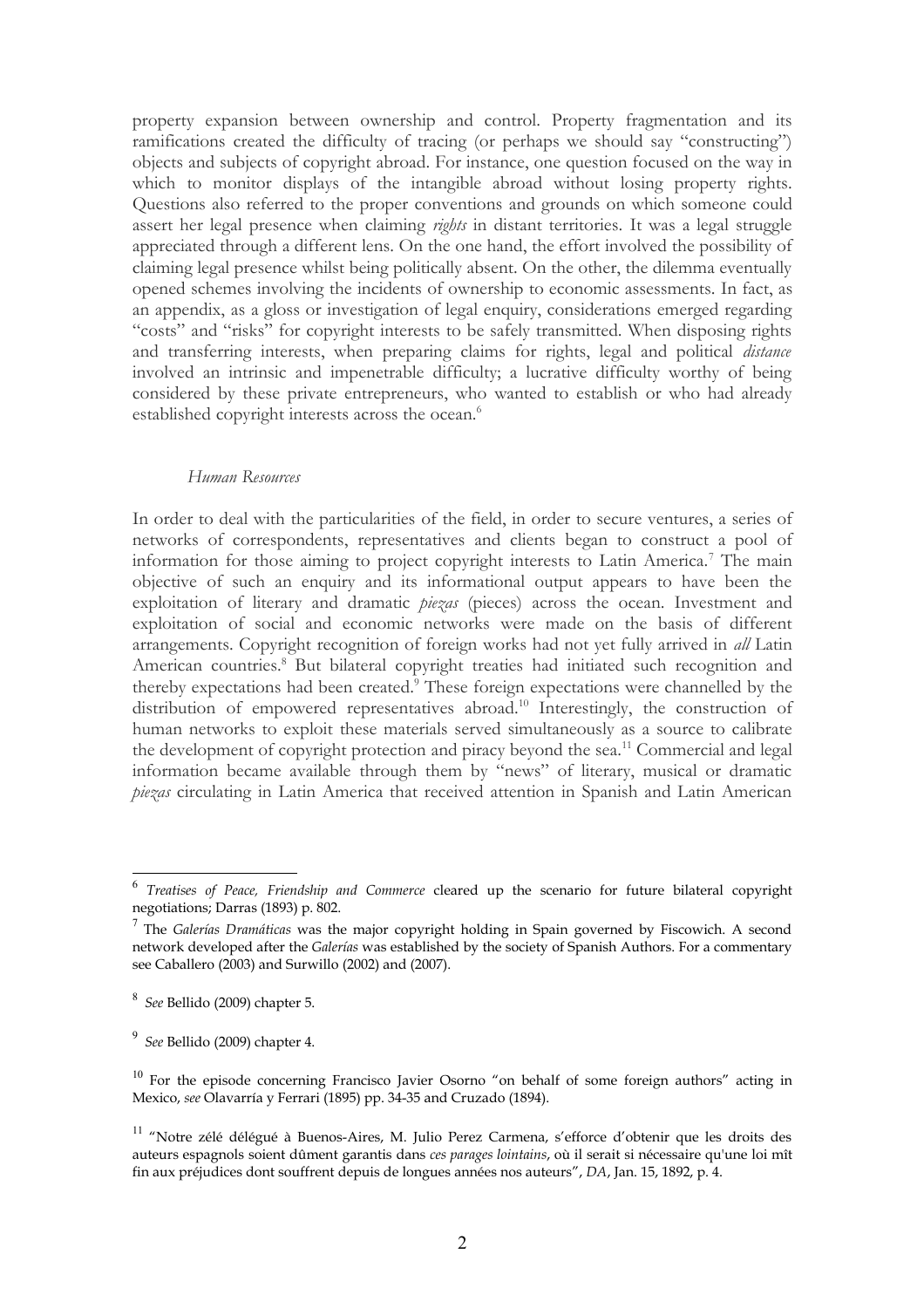property expansion between ownership and control. Property fragmentation and its ramifications created the difficulty of tracing (or perhaps we should say "constructing") objects and subjects of copyright abroad. For instance, one question focused on the way in which to monitor displays of the intangible abroad without losing property rights. Questions also referred to the proper conventions and grounds on which someone could assert her legal presence when claiming *rights* in distant territories. It was a legal struggle appreciated through a different lens. On the one hand, the effort involved the possibility of claiming legal presence whilst being politically absent. On the other, the dilemma eventually opened schemes involving the incidents of ownership to economic assessments. In fact, as an appendix, as a gloss or investigation of legal enquiry, considerations emerged regarding "costs" and "risks" for copyright interests to be safely transmitted. When disposing rights and transferring interests, when preparing claims for rights, legal and political *distance* involved an intrinsic and impenetrable difficulty; a lucrative difficulty worthy of being considered by these private entrepreneurs, who wanted to establish or who had already established copyright interests across the ocean.<sup>[6](#page-1-0)</sup>

#### *Human Resources*

In order to deal with the particularities of the field, in order to secure ventures, a series of networks of correspondents, representatives and clients began to construct a pool of information for those aiming to project copyright interests to Latin America.<sup>[7](#page-1-0)</sup> The main objective of such an enquiry and its informational output appears to have been the exploitation of literary and dramatic *piezas* (pieces) across the ocean. Investment and exploitation of social and economic networks were made on the basis of different arrangements. Copyright recognition of foreign works had not yet fully arrived in *all* Latin American countries.<sup>[8](#page-1-1)</sup> But bilateral copyright treaties had initiated such recognition and thereby expectations had been created.<sup>[9](#page-1-2)</sup> These foreign expectations were channelled by the distribution of empowered representatives abroad.<sup>[10](#page-1-3)</sup> Interestingly, the construction of human networks to exploit these materials served simultaneously as a source to calibrate the development of copyright protection and piracy beyond the sea.[11](#page-1-4) Commercial and legal information became available through them by "news" of literary, musical or dramatic *piezas* circulating in Latin America that received attention in Spanish and Latin American

<span id="page-1-0"></span><sup>6</sup> *Treatises of Peace, Friendship and Commerce* cleared up the scenario for future bilateral copyright negotiations; Darras (1893) p. 802.

<span id="page-1-1"></span><sup>7</sup> The *Galerías Dramáticas* was the major copyright holding in Spain governed by Fiscowich. A second network developed after the *Galerías* was established by the society of Spanish Authors. For a commentary see Caballero (2003) and Surwillo (2002) and (2007).

<span id="page-1-2"></span><sup>8</sup> *See* Bellido (2009) chapter 5.

<span id="page-1-3"></span><sup>9</sup> *See* Bellido (2009) chapter 4.

<span id="page-1-4"></span> $10$  For the episode concerning Francisco Javier Osorno "on behalf of some foreign authors" acting in Mexico, *see* Olavarría y Ferrari (1895) pp. 34-35 and Cruzado (1894).

<sup>&</sup>lt;sup>11</sup> "Notre zélé délégué à Buenos-Aires, M. Julio Perez Carmena, s'efforce d'obtenir que les droits des auteurs espagnols soient dûment garantis dans *ces parages lointains*, où il serait si nécessaire qu'une loi mît fin aux préjudices dont souffrent depuis de longues années nos auteurs", *DA*, Jan. 15, 1892, p. 4.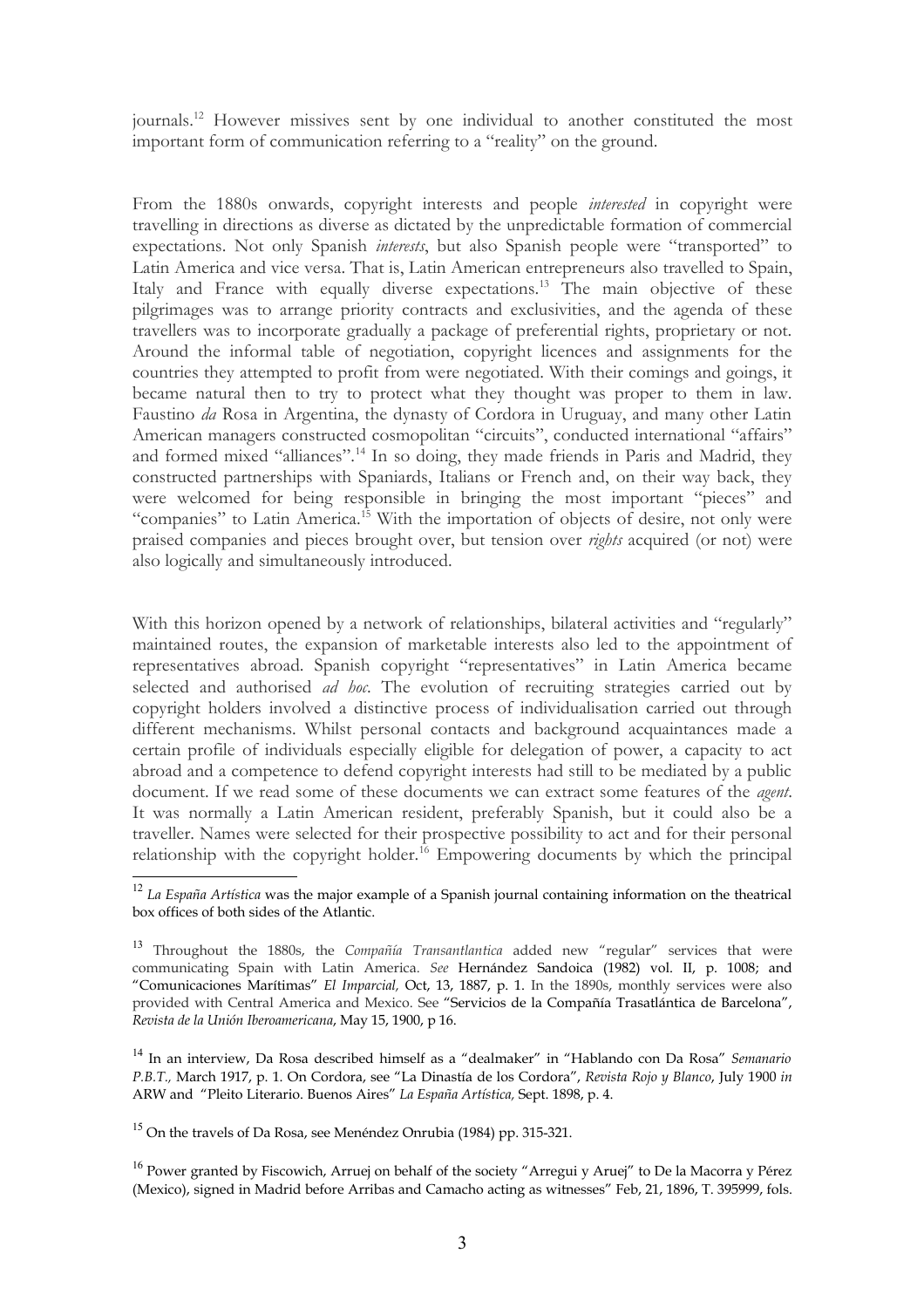journals.[12](#page-2-0) However missives sent by one individual to another constituted the most important form of communication referring to a "reality" on the ground.

From the 1880s onwards, copyright interests and people *interested* in copyright were travelling in directions as diverse as dictated by the unpredictable formation of commercial expectations. Not only Spanish *interests*, but also Spanish people were "transported" to Latin America and vice versa. That is, Latin American entrepreneurs also travelled to Spain, Italy and France with equally diverse expectations.<sup>[13](#page-2-1)</sup> The main objective of these pilgrimages was to arrange priority contracts and exclusivities, and the agenda of these travellers was to incorporate gradually a package of preferential rights, proprietary or not. Around the informal table of negotiation, copyright licences and assignments for the countries they attempted to profit from were negotiated. With their comings and goings, it became natural then to try to protect what they thought was proper to them in law. Faustino *da* Rosa in Argentina, the dynasty of Cordora in Uruguay, and many other Latin American managers constructed cosmopolitan "circuits", conducted international "affairs" and formed mixed "alliances".[14](#page-2-2) In so doing, they made friends in Paris and Madrid, they constructed partnerships with Spaniards, Italians or French and, on their way back, they were welcomed for being responsible in bringing the most important "pieces" and "companies" to Latin America.<sup>[15](#page-2-3)</sup> With the importation of objects of desire, not only were praised companies and pieces brought over, but tension over *rights* acquired (or not) were also logically and simultaneously introduced.

With this horizon opened by a network of relationships, bilateral activities and "regularly" maintained routes, the expansion of marketable interests also led to the appointment of representatives abroad. Spanish copyright "representatives" in Latin America became selected and authorised *ad hoc*. The evolution of recruiting strategies carried out by copyright holders involved a distinctive process of individualisation carried out through different mechanisms. Whilst personal contacts and background acquaintances made a certain profile of individuals especially eligible for delegation of power, a capacity to act abroad and a competence to defend copyright interests had still to be mediated by a public document. If we read some of these documents we can extract some features of the *agent*. It was normally a Latin American resident, preferably Spanish, but it could also be a traveller. Names were selected for their prospective possibility to act and for their personal relationship with the copyright holder.<sup>[16](#page-2-4)</sup> Empowering documents by which the principal

<span id="page-2-0"></span><sup>12</sup> *La España Artística* was the major example of a Spanish journal containing information on the theatrical box offices of both sides of the Atlantic.

<span id="page-2-1"></span><sup>13</sup> Throughout the 1880s, the *Compañía Transantlantica* added new "regular" services that were communicating Spain with Latin America. *See* Hernández Sandoica (1982) vol. II, p. 1008; and "Comunicaciones Marítimas" *El Imparcial,* Oct, 13, 1887, p. 1. In the 1890s, monthly services were also provided with Central America and Mexico. See "Servicios de la Compañía Trasatlántica de Barcelona", *Revista de la Unión Iberoamericana*, May 15, 1900, p 16.

<span id="page-2-2"></span><sup>14</sup> In an interview, Da Rosa described himself as a "dealmaker" in "Hablando con Da Rosa" *Semanario P.B.T.,* March 1917, p. 1. On Cordora, see "La Dinastía de los Cordora", *Revista Rojo y Blanco*, July 1900 *in* ARW and "Pleito Literario. Buenos Aires" *La España Artística,* Sept. 1898, p. 4.

<span id="page-2-3"></span><sup>&</sup>lt;sup>15</sup> On the travels of Da Rosa, see Menéndez Onrubia (1984) pp. 315-321.

<span id="page-2-4"></span> $16$  Power granted by Fiscowich, Arruej on behalf of the society "Arregui y Aruej" to De la Macorra y Pérez (Mexico), signed in Madrid before Arribas and Camacho acting as witnesses" Feb, 21, 1896, T. 395999, fols.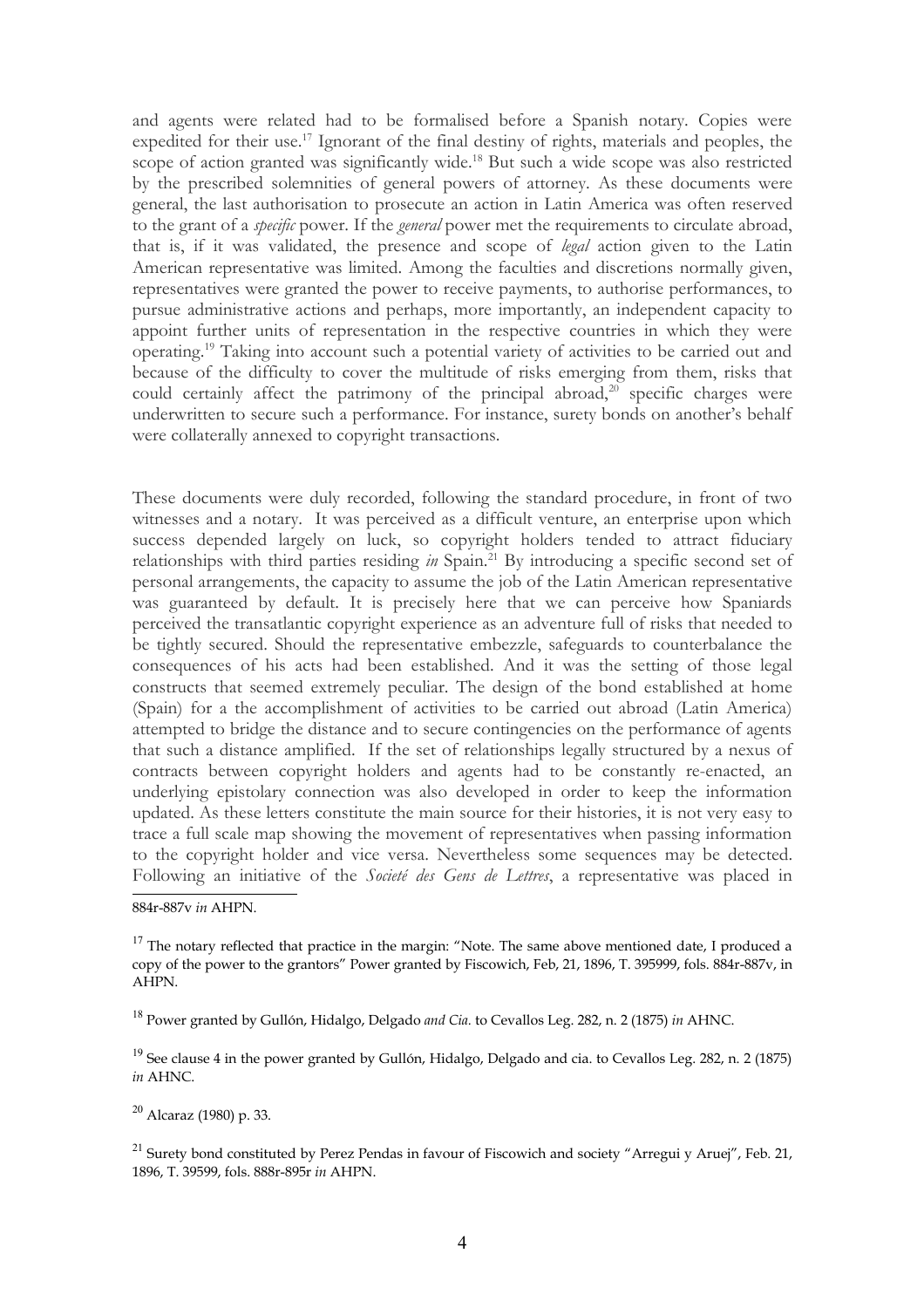and agents were related had to be formalised before a Spanish notary. Copies were expedited for their use.<sup>[17](#page-3-0)</sup> Ignorant of the final destiny of rights, materials and peoples, the scope of action granted was significantly wide.<sup>[18](#page-3-1)</sup> But such a wide scope was also restricted by the prescribed solemnities of general powers of attorney. As these documents were general, the last authorisation to prosecute an action in Latin America was often reserved to the grant of a *specific* power. If the *general* power met the requirements to circulate abroad, that is, if it was validated, the presence and scope of *legal* action given to the Latin American representative was limited. Among the faculties and discretions normally given, representatives were granted the power to receive payments, to authorise performances, to pursue administrative actions and perhaps, more importantly, an independent capacity to appoint further units of representation in the respective countries in which they were operating.[19](#page-3-2) Taking into account such a potential variety of activities to be carried out and because of the difficulty to cover the multitude of risks emerging from them, risks that could certainly affect the patrimony of the principal abroad, $20$  specific charges were underwritten to secure such a performance. For instance, surety bonds on another's behalf were collaterally annexed to copyright transactions.

These documents were duly recorded, following the standard procedure, in front of two witnesses and a notary. It was perceived as a difficult venture, an enterprise upon which success depended largely on luck, so copyright holders tended to attract fiduciary relationships with third parties residing *in* Spain.<sup>[21](#page-3-4)</sup> By introducing a specific second set of personal arrangements, the capacity to assume the job of the Latin American representative was guaranteed by default. It is precisely here that we can perceive how Spaniards perceived the transatlantic copyright experience as an adventure full of risks that needed to be tightly secured. Should the representative embezzle, safeguards to counterbalance the consequences of his acts had been established. And it was the setting of those legal constructs that seemed extremely peculiar. The design of the bond established at home (Spain) for a the accomplishment of activities to be carried out abroad (Latin America) attempted to bridge the distance and to secure contingencies on the performance of agents that such a distance amplified. If the set of relationships legally structured by a nexus of contracts between copyright holders and agents had to be constantly re-enacted, an underlying epistolary connection was also developed in order to keep the information updated. As these letters constitute the main source for their histories, it is not very easy to trace a full scale map showing the movement of representatives when passing information to the copyright holder and vice versa. Nevertheless some sequences may be detected. Following an initiative of the *Societé des Gens de Lettres*, a representative was placed in

884r-887v *in* AHPN.

<span id="page-3-1"></span><sup>18</sup> Power granted by Gullón, Hidalgo, Delgado *and Cia.* to Cevallos Leg. 282, n. 2 (1875) *in* AHNC.

<span id="page-3-2"></span> $19$  See clause 4 in the power granted by Gullón, Hidalgo, Delgado and cia. to Cevallos Leg. 282, n. 2 (1875) *in* AHNC.

<span id="page-3-3"></span> $20$  Alcaraz (1980) p. 33.

<span id="page-3-4"></span><sup>21</sup> Surety bond constituted by Perez Pendas in favour of Fiscowich and society "Arregui y Aruej", Feb. 21, 1896, T. 39599, fols. 888r-895r *in* AHPN.

<span id="page-3-0"></span> $17$  The notary reflected that practice in the margin: "Note. The same above mentioned date, I produced a copy of the power to the grantors" Power granted by Fiscowich, Feb, 21, 1896, T. 395999, fols. 884r-887v, in AHPN.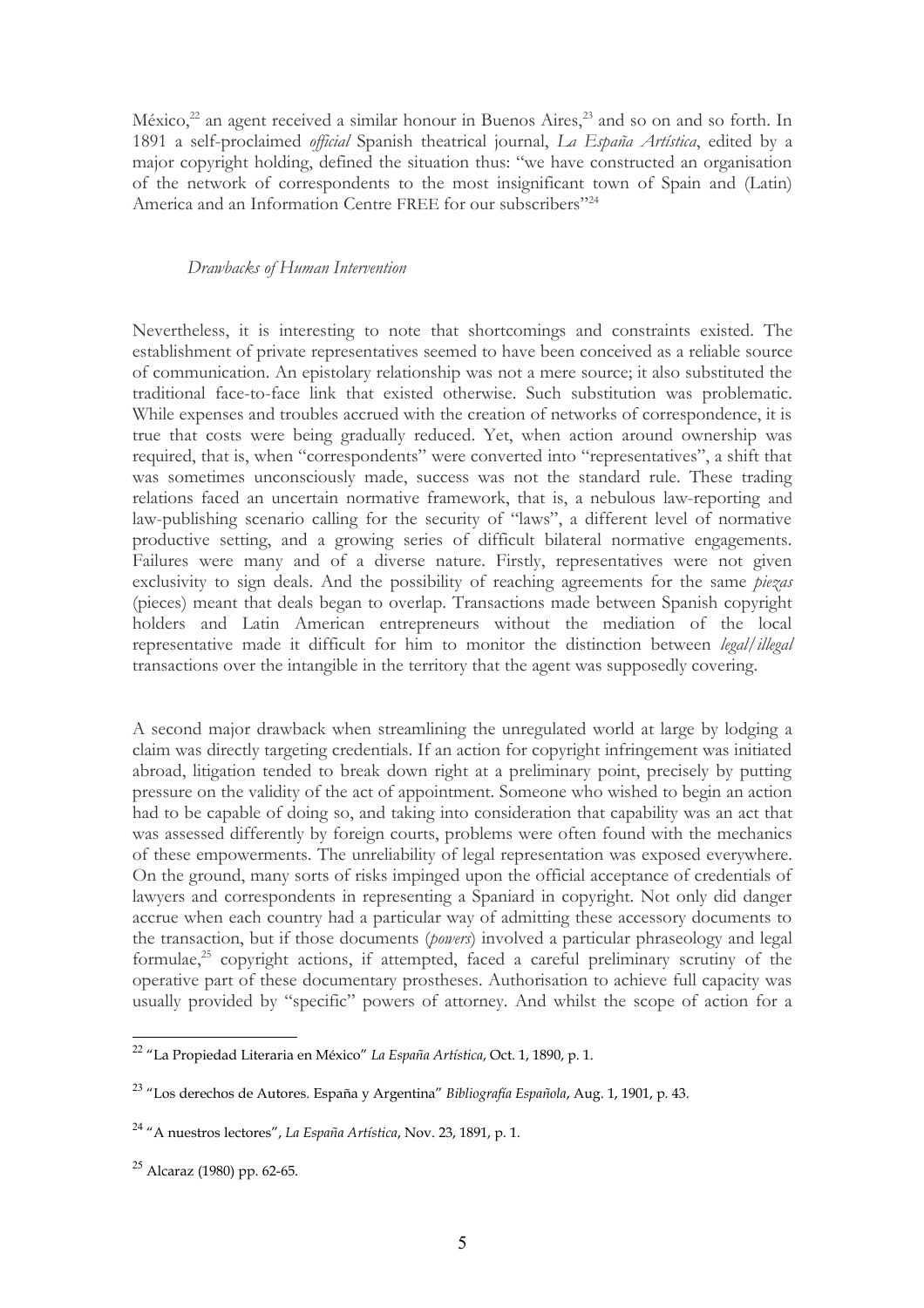México, $^{22}$  $^{22}$  $^{22}$  an agent received a similar honour in Buenos Aires, $^{23}$  $^{23}$  $^{23}$  and so on and so forth. In 1891 a self-proclaimed *official* Spanish theatrical journal, *La España Artística*, edited by a major copyright holding, defined the situation thus: "we have constructed an organisation of the network of correspondents to the most insignificant town of Spain and (Latin) America and an Information Centre FREE for our subscribers"<sup>[24](#page-4-2)</sup>

## *Drawbacks of Human Intervention*

Nevertheless, it is interesting to note that shortcomings and constraints existed. The establishment of private representatives seemed to have been conceived as a reliable source of communication. An epistolary relationship was not a mere source; it also substituted the traditional face-to-face link that existed otherwise. Such substitution was problematic. While expenses and troubles accrued with the creation of networks of correspondence, it is true that costs were being gradually reduced. Yet, when action around ownership was required, that is, when "correspondents" were converted into "representatives", a shift that was sometimes unconsciously made, success was not the standard rule. These trading relations faced an uncertain normative framework, that is, a nebulous law-reporting and law-publishing scenario calling for the security of "laws", a different level of normative productive setting, and a growing series of difficult bilateral normative engagements. Failures were many and of a diverse nature. Firstly, representatives were not given exclusivity to sign deals. And the possibility of reaching agreements for the same *piezas* (pieces) meant that deals began to overlap. Transactions made between Spanish copyright holders and Latin American entrepreneurs without the mediation of the local representative made it difficult for him to monitor the distinction between *legal/illegal* transactions over the intangible in the territory that the agent was supposedly covering.

A second major drawback when streamlining the unregulated world at large by lodging a claim was directly targeting credentials. If an action for copyright infringement was initiated abroad, litigation tended to break down right at a preliminary point, precisely by putting pressure on the validity of the act of appointment. Someone who wished to begin an action had to be capable of doing so, and taking into consideration that capability was an act that was assessed differently by foreign courts, problems were often found with the mechanics of these empowerments. The unreliability of legal representation was exposed everywhere. On the ground, many sorts of risks impinged upon the official acceptance of credentials of lawyers and correspondents in representing a Spaniard in copyright. Not only did danger accrue when each country had a particular way of admitting these accessory documents to the transaction, but if those documents (*powers*) involved a particular phraseology and legal formulae,<sup>[25](#page-4-3)</sup> copyright actions, if attempted, faced a careful preliminary scrutiny of the operative part of these documentary prostheses. Authorisation to achieve full capacity was usually provided by "specific" powers of attorney. And whilst the scope of action for a

<span id="page-4-0"></span><sup>22</sup> "La Propiedad Literaria en México" *La España Artística*, Oct. 1, 1890, p. 1.

<span id="page-4-1"></span><sup>23</sup> "Los derechos de Autores. España y Argentina" *Bibliografía Española*, Aug. 1, 1901, p. 43.

<span id="page-4-2"></span><sup>24</sup> "A nuestros lectores", *La España Artística*, Nov. 23, 1891, p. 1.

<span id="page-4-3"></span> $25$  Alcaraz (1980) pp. 62-65.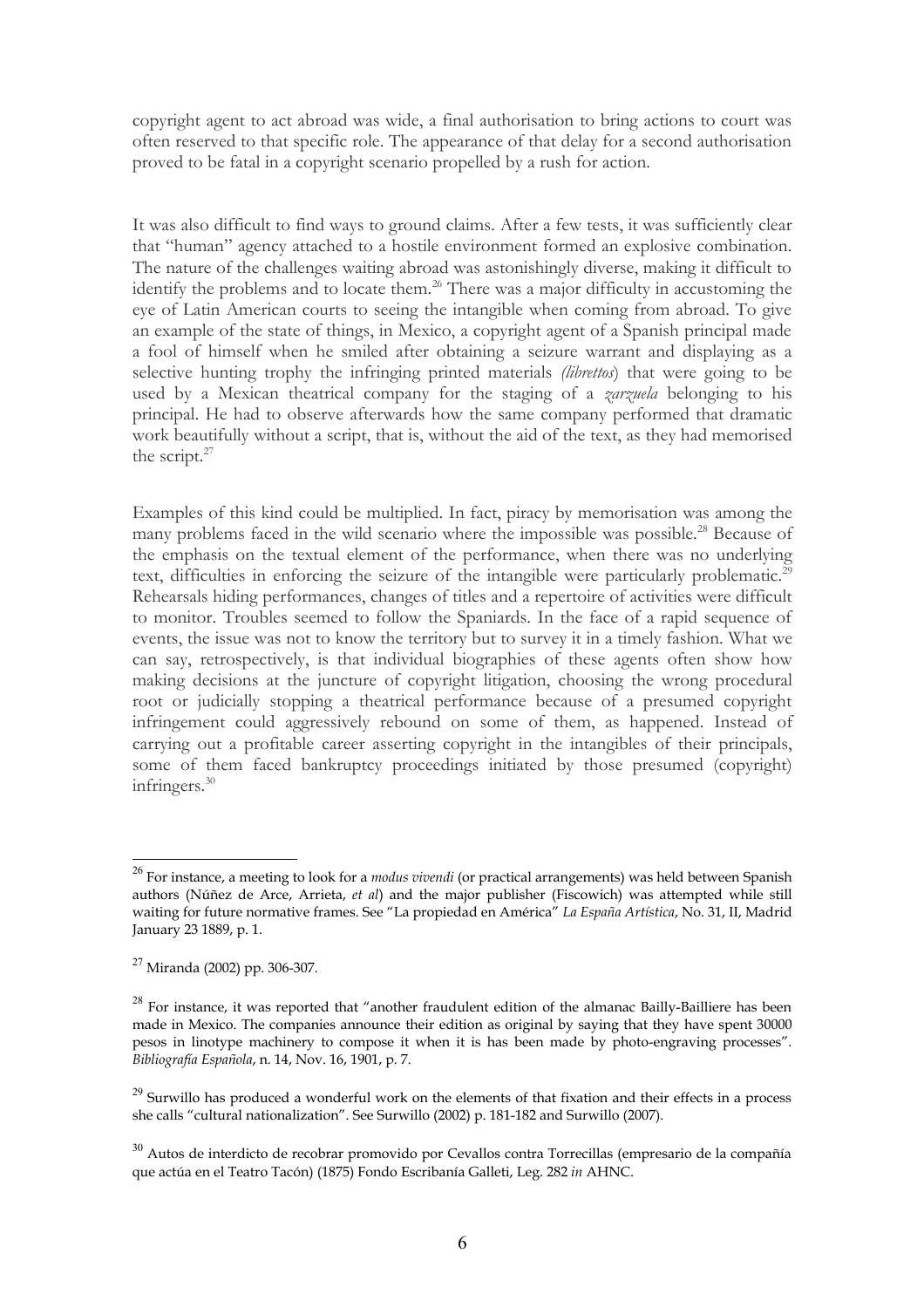copyright agent to act abroad was wide, a final authorisation to bring actions to court was often reserved to that specific role. The appearance of that delay for a second authorisation proved to be fatal in a copyright scenario propelled by a rush for action.

It was also difficult to find ways to ground claims. After a few tests, it was sufficiently clear that "human" agency attached to a hostile environment formed an explosive combination. The nature of the challenges waiting abroad was astonishingly diverse, making it difficult to identify the problems and to locate them.<sup>[26](#page-5-0)</sup> There was a major difficulty in accustoming the eye of Latin American courts to seeing the intangible when coming from abroad. To give an example of the state of things, in Mexico, a copyright agent of a Spanish principal made a fool of himself when he smiled after obtaining a seizure warrant and displaying as a selective hunting trophy the infringing printed materials *(librettos*) that were going to be used by a Mexican theatrical company for the staging of a *zarzuela* belonging to his principal. He had to observe afterwards how the same company performed that dramatic work beautifully without a script, that is, without the aid of the text, as they had memorised the script.<sup>[27](#page-5-1)</sup>

Examples of this kind could be multiplied. In fact, piracy by memorisation was among the many problems faced in the wild scenario where the impossible was possible.<sup>[28](#page-5-2)</sup> Because of the emphasis on the textual element of the performance, when there was no underlying text, difficulties in enforcing the seizure of the intangible were particularly problematic.<sup>[29](#page-5-3)</sup> Rehearsals hiding performances, changes of titles and a repertoire of activities were difficult to monitor. Troubles seemed to follow the Spaniards. In the face of a rapid sequence of events, the issue was not to know the territory but to survey it in a timely fashion. What we can say, retrospectively, is that individual biographies of these agents often show how making decisions at the juncture of copyright litigation, choosing the wrong procedural root or judicially stopping a theatrical performance because of a presumed copyright infringement could aggressively rebound on some of them, as happened. Instead of carrying out a profitable career asserting copyright in the intangibles of their principals, some of them faced bankruptcy proceedings initiated by those presumed (copyright) infringers.[30](#page-5-4)

<span id="page-5-0"></span><sup>26</sup> For instance, a meeting to look for a *modus vivendi* (or practical arrangements) was held between Spanish authors (Núñez de Arce, Arrieta, *et al*) and the major publisher (Fiscowich) was attempted while still waiting for future normative frames. See "La propiedad en América" *La España Artística*, No. 31, II, Madrid January 23 1889, p. 1.

<span id="page-5-1"></span><sup>27</sup> Miranda (2002) pp. 306-307.

<span id="page-5-2"></span> $28$  For instance, it was reported that "another fraudulent edition of the almanac Bailly-Bailliere has been made in Mexico. The companies announce their edition as original by saying that they have spent 30000 pesos in linotype machinery to compose it when it is has been made by photo-engraving processes". *Bibliografía Española*, n. 14, Nov. 16, 1901, p. 7.

<span id="page-5-3"></span> $^{29}$  Surwillo has produced a wonderful work on the elements of that fixation and their effects in a process she calls "cultural nationalization". See Surwillo (2002) p. 181-182 and Surwillo (2007).

<span id="page-5-4"></span> $30$  Autos de interdicto de recobrar promovido por Cevallos contra Torrecillas (empresario de la compañía que actúa en el Teatro Tacón) (1875) Fondo Escribanía Galleti, Leg. 282 *in* AHNC.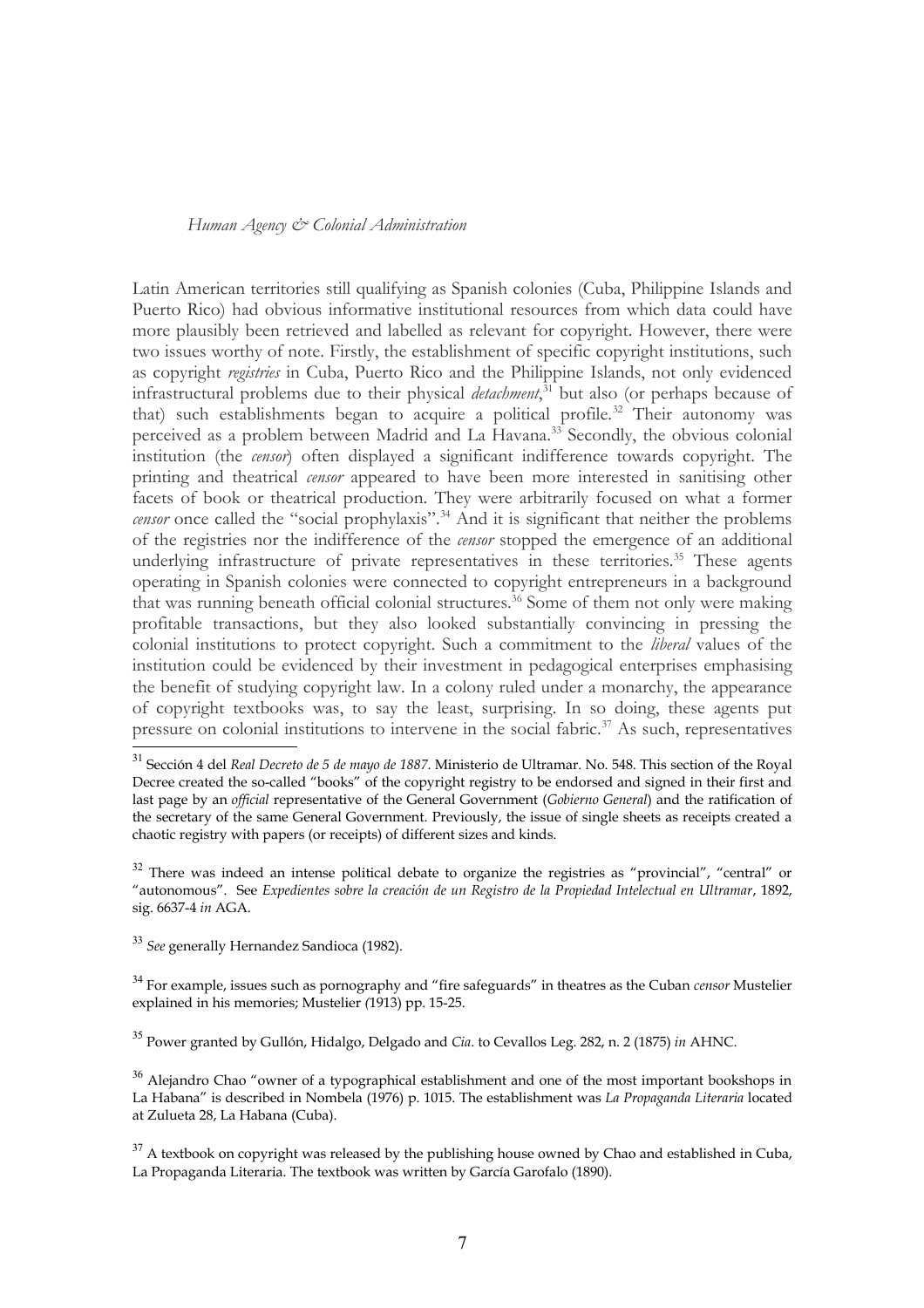### *Human Agency & Colonial Administration*

Latin American territories still qualifying as Spanish colonies (Cuba, Philippine Islands and Puerto Rico) had obvious informative institutional resources from which data could have more plausibly been retrieved and labelled as relevant for copyright. However, there were two issues worthy of note. Firstly, the establishment of specific copyright institutions, such as copyright *registries* in Cuba, Puerto Rico and the Philippine Islands, not only evidenced infrastructural problems due to their physical *detachment*, [31](#page-6-0) but also (or perhaps because of that) such establishments began to acquire a political profile.<sup>[32](#page-6-1)</sup> Their autonomy was perceived as a problem between Madrid and La Havana.<sup>[33](#page-6-2)</sup> Secondly, the obvious colonial institution (the *censor*) often displayed a significant indifference towards copyright. The printing and theatrical *censor* appeared to have been more interested in sanitising other facets of book or theatrical production. They were arbitrarily focused on what a former *censor* once called the "social prophylaxis".<sup>[34](#page-6-3)</sup> And it is significant that neither the problems of the registries nor the indifference of the *censor* stopped the emergence of an additional underlying infrastructure of private representatives in these territories.<sup>[35](#page-6-4)</sup> These agents operating in Spanish colonies were connected to copyright entrepreneurs in a background that was running beneath official colonial structures.<sup>[36](#page-6-5)</sup> Some of them not only were making profitable transactions, but they also looked substantially convincing in pressing the colonial institutions to protect copyright. Such a commitment to the *liberal* values of the institution could be evidenced by their investment in pedagogical enterprises emphasising the benefit of studying copyright law. In a colony ruled under a monarchy, the appearance of copyright textbooks was, to say the least, surprising. In so doing, these agents put pressure on colonial institutions to intervene in the social fabric.<sup>[37](#page-6-6)</sup> As such, representatives

<span id="page-6-4"></span><sup>35</sup> Power granted by Gullón, Hidalgo, Delgado and *Cia*. to Cevallos Leg. 282, n. 2 (1875) *in* AHNC.

<span id="page-6-0"></span><sup>31</sup> Sección 4 del *Real Decreto de 5 de mayo de 1887*. Ministerio de Ultramar. No. 548. This section of the Royal Decree created the so-called "books" of the copyright registry to be endorsed and signed in their first and last page by an *official* representative of the General Government (*Gobierno General*) and the ratification of the secretary of the same General Government. Previously, the issue of single sheets as receipts created a chaotic registry with papers (or receipts) of different sizes and kinds.

<span id="page-6-1"></span> $32$  There was indeed an intense political debate to organize the registries as "provincial", "central" or "autonomous". See *Expedientes sobre la creación de un Registro de la Propiedad Intelectual en Ultramar*, 1892, sig. 6637-4 *in* AGA.

<span id="page-6-2"></span><sup>33</sup> *See* generally Hernandez Sandioca (1982).

<span id="page-6-3"></span><sup>34</sup> For example, issues such as pornography and "fire safeguards" in theatres as the Cuban *censor* Mustelier explained in his memories; Mustelier *(*1913) pp. 15-25.

<span id="page-6-5"></span> $36$  Alejandro Chao "owner of a typographical establishment and one of the most important bookshops in La Habana" is described in Nombela (1976) p. 1015. The establishment was *La Propaganda Literaria* located at Zulueta 28, La Habana (Cuba).

<span id="page-6-6"></span> $37$  A textbook on copyright was released by the publishing house owned by Chao and established in Cuba, La Propaganda Literaria. The textbook was written by García Garofalo (1890).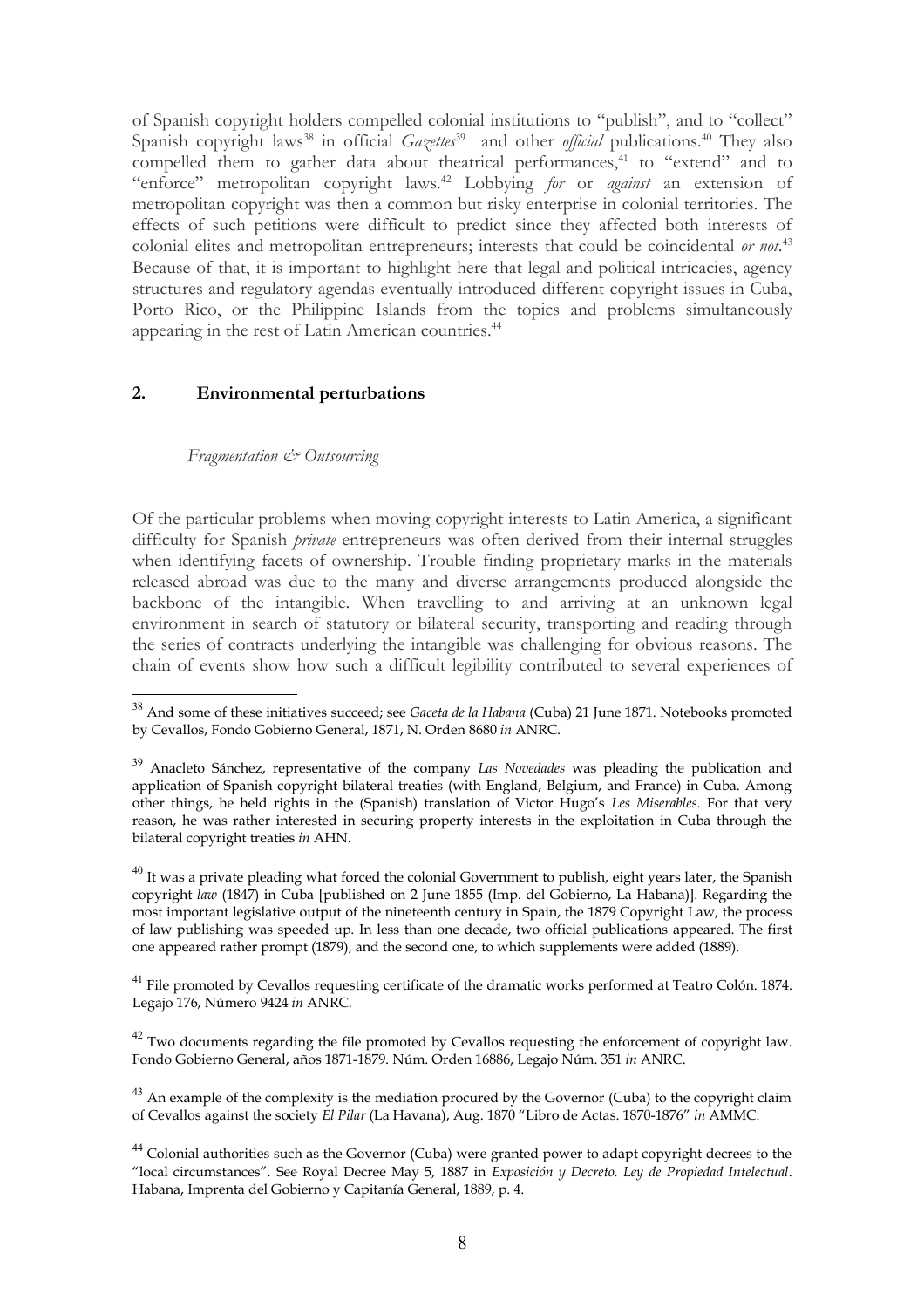of Spanish copyright holders compelled colonial institutions to "publish", and to "collect" Spanish copyright laws<sup>[38](#page-7-0)</sup> in official *Gazettes*<sup>[39](#page-7-1)</sup> and other *official* publications.<sup>[40](#page-7-2)</sup> They also compelled them to gather data about theatrical performances, $41$  to "extend" and to "enforce" metropolitan copyright laws.[42](#page-7-4) Lobbying *for* or *against* an extension of metropolitan copyright was then a common but risky enterprise in colonial territories. The effects of such petitions were difficult to predict since they affected both interests of colonial elites and metropolitan entrepreneurs; interests that could be coincidental *or not*. [43](#page-7-5) Because of that, it is important to highlight here that legal and political intricacies, agency structures and regulatory agendas eventually introduced different copyright issues in Cuba, Porto Rico, or the Philippine Islands from the topics and problems simultaneously appearing in the rest of Latin American countries.<sup>[44](#page-7-6)</sup>

# **2. Environmental perturbations**

## *Fragmentation & Outsourcing*

Of the particular problems when moving copyright interests to Latin America, a significant difficulty for Spanish *private* entrepreneurs was often derived from their internal struggles when identifying facets of ownership. Trouble finding proprietary marks in the materials released abroad was due to the many and diverse arrangements produced alongside the backbone of the intangible. When travelling to and arriving at an unknown legal environment in search of statutory or bilateral security, transporting and reading through the series of contracts underlying the intangible was challenging for obvious reasons. The chain of events show how such a difficult legibility contributed to several experiences of

<span id="page-7-3"></span><sup>41</sup> File promoted by Cevallos requesting certificate of the dramatic works performed at Teatro Colón. 1874. Legajo 176, Número 9424 *in* ANRC.

<span id="page-7-4"></span> $42$  Two documents regarding the file promoted by Cevallos requesting the enforcement of copyright law. Fondo Gobierno General, años 1871-1879. Núm. Orden 16886, Legajo Núm. 351 *in* ANRC.

<span id="page-7-5"></span> $43$  An example of the complexity is the mediation procured by the Governor (Cuba) to the copyright claim of Cevallos against the society *El Pilar* (La Havana), Aug. 1870 "Libro de Actas. 1870-1876" *in* AMMC.

<span id="page-7-0"></span><sup>38</sup> And some of these initiatives succeed; see *Gaceta de la Habana* (Cuba) 21 June 1871. Notebooks promoted by Cevallos, Fondo Gobierno General, 1871, N. Orden 8680 *in* ANRC.

<span id="page-7-1"></span><sup>39</sup> Anacleto Sánchez, representative of the company *Las Novedades* was pleading the publication and application of Spanish copyright bilateral treaties (with England, Belgium, and France) in Cuba. Among other things, he held rights in the (Spanish) translation of Victor Hugo's *Les Miserables.* For that very reason, he was rather interested in securing property interests in the exploitation in Cuba through the bilateral copyright treaties *in* AHN.

<span id="page-7-2"></span> $40$  It was a private pleading what forced the colonial Government to publish, eight years later, the Spanish copyright *law* (1847) in Cuba [published on 2 June 1855 (Imp. del Gobierno, La Habana)]. Regarding the most important legislative output of the nineteenth century in Spain, the 1879 Copyright Law, the process of law publishing was speeded up. In less than one decade, two official publications appeared. The first one appeared rather prompt (1879), and the second one, to which supplements were added (1889).

<span id="page-7-6"></span><sup>&</sup>lt;sup>44</sup> Colonial authorities such as the Governor (Cuba) were granted power to adapt copyright decrees to the "local circumstances". See Royal Decree May 5, 1887 in *Exposición y Decreto. Ley de Propiedad Intelectual*. Habana, Imprenta del Gobierno y Capitanía General, 1889, p. 4.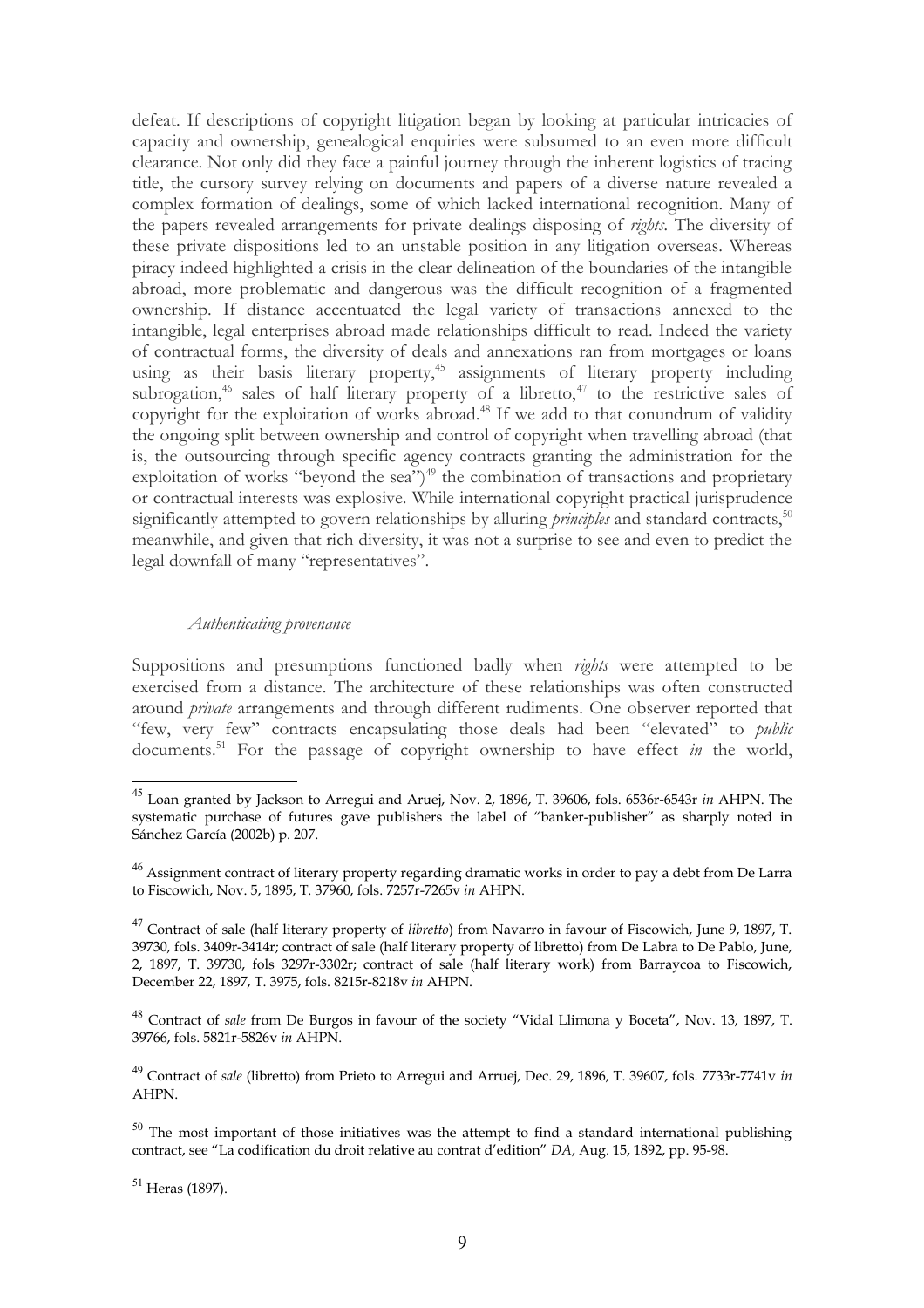defeat. If descriptions of copyright litigation began by looking at particular intricacies of capacity and ownership, genealogical enquiries were subsumed to an even more difficult clearance. Not only did they face a painful journey through the inherent logistics of tracing title, the cursory survey relying on documents and papers of a diverse nature revealed a complex formation of dealings, some of which lacked international recognition. Many of the papers revealed arrangements for private dealings disposing of *rights.* The diversity of these private dispositions led to an unstable position in any litigation overseas. Whereas piracy indeed highlighted a crisis in the clear delineation of the boundaries of the intangible abroad, more problematic and dangerous was the difficult recognition of a fragmented ownership. If distance accentuated the legal variety of transactions annexed to the intangible, legal enterprises abroad made relationships difficult to read. Indeed the variety of contractual forms, the diversity of deals and annexations ran from mortgages or loans using as their basis literary property,<sup>[45](#page-8-0)</sup> assignments of literary property including subrogation,<sup>[46](#page-8-1)</sup> sales of half literary property of a libretto,<sup>[47](#page-8-2)</sup> to the restrictive sales of copyright for the exploitation of works abroad.<sup>[48](#page-8-3)</sup> If we add to that conundrum of validity the ongoing split between ownership and control of copyright when travelling abroad (that is, the outsourcing through specific agency contracts granting the administration for the exploitation of works "beyond the sea")<sup>[49](#page-8-4)</sup> the combination of transactions and proprietary or contractual interests was explosive. While international copyright practical jurisprudence significantly attempted to govern relationships by alluring *principles* and standard contracts,<sup>[50](#page-8-5)</sup> meanwhile, and given that rich diversity, it was not a surprise to see and even to predict the legal downfall of many "representatives".

### *Authenticating provenance*

Suppositions and presumptions functioned badly when *rights* were attempted to be exercised from a distance. The architecture of these relationships was often constructed around *private* arrangements and through different rudiments. One observer reported that "few, very few" contracts encapsulating those deals had been "elevated" to *public* documents.<sup>[51](#page-8-6)</sup> For the passage of copyright ownership to have effect *in* the world,

<span id="page-8-0"></span><sup>45</sup> Loan granted by Jackson to Arregui and Aruej, Nov. 2, 1896, T. 39606, fols. 6536r-6543r *in* AHPN. The systematic purchase of futures gave publishers the label of "banker-publisher" as sharply noted in Sánchez García (2002b) p. 207.

<span id="page-8-1"></span> $^{46}$  Assignment contract of literary property regarding dramatic works in order to pay a debt from De Larra to Fiscowich, Nov. 5, 1895, T. 37960, fols. 7257r-7265v *in* AHPN.

<span id="page-8-2"></span><sup>47</sup> Contract of sale (half literary property of *libretto*) from Navarro in favour of Fiscowich, June 9, 1897, T. 39730, fols. 3409r-3414r; contract of sale (half literary property of libretto) from De Labra to De Pablo, June, 2, 1897, T. 39730, fols 3297r-3302r; contract of sale (half literary work) from Barraycoa to Fiscowich, December 22, 1897, T. 3975, fols. 8215r-8218v *in* AHPN.

<span id="page-8-3"></span><sup>48</sup> Contract of *sale* from De Burgos in favour of the society "Vidal Llimona y Boceta", Nov. 13, 1897, T. 39766, fols. 5821r-5826v *in* AHPN.

<span id="page-8-4"></span><sup>49</sup> Contract of *sale* (libretto) from Prieto to Arregui and Arruej, Dec. 29, 1896, T. 39607, fols. 7733r-7741v *in* AHPN.

<span id="page-8-5"></span> $50$  The most important of those initiatives was the attempt to find a standard international publishing contract, see "La codification du droit relative au contrat d'edition" *DA*, Aug. 15, 1892, pp. 95-98.

<span id="page-8-6"></span><sup>51</sup> Heras (1897).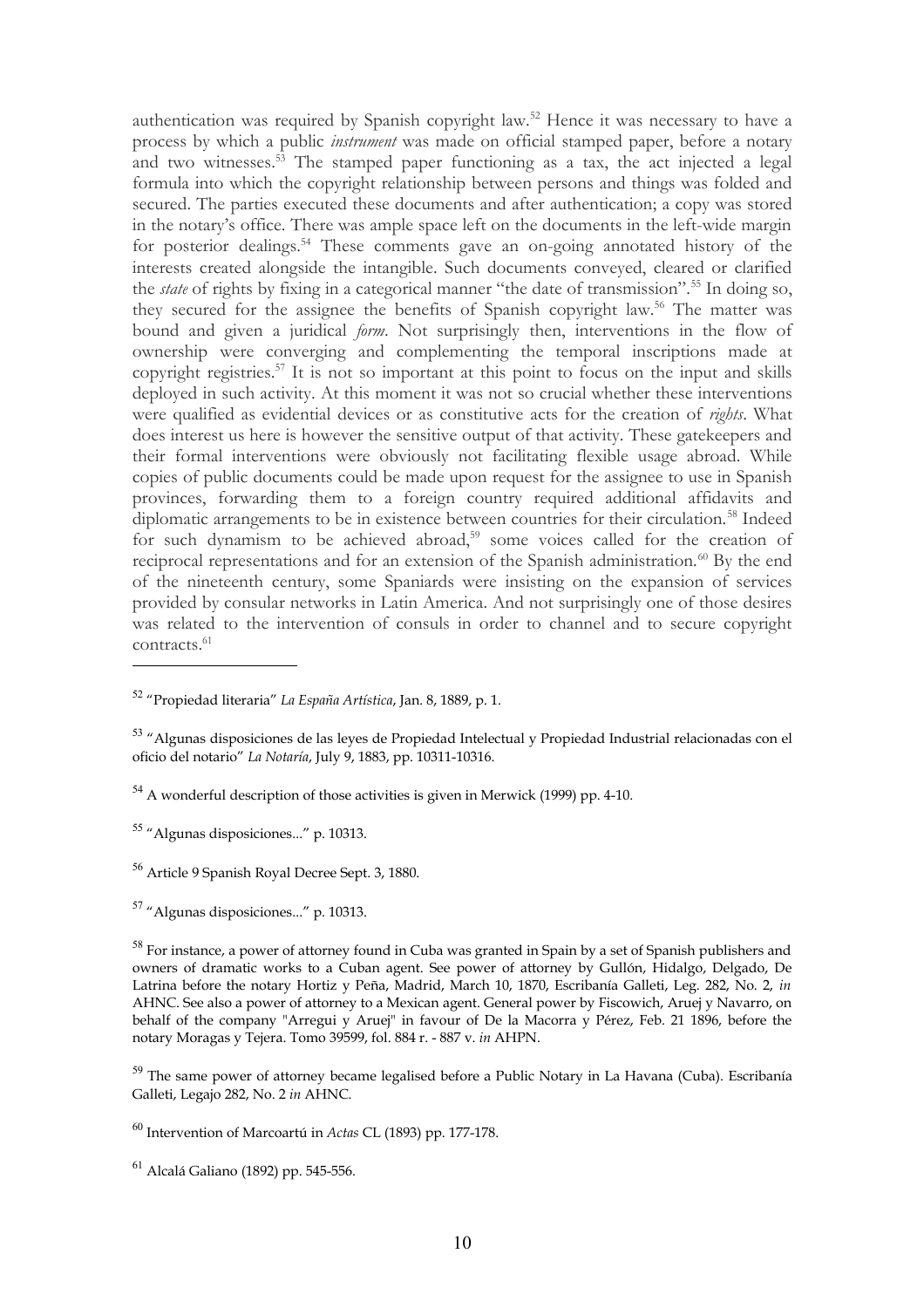authentication was required by Spanish copyright law.[52](#page-9-0) Hence it was necessary to have a process by which a public *instrument* was made on official stamped paper, before a notary and two witnesses.<sup>[53](#page-9-1)</sup> The stamped paper functioning as a tax, the act injected a legal formula into which the copyright relationship between persons and things was folded and secured. The parties executed these documents and after authentication; a copy was stored in the notary's office. There was ample space left on the documents in the left-wide margin for posterior dealings.<sup>[54](#page-9-2)</sup> These comments gave an on-going annotated history of the interests created alongside the intangible. Such documents conveyed, cleared or clarified the *state* of rights by fixing in a categorical manner "the date of transmission".[55](#page-9-3) In doing so, they secured for the assignee the benefits of Spanish copyright law.<sup>[56](#page-9-4)</sup> The matter was bound and given a juridical *form*. Not surprisingly then, interventions in the flow of ownership were converging and complementing the temporal inscriptions made at copyright registries.[57](#page-9-5) It is not so important at this point to focus on the input and skills deployed in such activity. At this moment it was not so crucial whether these interventions were qualified as evidential devices or as constitutive acts for the creation of *rights*. What does interest us here is however the sensitive output of that activity. These gatekeepers and their formal interventions were obviously not facilitating flexible usage abroad. While copies of public documents could be made upon request for the assignee to use in Spanish provinces, forwarding them to a foreign country required additional affidavits and diplomatic arrangements to be in existence between countries for their circulation.<sup>[58](#page-9-6)</sup> Indeed for such dynamism to be achieved abroad,<sup>[59](#page-9-7)</sup> some voices called for the creation of reciprocal representations and for an extension of the Spanish administration.<sup>[60](#page-9-8)</sup> By the end of the nineteenth century, some Spaniards were insisting on the expansion of services provided by consular networks in Latin America. And not surprisingly one of those desires was related to the intervention of consuls in order to channel and to secure copyright contracts.[61](#page-9-9)

<span id="page-9-0"></span><sup>52</sup> "Propiedad literaria" *La España Artística*, Jan. 8, 1889, p. 1.

<span id="page-9-1"></span><sup>53</sup> "Algunas disposiciones de las leyes de Propiedad Intelectual y Propiedad Industrial relacionadas con el oficio del notario" *La Notaría*, July 9, 1883, pp. 10311-10316.

<span id="page-9-2"></span><sup>54</sup> A wonderful description of those activities is given in Merwick (1999) pp. 4-10.

<span id="page-9-3"></span><sup>55</sup> "Algunas disposiciones..." p. 10313.

<span id="page-9-4"></span><sup>56</sup> Article 9 Spanish Royal Decree Sept. 3, 1880.

<span id="page-9-5"></span><sup>57</sup> "Algunas disposiciones..." p. 10313.

<span id="page-9-6"></span><sup>&</sup>lt;sup>58</sup> For instance, a power of attorney found in Cuba was granted in Spain by a set of Spanish publishers and owners of dramatic works to a Cuban agent. See power of attorney by Gullón, Hidalgo, Delgado, De Latrina before the notary Hortiz y Peña, Madrid, March 10, 1870, Escribanía Galleti, Leg. 282, No. 2, *in* AHNC. See also a power of attorney to a Mexican agent. General power by Fiscowich, Aruej y Navarro, on behalf of the company "Arregui y Aruej" in favour of De la Macorra y Pérez, Feb. 21 1896, before the notary Moragas y Tejera. Tomo 39599, fol. 884 r. - 887 v. *in* AHPN.

<span id="page-9-7"></span> $59$  The same power of attorney became legalised before a Public Notary in La Havana (Cuba). Escribanía Galleti, Legajo 282, No. 2 *in* AHNC.

<span id="page-9-8"></span><sup>60</sup> Intervention of Marcoartú in *Actas* CL (1893) pp. 177-178.

<span id="page-9-9"></span><sup>61</sup> Alcalá Galiano (1892) pp. 545-556.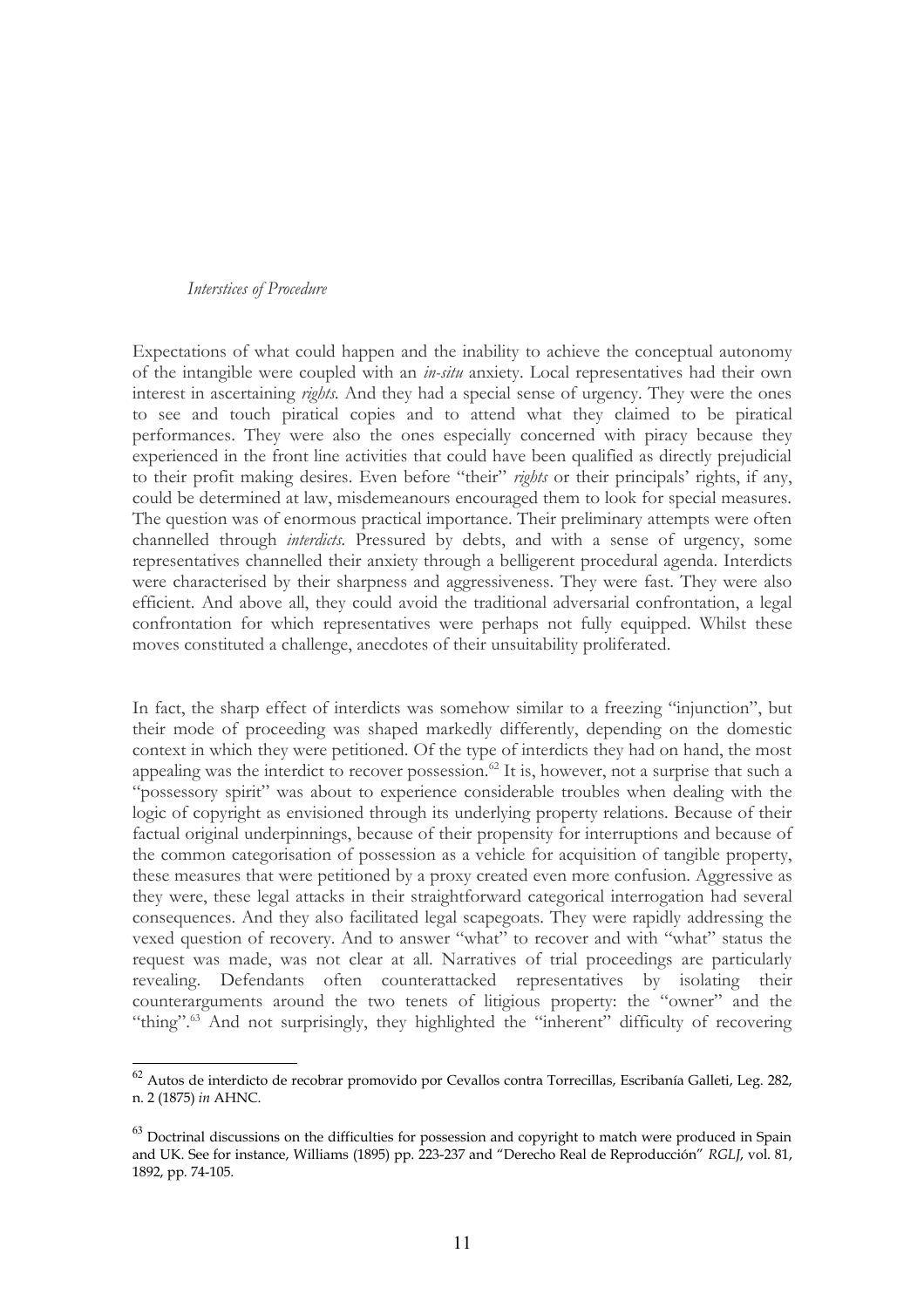### *Interstices of Procedure*

Expectations of what could happen and the inability to achieve the conceptual autonomy of the intangible were coupled with an *in-situ* anxiety. Local representatives had their own interest in ascertaining *rights.* And they had a special sense of urgency. They were the ones to see and touch piratical copies and to attend what they claimed to be piratical performances. They were also the ones especially concerned with piracy because they experienced in the front line activities that could have been qualified as directly prejudicial to their profit making desires. Even before "their" *rights* or their principals' rights, if any, could be determined at law, misdemeanours encouraged them to look for special measures. The question was of enormous practical importance. Their preliminary attempts were often channelled through *interdicts.* Pressured by debts, and with a sense of urgency, some representatives channelled their anxiety through a belligerent procedural agenda. Interdicts were characterised by their sharpness and aggressiveness. They were fast. They were also efficient. And above all, they could avoid the traditional adversarial confrontation, a legal confrontation for which representatives were perhaps not fully equipped. Whilst these moves constituted a challenge, anecdotes of their unsuitability proliferated.

In fact, the sharp effect of interdicts was somehow similar to a freezing "injunction", but their mode of proceeding was shaped markedly differently, depending on the domestic context in which they were petitioned. Of the type of interdicts they had on hand, the most appealing was the interdict to recover possession.<sup>[62](#page-10-0)</sup> It is, however, not a surprise that such a "possessory spirit" was about to experience considerable troubles when dealing with the logic of copyright as envisioned through its underlying property relations. Because of their factual original underpinnings, because of their propensity for interruptions and because of the common categorisation of possession as a vehicle for acquisition of tangible property, these measures that were petitioned by a proxy created even more confusion. Aggressive as they were, these legal attacks in their straightforward categorical interrogation had several consequences. And they also facilitated legal scapegoats. They were rapidly addressing the vexed question of recovery. And to answer "what" to recover and with "what" status the request was made, was not clear at all. Narratives of trial proceedings are particularly revealing. Defendants often counterattacked representatives by isolating their counterarguments around the two tenets of litigious property: the "owner" and the "thing".<sup>[63](#page-10-1)</sup> And not surprisingly, they highlighted the "inherent" difficulty of recovering

<span id="page-10-0"></span> $^{62}$  Autos de interdicto de recobrar promovido por Cevallos contra Torrecillas, Escribanía Galleti, Leg. 282, n. 2 (1875) *in* AHNC.

<span id="page-10-1"></span> $63$  Doctrinal discussions on the difficulties for possession and copyright to match were produced in Spain and UK. See for instance, Williams (1895) pp. 223-237 and "Derecho Real de Reproducción" *RGLJ*, vol. 81, 1892, pp. 74-105.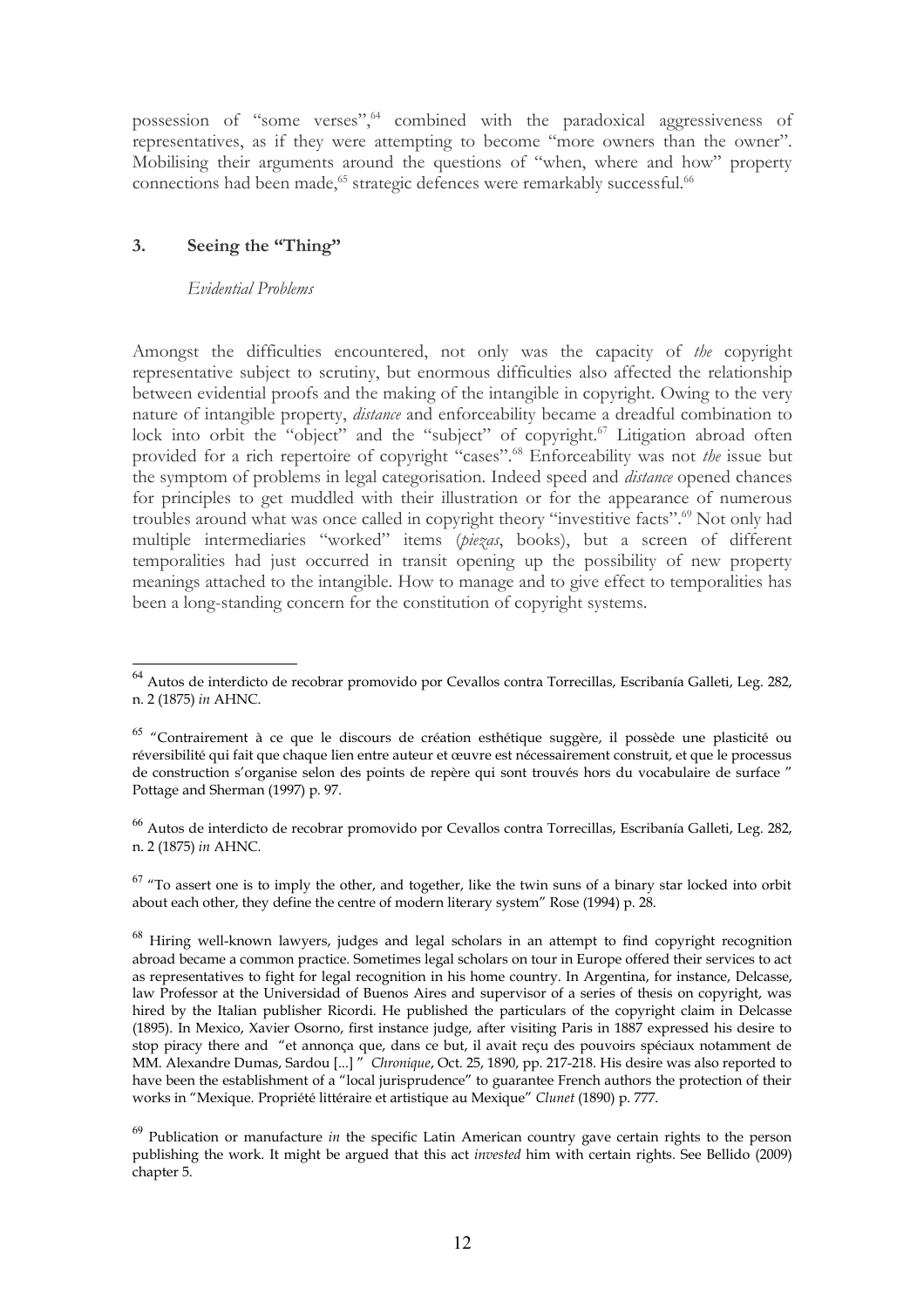possession of "some verses", "combined with the paradoxical aggressiveness of representatives, as if they were attempting to become "more owners than the owner". Mobilising their arguments around the questions of "when, where and how" property connections had been made,<sup>[65](#page-11-1)</sup> strategic defences were remarkably successful.<sup>[66](#page-11-2)</sup>

# **3. Seeing the "Thing"**

## *Evidential Problems*

Amongst the difficulties encountered, not only was the capacity of *the* copyright representative subject to scrutiny, but enormous difficulties also affected the relationship between evidential proofs and the making of the intangible in copyright. Owing to the very nature of intangible property, *distance* and enforceability became a dreadful combination to lock into orbit the "object" and the "subject" of copyright.<sup>[67](#page-11-3)</sup> Litigation abroad often provided for a rich repertoire of copyright "cases".[68](#page-11-4) Enforceability was not *the* issue but the symptom of problems in legal categorisation. Indeed speed and *distance* opened chances for principles to get muddled with their illustration or for the appearance of numerous troubles around what was once called in copyright theory "investitive facts".<sup>[69](#page-11-5)</sup> Not only had multiple intermediaries "worked" items (*piezas*, books), but a screen of different temporalities had just occurred in transit opening up the possibility of new property meanings attached to the intangible. How to manage and to give effect to temporalities has been a long-standing concern for the constitution of copyright systems.

<span id="page-11-0"></span><sup>64</sup> Autos de interdicto de recobrar promovido por Cevallos contra Torrecillas, Escribanía Galleti, Leg. 282, n. 2 (1875) *in* AHNC.

<span id="page-11-1"></span><sup>&</sup>lt;sup>65</sup> "Contrairement à ce que le discours de création esthétique suggère, il possède une plasticité ou réversibilité qui fait que chaque lien entre auteur et œuvre est nécessairement construit, et que le processus de construction s'organise selon des points de repère qui sont trouvés hors du vocabulaire de surface " Pottage and Sherman (1997) p. 97.

<span id="page-11-2"></span><sup>66</sup> Autos de interdicto de recobrar promovido por Cevallos contra Torrecillas, Escribanía Galleti, Leg. 282, n. 2 (1875) *in* AHNC.

<span id="page-11-3"></span> $67$  "To assert one is to imply the other, and together, like the twin suns of a binary star locked into orbit about each other, they define the centre of modern literary system" Rose (1994) p. 28.

<span id="page-11-4"></span> $68$  Hiring well-known lawyers, judges and legal scholars in an attempt to find copyright recognition abroad became a common practice. Sometimes legal scholars on tour in Europe offered their services to act as representatives to fight for legal recognition in his home country. In Argentina, for instance, Delcasse, law Professor at the Universidad of Buenos Aires and supervisor of a series of thesis on copyright, was hired by the Italian publisher Ricordi. He published the particulars of the copyright claim in Delcasse (1895). In Mexico, Xavier Osorno, first instance judge, after visiting Paris in 1887 expressed his desire to stop piracy there and "et annonça que, dans ce but, il avait reçu des pouvoirs spéciaux notamment de MM. Alexandre Dumas, Sardou [...] " *Chronique*, Oct. 25, 1890, pp. 217-218. His desire was also reported to have been the establishment of a "local jurisprudence" to guarantee French authors the protection of their works in "Mexique. Propriété littéraire et artistique au Mexique" *Clunet* (1890) p. 777.

<span id="page-11-5"></span><sup>69</sup> Publication or manufacture *in* the specific Latin American country gave certain rights to the person publishing the work. It might be argued that this act *invested* him with certain rights. See Bellido (2009) chapter 5.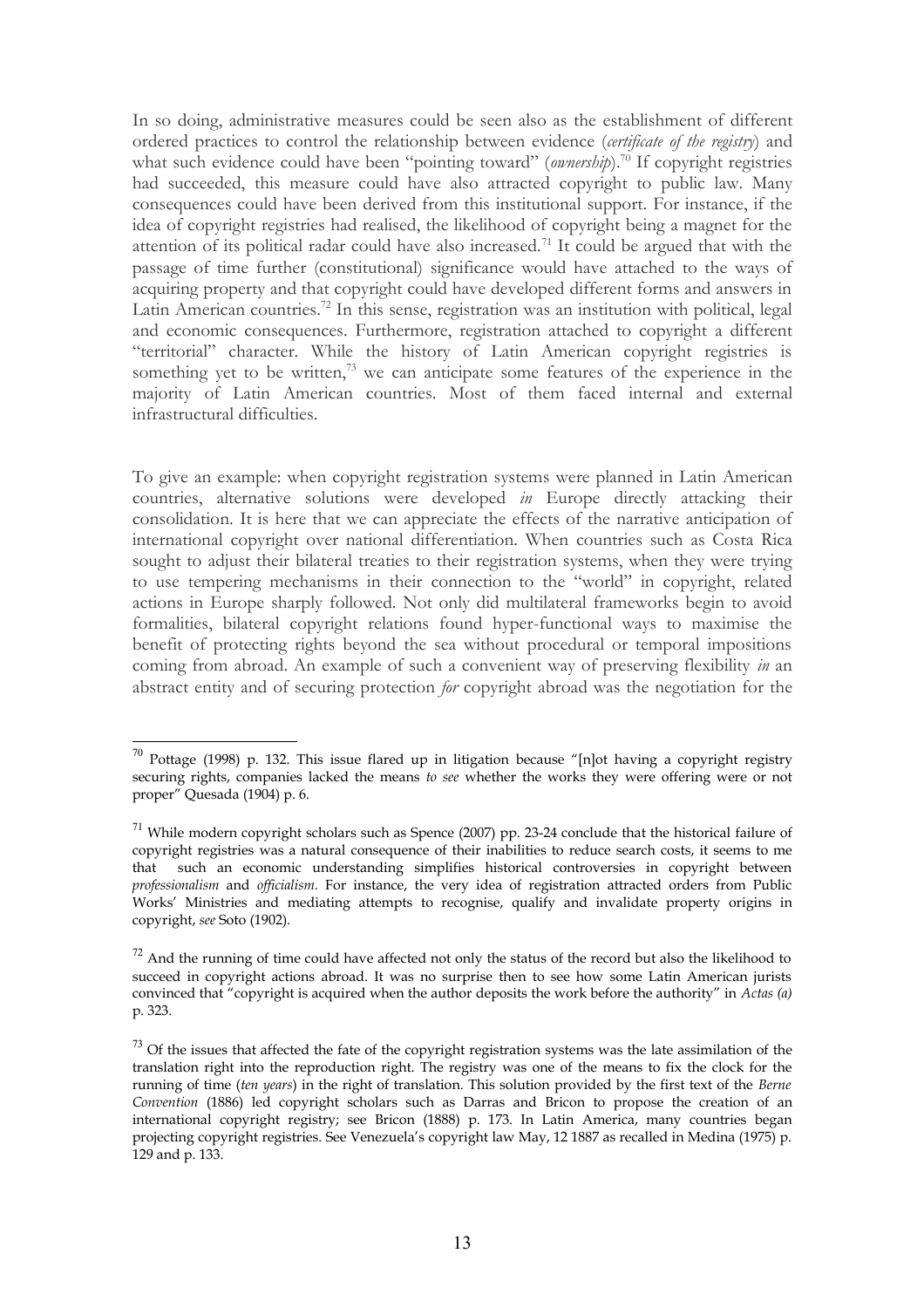In so doing, administrative measures could be seen also as the establishment of different ordered practices to control the relationship between evidence (*certificate of the registry*) and what such evidence could have been "pointing toward" *(ownership*).<sup>[70](#page-12-0)</sup> If copyright registries had succeeded, this measure could have also attracted copyright to public law. Many consequences could have been derived from this institutional support. For instance, if the idea of copyright registries had realised, the likelihood of copyright being a magnet for the attention of its political radar could have also increased.<sup>[71](#page-12-1)</sup> It could be argued that with the passage of time further (constitutional) significance would have attached to the ways of acquiring property and that copyright could have developed different forms and answers in Latin American countries.<sup>[72](#page-12-2)</sup> In this sense, registration was an institution with political, legal and economic consequences. Furthermore, registration attached to copyright a different "territorial" character. While the history of Latin American copyright registries is something yet to be written, $73$  we can anticipate some features of the experience in the majority of Latin American countries. Most of them faced internal and external infrastructural difficulties.

To give an example: when copyright registration systems were planned in Latin American countries, alternative solutions were developed *in* Europe directly attacking their consolidation. It is here that we can appreciate the effects of the narrative anticipation of international copyright over national differentiation. When countries such as Costa Rica sought to adjust their bilateral treaties to their registration systems, when they were trying to use tempering mechanisms in their connection to the "world" in copyright, related actions in Europe sharply followed. Not only did multilateral frameworks begin to avoid formalities, bilateral copyright relations found hyper-functional ways to maximise the benefit of protecting rights beyond the sea without procedural or temporal impositions coming from abroad. An example of such a convenient way of preserving flexibility *in* an abstract entity and of securing protection *for* copyright abroad was the negotiation for the

<span id="page-12-0"></span> $70$  Pottage (1998) p. 132. This issue flared up in litigation because "[n]ot having a copyright registry securing rights, companies lacked the means *to see* whether the works they were offering were or not proper" Quesada (1904) p. 6.

<span id="page-12-1"></span> $71$  While modern copyright scholars such as Spence (2007) pp. 23-24 conclude that the historical failure of copyright registries was a natural consequence of their inabilities to reduce search costs, it seems to me that such an economic understanding simplifies historical controversies in copyright between *professionalism* and *officialism.* For instance, the very idea of registration attracted orders from Public Works' Ministries and mediating attempts to recognise, qualify and invalidate property origins in copyright, *see* Soto (1902).

<span id="page-12-2"></span> $72$  And the running of time could have affected not only the status of the record but also the likelihood to succeed in copyright actions abroad. It was no surprise then to see how some Latin American jurists convinced that "copyright is acquired when the author deposits the work before the authority" in *Actas (a)* p. 323.

<span id="page-12-3"></span> $^{73}$  Of the issues that affected the fate of the copyright registration systems was the late assimilation of the translation right into the reproduction right. The registry was one of the means to fix the clock for the running of time (*ten years*) in the right of translation. This solution provided by the first text of the *Berne Convention* (1886) led copyright scholars such as Darras and Bricon to propose the creation of an international copyright registry; see Bricon (1888) p. 173. In Latin America, many countries began projecting copyright registries. See Venezuela's copyright law May, 12 1887 as recalled in Medina (1975) p. 129 and p. 133.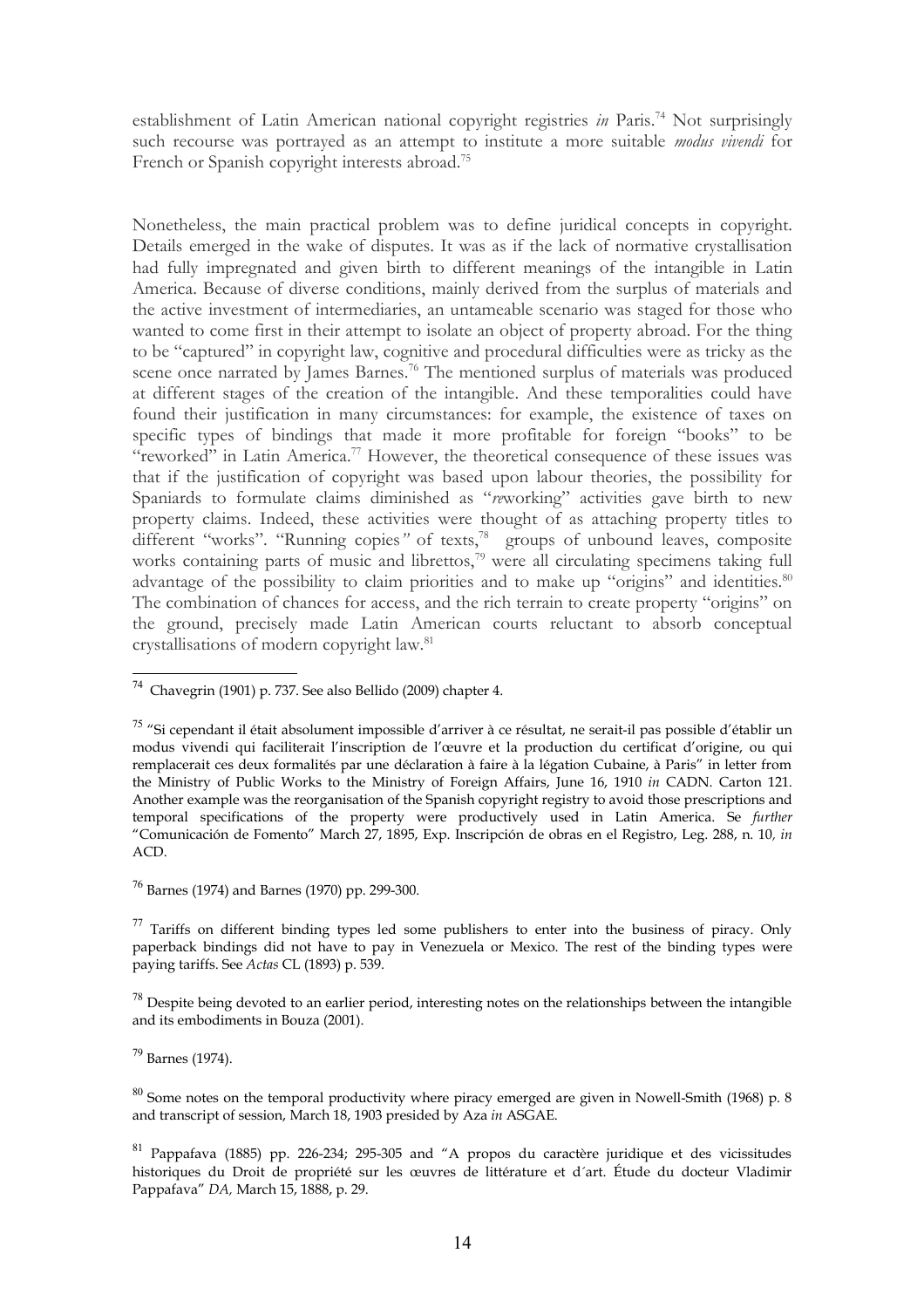establishment of Latin American national copyright registries *in* Paris.<sup>[74](#page-13-0)</sup> Not surprisingly such recourse was portrayed as an attempt to institute a more suitable *modus vivendi* for French or Spanish copyright interests abroad.<sup>[75](#page-13-1)</sup>

Nonetheless, the main practical problem was to define juridical concepts in copyright. Details emerged in the wake of disputes. It was as if the lack of normative crystallisation had fully impregnated and given birth to different meanings of the intangible in Latin America. Because of diverse conditions, mainly derived from the surplus of materials and the active investment of intermediaries, an untameable scenario was staged for those who wanted to come first in their attempt to isolate an object of property abroad. For the thing to be "captured" in copyright law, cognitive and procedural difficulties were as tricky as the scene once narrated by James Barnes.<sup>[76](#page-13-2)</sup> The mentioned surplus of materials was produced at different stages of the creation of the intangible. And these temporalities could have found their justification in many circumstances: for example, the existence of taxes on specific types of bindings that made it more profitable for foreign "books" to be "reworked" in Latin America.<sup>[77](#page-13-3)</sup> However, the theoretical consequence of these issues was that if the justification of copyright was based upon labour theories, the possibility for Spaniards to formulate claims diminished as "*re*working" activities gave birth to new property claims. Indeed, these activities were thought of as attaching property titles to different "works". "Running copies" of texts,<sup>[78](#page-13-4)</sup> groups of unbound leaves, composite works containing parts of music and librettos,<sup>[79](#page-13-5)</sup> were all circulating specimens taking full advantage of the possibility to claim priorities and to make up "origins" and identities.<sup>[80](#page-13-6)</sup> The combination of chances for access, and the rich terrain to create property "origins" on the ground, precisely made Latin American courts reluctant to absorb conceptual crystallisations of modern copyright law.[81](#page-13-7)

<span id="page-13-2"></span> $76$  Barnes (1974) and Barnes (1970) pp. 299-300.

<span id="page-13-3"></span> $^{77}$  Tariffs on different binding types led some publishers to enter into the business of piracy. Only paperback bindings did not have to pay in Venezuela or Mexico. The rest of the binding types were paying tariffs. See *Actas* CL (1893) p. 539.

<span id="page-13-4"></span> $^{78}$  Despite being devoted to an earlier period, interesting notes on the relationships between the intangible and its embodiments in Bouza (2001).

<span id="page-13-5"></span><sup>79</sup> Barnes (1974).

<span id="page-13-0"></span> $74$  Chavegrin (1901) p. 737. See also Bellido (2009) chapter 4.

<span id="page-13-1"></span><sup>&</sup>lt;sup>75</sup> "Si cependant il était absolument impossible d'arriver à ce résultat, ne serait-il pas possible d'établir un modus vivendi qui faciliterait l'inscription de l'œuvre et la production du certificat d'origine, ou qui remplacerait ces deux formalités par une déclaration à faire à la légation Cubaine, à Paris" in letter from the Ministry of Public Works to the Ministry of Foreign Affairs, June 16, 1910 *in* CADN. Carton 121. Another example was the reorganisation of the Spanish copyright registry to avoid those prescriptions and temporal specifications of the property were productively used in Latin America. Se *further* "Comunicación de Fomento" March 27, 1895, Exp. Inscripción de obras en el Registro, Leg. 288, n. 10*, in* ACD.

<span id="page-13-6"></span> $80$  Some notes on the temporal productivity where piracy emerged are given in Nowell-Smith (1968) p. 8 and transcript of session, March 18, 1903 presided by Aza *in* ASGAE.

<span id="page-13-7"></span><sup>81</sup> Pappafava (1885) pp. 226-234; 295-305 and "A propos du caractère juridique et des vicissitudes historiques du Droit de propriété sur les œuvres de littérature et d´art. Étude du docteur Vladimir Pappafava" *DA,* March 15, 1888, p. 29.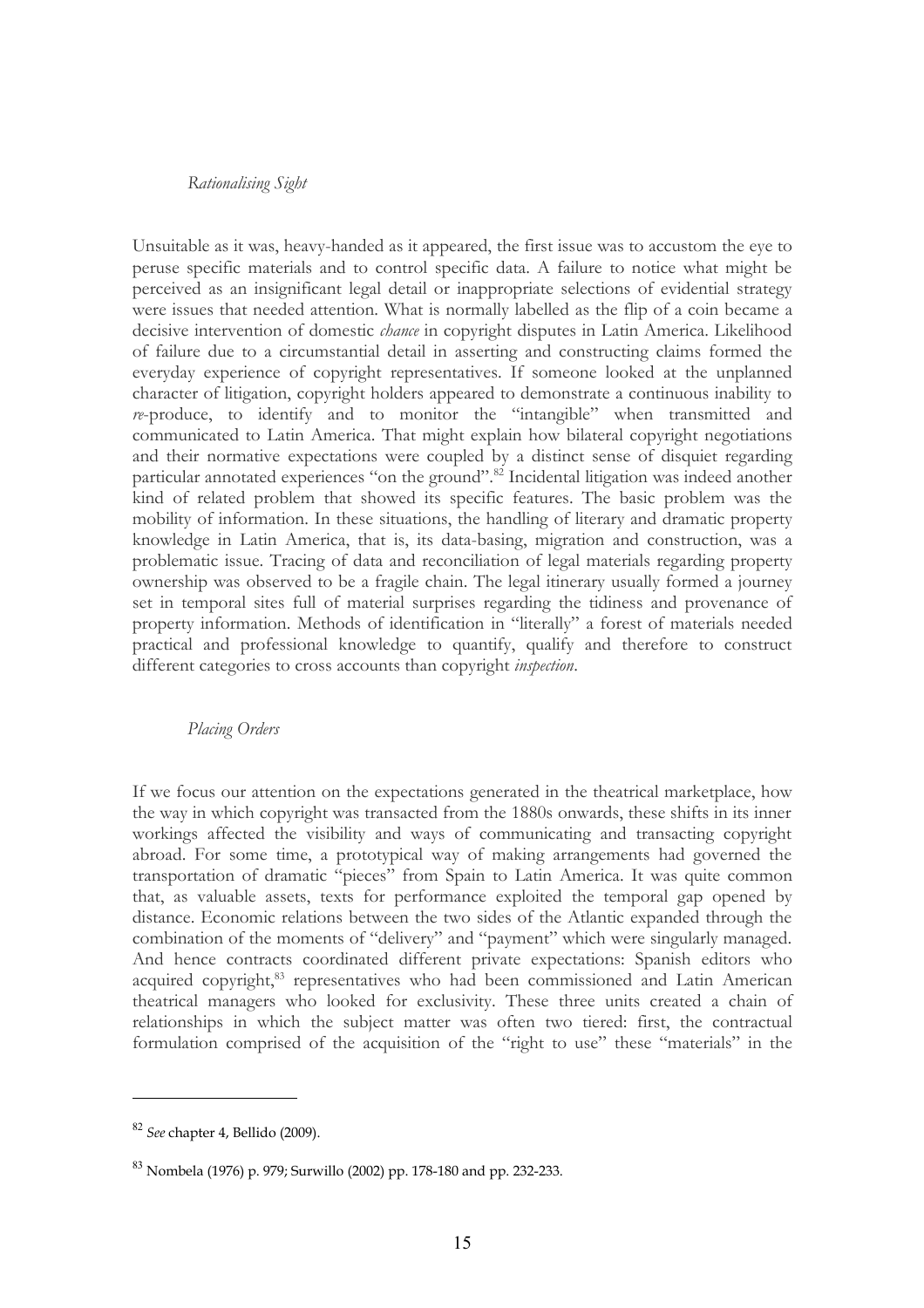#### *Rationalising Sight*

Unsuitable as it was, heavy-handed as it appeared, the first issue was to accustom the eye to peruse specific materials and to control specific data. A failure to notice what might be perceived as an insignificant legal detail or inappropriate selections of evidential strategy were issues that needed attention. What is normally labelled as the flip of a coin became a decisive intervention of domestic *chance* in copyright disputes in Latin America. Likelihood of failure due to a circumstantial detail in asserting and constructing claims formed the everyday experience of copyright representatives. If someone looked at the unplanned character of litigation, copyright holders appeared to demonstrate a continuous inability to *re*-produce, to identify and to monitor the "intangible" when transmitted and communicated to Latin America. That might explain how bilateral copyright negotiations and their normative expectations were coupled by a distinct sense of disquiet regarding particular annotated experiences "on the ground".<sup>[82](#page-14-0)</sup> Incidental litigation was indeed another kind of related problem that showed its specific features. The basic problem was the mobility of information. In these situations, the handling of literary and dramatic property knowledge in Latin America, that is, its data-basing, migration and construction, was a problematic issue. Tracing of data and reconciliation of legal materials regarding property ownership was observed to be a fragile chain. The legal itinerary usually formed a journey set in temporal sites full of material surprises regarding the tidiness and provenance of property information. Methods of identification in "literally" a forest of materials needed practical and professional knowledge to quantify, qualify and therefore to construct different categories to cross accounts than copyright *inspection*.

#### *Placing Orders*

If we focus our attention on the expectations generated in the theatrical marketplace, how the way in which copyright was transacted from the 1880s onwards, these shifts in its inner workings affected the visibility and ways of communicating and transacting copyright abroad. For some time, a prototypical way of making arrangements had governed the transportation of dramatic "pieces" from Spain to Latin America. It was quite common that, as valuable assets, texts for performance exploited the temporal gap opened by distance. Economic relations between the two sides of the Atlantic expanded through the combination of the moments of "delivery" and "payment" which were singularly managed. And hence contracts coordinated different private expectations: Spanish editors who acquired copyright,<sup>[83](#page-14-1)</sup> representatives who had been commissioned and Latin American theatrical managers who looked for exclusivity. These three units created a chain of relationships in which the subject matter was often two tiered: first, the contractual formulation comprised of the acquisition of the "right to use" these "materials" in the

<span id="page-14-0"></span><sup>82</sup> *See* chapter 4, Bellido (2009).

<span id="page-14-1"></span> $83$  Nombela (1976) p. 979; Surwillo (2002) pp. 178-180 and pp. 232-233.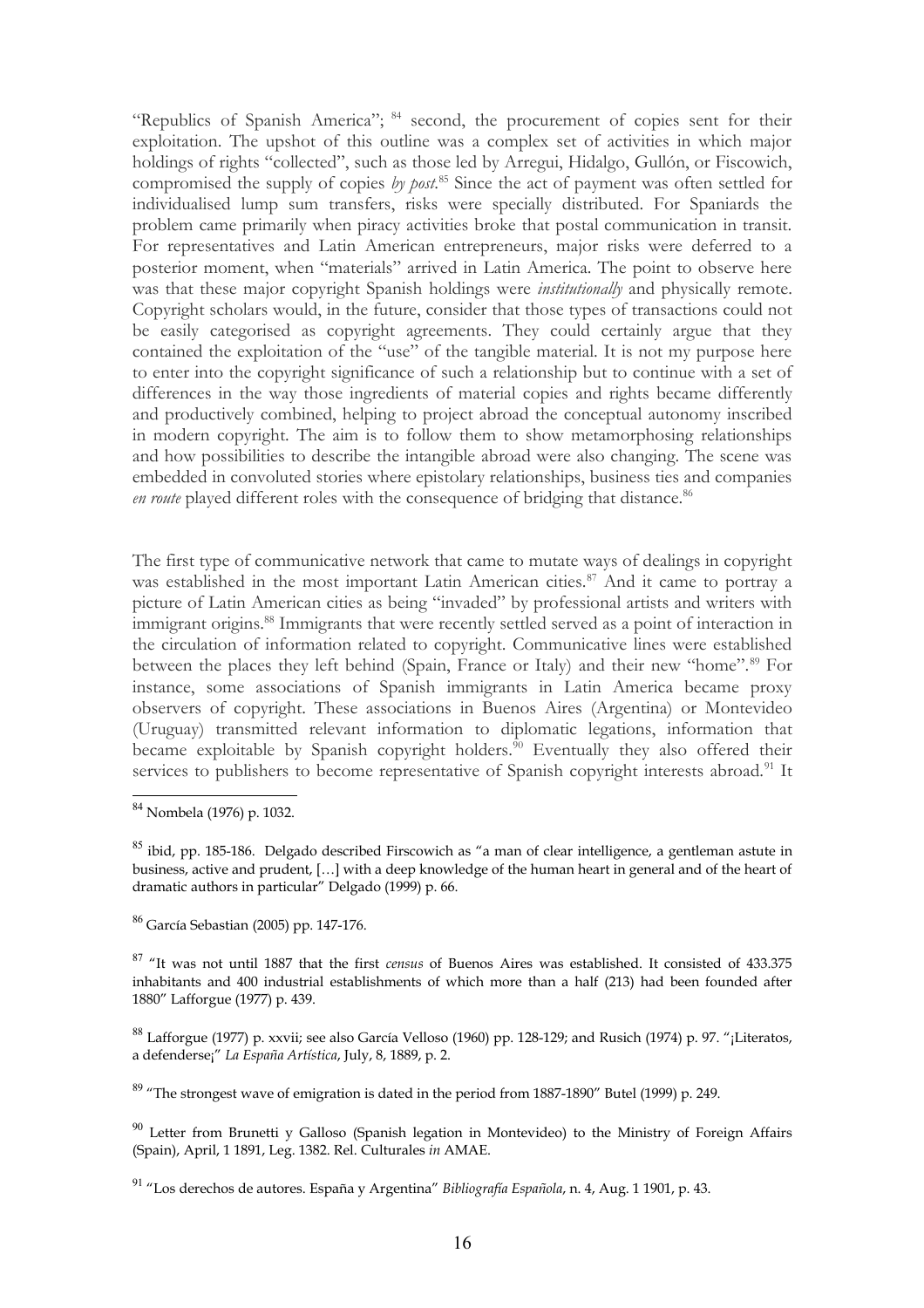"Republics of Spanish America"; <sup>[84](#page-15-0)</sup> second, the procurement of copies sent for their exploitation. The upshot of this outline was a complex set of activities in which major holdings of rights "collected", such as those led by Arregui, Hidalgo, Gullón, or Fiscowich, compromised the supply of copies *by post*. [85](#page-15-1) Since the act of payment was often settled for individualised lump sum transfers, risks were specially distributed. For Spaniards the problem came primarily when piracy activities broke that postal communication in transit. For representatives and Latin American entrepreneurs, major risks were deferred to a posterior moment, when "materials" arrived in Latin America. The point to observe here was that these major copyright Spanish holdings were *institutionally* and physically remote. Copyright scholars would, in the future, consider that those types of transactions could not be easily categorised as copyright agreements. They could certainly argue that they contained the exploitation of the "use" of the tangible material. It is not my purpose here to enter into the copyright significance of such a relationship but to continue with a set of differences in the way those ingredients of material copies and rights became differently and productively combined, helping to project abroad the conceptual autonomy inscribed in modern copyright. The aim is to follow them to show metamorphosing relationships and how possibilities to describe the intangible abroad were also changing. The scene was embedded in convoluted stories where epistolary relationships, business ties and companies en route played different roles with the consequence of bridging that distance.<sup>[86](#page-15-2)</sup>

The first type of communicative network that came to mutate ways of dealings in copyright was established in the most important Latin American cities.<sup>[87](#page-15-3)</sup> And it came to portray a picture of Latin American cities as being "invaded" by professional artists and writers with immigrant origins.[88](#page-15-4) Immigrants that were recently settled served as a point of interaction in the circulation of information related to copyright. Communicative lines were established between the places they left behind (Spain, France or Italy) and their new "home".<sup>[89](#page-15-5)</sup> For instance, some associations of Spanish immigrants in Latin America became proxy observers of copyright. These associations in Buenos Aires (Argentina) or Montevideo (Uruguay) transmitted relevant information to diplomatic legations, information that became exploitable by Spanish copyright holders.<sup>[90](#page-15-6)</sup> Eventually they also offered their services to publishers to become representative of Spanish copyright interests abroad.<sup>[91](#page-15-7)</sup> It

<span id="page-15-1"></span> $85$  ibid, pp. 185-186. Delgado described Firscowich as "a man of clear intelligence, a gentleman astute in business, active and prudent, […] with a deep knowledge of the human heart in general and of the heart of dramatic authors in particular" Delgado (1999) p. 66.

<span id="page-15-2"></span><sup>86</sup> García Sebastian (2005) pp. 147-176.

<span id="page-15-3"></span><sup>87</sup> "It was not until 1887 that the first *census* of Buenos Aires was established. It consisted of 433.375 inhabitants and 400 industrial establishments of which more than a half (213) had been founded after 1880" Lafforgue (1977) p. 439.

<span id="page-15-4"></span><sup>88</sup> Lafforgue (1977) p. xxvii; see also García Velloso (1960) pp. 128-129; and Rusich (1974) p. 97. "¡Literatos, a defenderse¡" *La España Artística*, July, 8, 1889, p. 2.

<span id="page-15-5"></span> $89$  "The strongest wave of emigration is dated in the period from 1887-1890" Butel (1999) p. 249.

<span id="page-15-6"></span> $90$  Letter from Brunetti y Galloso (Spanish legation in Montevideo) to the Ministry of Foreign Affairs (Spain), April, 1 1891, Leg. 1382. Rel. Culturales *in* AMAE.

<span id="page-15-7"></span><sup>91</sup> "Los derechos de autores. España y Argentina" *Bibliografía Española*, n. 4, Aug. 1 1901, p. 43.

<span id="page-15-0"></span><sup>84</sup> Nombela (1976) p. 1032.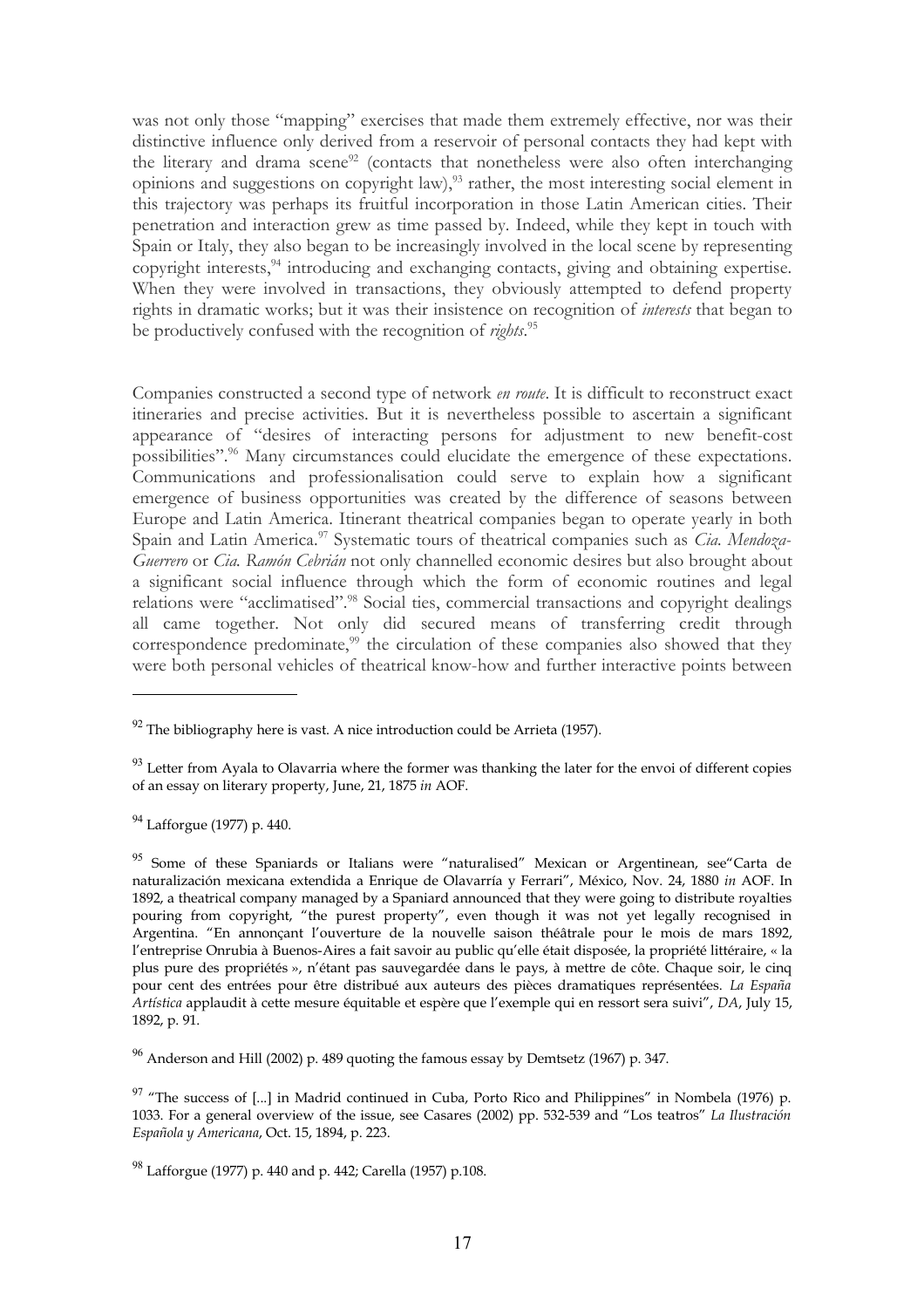was not only those "mapping" exercises that made them extremely effective, nor was their distinctive influence only derived from a reservoir of personal contacts they had kept with the literary and drama scene<sup>[92](#page-16-0)</sup> (contacts that nonetheless were also often interchanging opinions and suggestions on copyright law),  $\frac{93}{3}$  $\frac{93}{3}$  $\frac{93}{3}$  rather, the most interesting social element in this trajectory was perhaps its fruitful incorporation in those Latin American cities. Their penetration and interaction grew as time passed by. Indeed, while they kept in touch with Spain or Italy, they also began to be increasingly involved in the local scene by representing copyright interests,<sup>[94](#page-16-2)</sup> introducing and exchanging contacts, giving and obtaining expertise. When they were involved in transactions, they obviously attempted to defend property rights in dramatic works; but it was their insistence on recognition of *interests* that began to be productively confused with the recognition of *rights*. [95](#page-16-3)

Companies constructed a second type of network *en route*. It is difficult to reconstruct exact itineraries and precise activities. But it is nevertheless possible to ascertain a significant appearance of "desires of interacting persons for adjustment to new benefit-cost possibilities".<sup>[96](#page-16-4)</sup> Many circumstances could elucidate the emergence of these expectations. Communications and professionalisation could serve to explain how a significant emergence of business opportunities was created by the difference of seasons between Europe and Latin America. Itinerant theatrical companies began to operate yearly in both Spain and Latin America.<sup>[97](#page-16-5)</sup> Systematic tours of theatrical companies such as *Cia. Mendoza-Guerrero* or *Cia. Ramón Cebrián* not only channelled economic desires but also brought about a significant social influence through which the form of economic routines and legal relations were "acclimatised".<sup>[98](#page-16-6)</sup> Social ties, commercial transactions and copyright dealings all came together. Not only did secured means of transferring credit through correspondence predominate, $99$  the circulation of these companies also showed that they were both personal vehicles of theatrical know-how and further interactive points between

<span id="page-16-2"></span><sup>94</sup> Lafforgue (1977) p. 440.

<span id="page-16-3"></span><sup>95</sup> Some of these Spaniards or Italians were "naturalised" Mexican or Argentinean, see Carta de naturalización mexicana extendida a Enrique de Olavarría y Ferrari", México, Nov. 24, 1880 *in* AOF. In 1892, a theatrical company managed by a Spaniard announced that they were going to distribute royalties pouring from copyright, "the purest property", even though it was not yet legally recognised in Argentina. "En annonçant l'ouverture de la nouvelle saison théâtrale pour le mois de mars 1892, l'entreprise Onrubia à Buenos-Aires a fait savoir au public qu'elle était disposée, la propriété littéraire, « la plus pure des propriétés », n'étant pas sauvegardée dans le pays, à mettre de côte. Chaque soir, le cinq pour cent des entrées pour être distribué aux auteurs des pièces dramatiques représentées. *La España Artística* applaudit à cette mesure équitable et espère que l'exemple qui en ressort sera suivi", *DA*, July 15, 1892, p. 91.

<span id="page-16-4"></span> $96$  Anderson and Hill (2002) p. 489 quoting the famous essay by Demtsetz (1967) p. 347.

<span id="page-16-5"></span> $97$  "The success of [...] in Madrid continued in Cuba, Porto Rico and Philippines" in Nombela (1976) p. 1033. For a general overview of the issue, see Casares (2002) pp. 532-539 and "Los teatros" *La Ilustración Española y Americana*, Oct. 15, 1894, p. 223.

<span id="page-16-6"></span><sup>98</sup> Lafforgue (1977) p. 440 and p. 442; Carella (1957) p.108.

<span id="page-16-0"></span> $92$  The bibliography here is vast. A nice introduction could be Arrieta (1957).

<span id="page-16-1"></span> $93$  Letter from Ayala to Olavarria where the former was thanking the later for the envoi of different copies of an essay on literary property, June, 21, 1875 *in* AOF.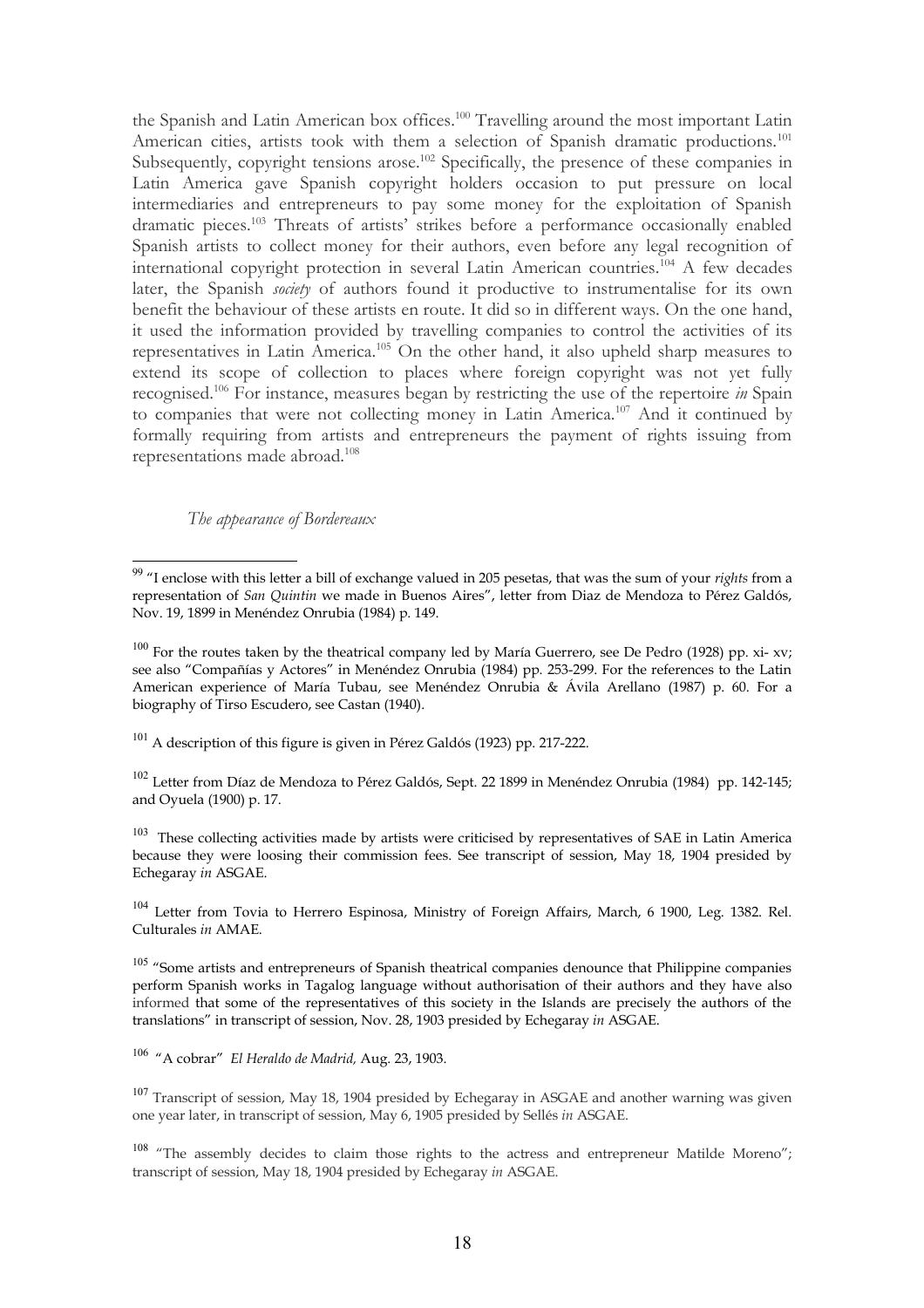the Spanish and Latin American box offices.<sup>[100](#page-17-1)</sup> Travelling around the most important Latin American cities, artists took with them a selection of Spanish dramatic productions.<sup>[101](#page-17-2)</sup> Subsequently, copyright tensions arose.<sup>[102](#page-17-3)</sup> Specifically, the presence of these companies in Latin America gave Spanish copyright holders occasion to put pressure on local intermediaries and entrepreneurs to pay some money for the exploitation of Spanish dramatic pieces.[103](#page-17-4) Threats of artists' strikes before a performance occasionally enabled Spanish artists to collect money for their authors, even before any legal recognition of international copyright protection in several Latin American countries.<sup> $104$ </sup> A few decades later, the Spanish *society* of authors found it productive to instrumentalise for its own benefit the behaviour of these artists en route. It did so in different ways. On the one hand, it used the information provided by travelling companies to control the activities of its representatives in Latin America.[105](#page-17-6) On the other hand, it also upheld sharp measures to extend its scope of collection to places where foreign copyright was not yet fully recognised.[106](#page-17-7) For instance, measures began by restricting the use of the repertoire *in* Spain to companies that were not collecting money in Latin America.[107](#page-17-8) And it continued by formally requiring from artists and entrepreneurs the payment of rights issuing from representations made abroad.[108](#page-17-9)

## *The appearance of Bordereaux*

<span id="page-17-2"></span><sup>101</sup> A description of this figure is given in Pérez Galdós (1923) pp. 217-222.

<span id="page-17-3"></span><sup>102</sup> Letter from Díaz de Mendoza to Pérez Galdós, Sept. 22 1899 in Menéndez Onrubia (1984) pp. 142-145; and Oyuela (1900) p. 17.

<span id="page-17-4"></span> $103$  These collecting activities made by artists were criticised by representatives of SAE in Latin America because they were loosing their commission fees. See transcript of session, May 18, 1904 presided by Echegaray *in* ASGAE.

<span id="page-17-5"></span><sup>104</sup> Letter from Tovia to Herrero Espinosa, Ministry of Foreign Affairs, March, 6 1900, Leg. 1382. Rel. Culturales *in* AMAE.

<span id="page-17-6"></span><sup>105</sup> "Some artists and entrepreneurs of Spanish theatrical companies denounce that Philippine companies perform Spanish works in Tagalog language without authorisation of their authors and they have also informed that some of the representatives of this society in the Islands are precisely the authors of the translations" in transcript of session, Nov. 28, 1903 presided by Echegaray *in* ASGAE.

<span id="page-17-7"></span><sup>106</sup> "A cobrar" *El Heraldo de Madrid,* Aug. 23, 1903.

<span id="page-17-8"></span><sup>107</sup> Transcript of session, May 18, 1904 presided by Echegaray in ASGAE and another warning was given one year later, in transcript of session, May 6, 1905 presided by Sellés *in* ASGAE.

<span id="page-17-9"></span><sup>108</sup> "The assembly decides to claim those rights to the actress and entrepreneur Matilde Moreno"; transcript of session, May 18, 1904 presided by Echegaray *in* ASGAE.

<span id="page-17-0"></span><sup>99</sup> "I enclose with this letter a bill of exchange valued in 205 pesetas, that was the sum of your *rights* from a representation of *San Quintin* we made in Buenos Aires", letter from Diaz de Mendoza to Pérez Galdós, Nov. 19, 1899 in Menéndez Onrubia (1984) p. 149.

<span id="page-17-1"></span> $100$  For the routes taken by the theatrical company led by María Guerrero, see De Pedro (1928) pp. xi- xv; see also "Compañías y Actores" in Menéndez Onrubia (1984) pp. 253-299. For the references to the Latin American experience of María Tubau, see Menéndez Onrubia & Ávila Arellano (1987) p. 60. For a biography of Tirso Escudero, see Castan (1940).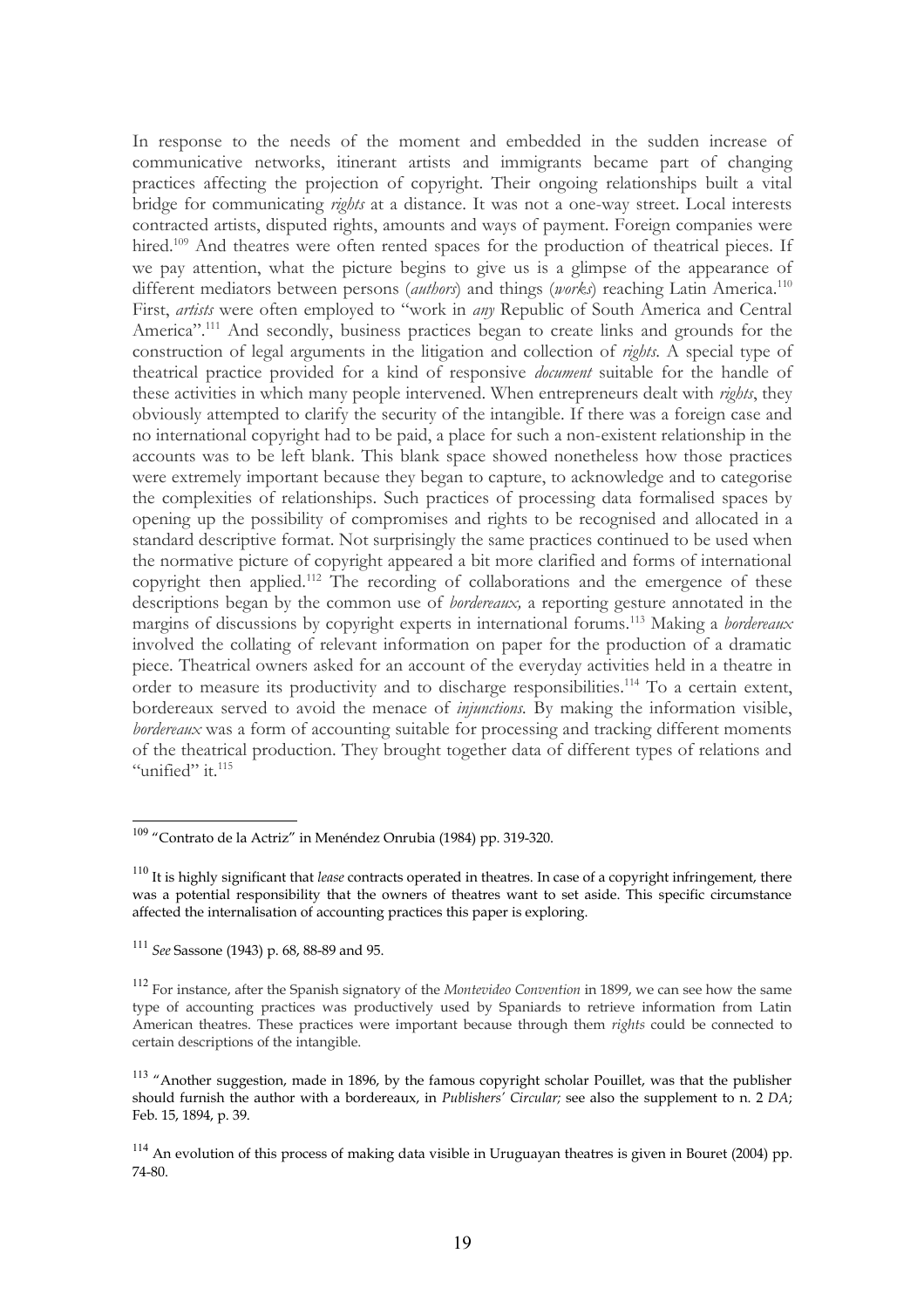In response to the needs of the moment and embedded in the sudden increase of communicative networks, itinerant artists and immigrants became part of changing practices affecting the projection of copyright. Their ongoing relationships built a vital bridge for communicating *rights* at a distance. It was not a one-way street. Local interests contracted artists, disputed rights, amounts and ways of payment. Foreign companies were hired.<sup>[109](#page-18-0)</sup> And theatres were often rented spaces for the production of theatrical pieces. If we pay attention, what the picture begins to give us is a glimpse of the appearance of different mediators between persons (*authors*) and things (*works*) reaching Latin America.[110](#page-18-1) First, *artists* were often employed to "work in *any* Republic of South America and Central America".<sup>[111](#page-18-2)</sup> And secondly, business practices began to create links and grounds for the construction of legal arguments in the litigation and collection of *rights*. A special type of theatrical practice provided for a kind of responsive *document* suitable for the handle of these activities in which many people intervened. When entrepreneurs dealt with *rights*, they obviously attempted to clarify the security of the intangible. If there was a foreign case and no international copyright had to be paid, a place for such a non-existent relationship in the accounts was to be left blank. This blank space showed nonetheless how those practices were extremely important because they began to capture, to acknowledge and to categorise the complexities of relationships. Such practices of processing data formalised spaces by opening up the possibility of compromises and rights to be recognised and allocated in a standard descriptive format. Not surprisingly the same practices continued to be used when the normative picture of copyright appeared a bit more clarified and forms of international copyright then applied.[112](#page-18-3) The recording of collaborations and the emergence of these descriptions began by the common use of *bordereaux,* a reporting gesture annotated in the margins of discussions by copyright experts in international forums.[113](#page-18-4) Making a *bordereaux* involved the collating of relevant information on paper for the production of a dramatic piece. Theatrical owners asked for an account of the everyday activities held in a theatre in order to measure its productivity and to discharge responsibilities.<sup>[114](#page-18-5)</sup> To a certain extent, bordereaux served to avoid the menace of *injunctions.* By making the information visible, *bordereaux* was a form of accounting suitable for processing and tracking different moments of the theatrical production. They brought together data of different types of relations and "unified" it.<sup>[115](#page-19-0)</sup>

<span id="page-18-0"></span><sup>109</sup> "Contrato de la Actriz" in Menéndez Onrubia (1984) pp. 319-320.

<span id="page-18-1"></span><sup>110</sup> It is highly significant that *lease* contracts operated in theatres. In case of a copyright infringement, there was a potential responsibility that the owners of theatres want to set aside. This specific circumstance affected the internalisation of accounting practices this paper is exploring.

<span id="page-18-2"></span><sup>111</sup> *See* Sassone (1943) p. 68, 88-89 and 95.

<span id="page-18-3"></span><sup>112</sup> For instance, after the Spanish signatory of the *Montevideo Convention* in 1899, we can see how the same type of accounting practices was productively used by Spaniards to retrieve information from Latin American theatres. These practices were important because through them *rights* could be connected to certain descriptions of the intangible.

<span id="page-18-4"></span><sup>&</sup>lt;sup>113</sup> "Another suggestion, made in 1896, by the famous copyright scholar Pouillet, was that the publisher should furnish the author with a bordereaux, in *Publishers' Circular;* see also the supplement to n. 2 *DA*; Feb. 15, 1894, p. 39.

<span id="page-18-5"></span><sup>&</sup>lt;sup>114</sup> An evolution of this process of making data visible in Uruguayan theatres is given in Bouret (2004) pp. 74-80.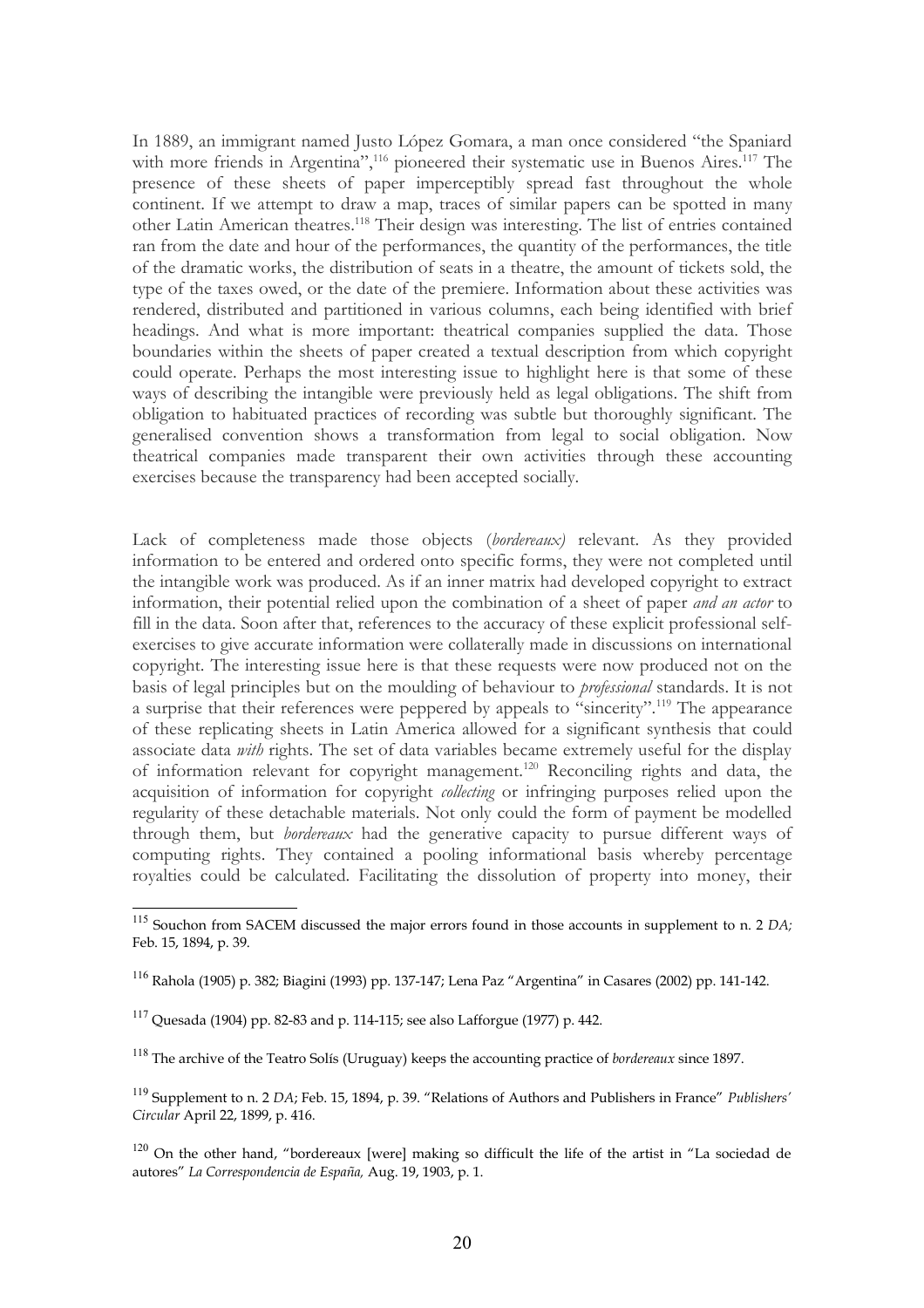In 1889, an immigrant named Justo López Gomara, a man once considered "the Spaniard with more friends in Argentina",<sup>[116](#page-19-1)</sup> pioneered their systematic use in Buenos Aires.<sup>[117](#page-19-2)</sup> The presence of these sheets of paper imperceptibly spread fast throughout the whole continent. If we attempt to draw a map, traces of similar papers can be spotted in many other Latin American theatres.[118](#page-19-3) Their design was interesting. The list of entries contained ran from the date and hour of the performances, the quantity of the performances, the title of the dramatic works, the distribution of seats in a theatre, the amount of tickets sold, the type of the taxes owed, or the date of the premiere. Information about these activities was rendered, distributed and partitioned in various columns, each being identified with brief headings. And what is more important: theatrical companies supplied the data. Those boundaries within the sheets of paper created a textual description from which copyright could operate. Perhaps the most interesting issue to highlight here is that some of these ways of describing the intangible were previously held as legal obligations. The shift from obligation to habituated practices of recording was subtle but thoroughly significant. The generalised convention shows a transformation from legal to social obligation. Now theatrical companies made transparent their own activities through these accounting exercises because the transparency had been accepted socially.

Lack of completeness made those objects (*bordereaux)* relevant. As they provided information to be entered and ordered onto specific forms, they were not completed until the intangible work was produced. As if an inner matrix had developed copyright to extract information, their potential relied upon the combination of a sheet of paper *and an actor* to fill in the data. Soon after that, references to the accuracy of these explicit professional selfexercises to give accurate information were collaterally made in discussions on international copyright. The interesting issue here is that these requests were now produced not on the basis of legal principles but on the moulding of behaviour to *professional* standards. It is not a surprise that their references were peppered by appeals to "sincerity".<sup>[119](#page-19-4)</sup> The appearance of these replicating sheets in Latin America allowed for a significant synthesis that could associate data *with* rights. The set of data variables became extremely useful for the display of information relevant for copyright management.[120](#page-19-5) Reconciling rights and data, the acquisition of information for copyright *collecting* or infringing purposes relied upon the regularity of these detachable materials. Not only could the form of payment be modelled through them, but *bordereaux* had the generative capacity to pursue different ways of computing rights. They contained a pooling informational basis whereby percentage royalties could be calculated. Facilitating the dissolution of property into money, their

<span id="page-19-0"></span><sup>115</sup> Souchon from SACEM discussed the major errors found in those accounts in supplement to n. 2 *DA;* Feb. 15, 1894, p. 39.

<span id="page-19-1"></span><sup>116</sup> Rahola (1905) p. 382; Biagini (1993) pp. 137-147; Lena Paz "Argentina" in Casares (2002) pp. 141-142.

<span id="page-19-2"></span> $117$  Quesada (1904) pp. 82-83 and p. 114-115; see also Lafforgue (1977) p. 442.

<span id="page-19-3"></span><sup>118</sup> The archive of the Teatro Solís (Uruguay) keeps the accounting practice of *bordereaux* since 1897.

<span id="page-19-4"></span><sup>119</sup> Supplement to n. 2 *DA*; Feb. 15, 1894, p. 39. "Relations of Authors and Publishers in France" *Publishers' Circular* April 22, 1899, p. 416.

<span id="page-19-5"></span><sup>&</sup>lt;sup>120</sup> On the other hand, "bordereaux [were] making so difficult the life of the artist in "La sociedad de autores" *La Correspondencia de España,* Aug. 19, 1903, p. 1.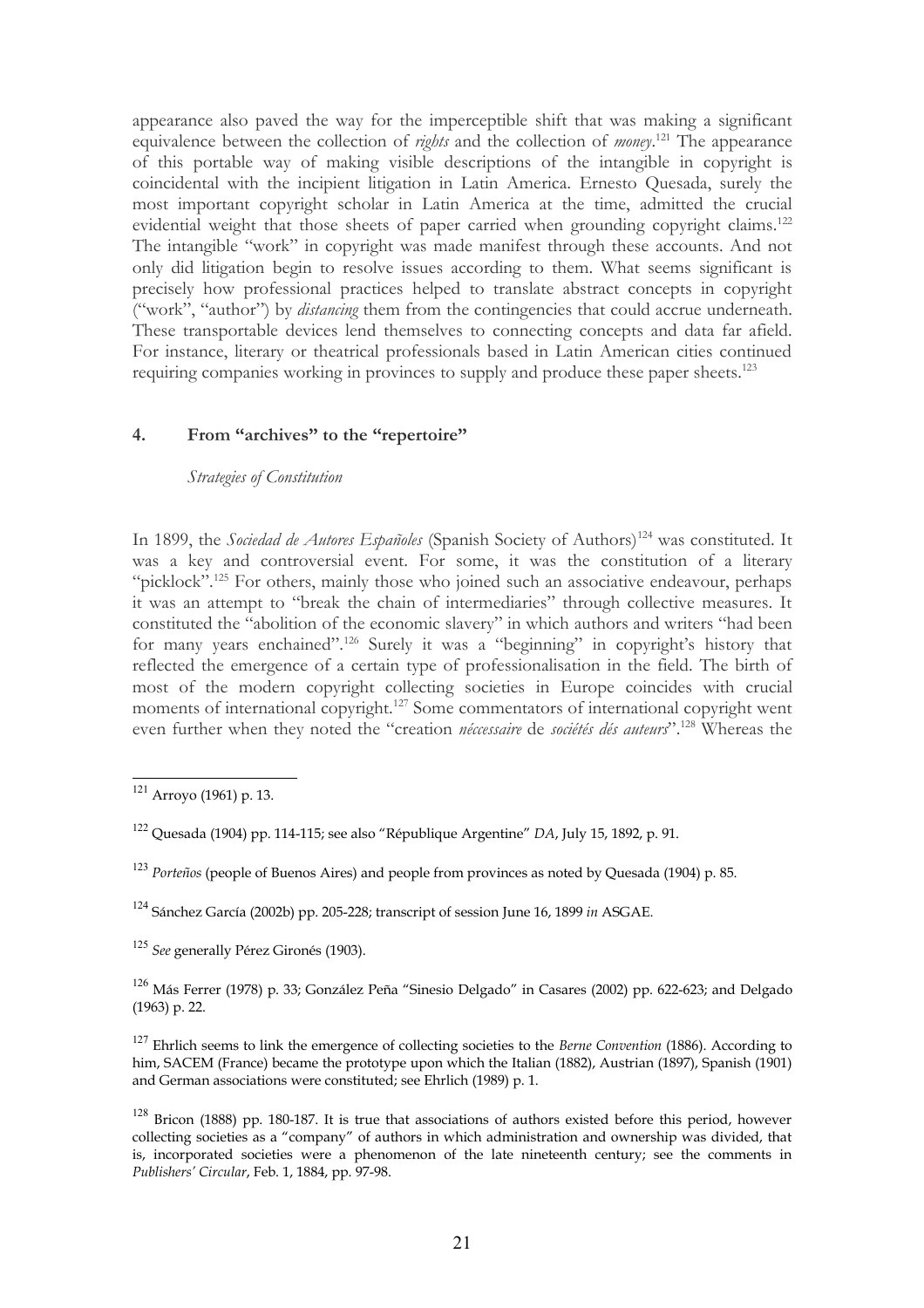appearance also paved the way for the imperceptible shift that was making a significant equivalence between the collection of *rights* and the collection of *money*. [121](#page-20-0) The appearance of this portable way of making visible descriptions of the intangible in copyright is coincidental with the incipient litigation in Latin America*.* Ernesto Quesada, surely the most important copyright scholar in Latin America at the time, admitted the crucial evidential weight that those sheets of paper carried when grounding copyright claims.<sup>[122](#page-20-1)</sup> The intangible "work" in copyright was made manifest through these accounts. And not only did litigation begin to resolve issues according to them. What seems significant is precisely how professional practices helped to translate abstract concepts in copyright ("work", "author") by *distancing* them from the contingencies that could accrue underneath. These transportable devices lend themselves to connecting concepts and data far afield. For instance, literary or theatrical professionals based in Latin American cities continued requiring companies working in provinces to supply and produce these paper sheets.<sup>[123](#page-20-2)</sup>

# **4. From "archives" to the "repertoire"**

### *Strategies of Constitution*

In 1899, the *Sociedad de Autores Españoles* (Spanish Society of Authors)<sup>[124](#page-20-3)</sup> was constituted. It was a key and controversial event. For some, it was the constitution of a literary "picklock".<sup>[125](#page-20-4)</sup> For others, mainly those who joined such an associative endeavour, perhaps it was an attempt to "break the chain of intermediaries" through collective measures. It constituted the "abolition of the economic slavery" in which authors and writers "had been for many years enchained".<sup>[126](#page-20-5)</sup> Surely it was a "beginning" in copyright's history that reflected the emergence of a certain type of professionalisation in the field. The birth of most of the modern copyright collecting societies in Europe coincides with crucial moments of international copyright.<sup>[127](#page-20-6)</sup> Some commentators of international copyright went even further when they noted the "creation *néccessaire* de *sociétés dés auteurs*".[128](#page-20-7) Whereas the

<span id="page-20-4"></span><sup>125</sup> *See* generally Pérez Gironés (1903).

<span id="page-20-5"></span><sup>126</sup> Más Ferrer (1978) p. 33; González Peña "Sinesio Delgado" in Casares (2002) pp. 622-623; and Delgado (1963) p. 22.

<span id="page-20-6"></span><sup>127</sup> Ehrlich seems to link the emergence of collecting societies to the *Berne Convention* (1886). According to him, SACEM (France) became the prototype upon which the Italian (1882), Austrian (1897), Spanish (1901) and German associations were constituted; see Ehrlich (1989) p. 1.

<span id="page-20-7"></span> $128$  Bricon (1888) pp. 180-187. It is true that associations of authors existed before this period, however collecting societies as a "company" of authors in which administration and ownership was divided, that is, incorporated societies were a phenomenon of the late nineteenth century; see the comments in *Publishers' Circular*, Feb. 1, 1884, pp. 97-98.

<span id="page-20-0"></span> $121$  Arroyo (1961) p. 13.

<span id="page-20-1"></span><sup>122</sup> Quesada (1904) pp. 114-115; see also "République Argentine" *DA*, July 15, 1892, p. 91.

<span id="page-20-2"></span><sup>123</sup> *Porteños* (people of Buenos Aires) and people from provinces as noted by Quesada (1904) p. 85.

<span id="page-20-3"></span><sup>124</sup> Sánchez García (2002b) pp. 205-228; transcript of session June 16, 1899 *in* ASGAE.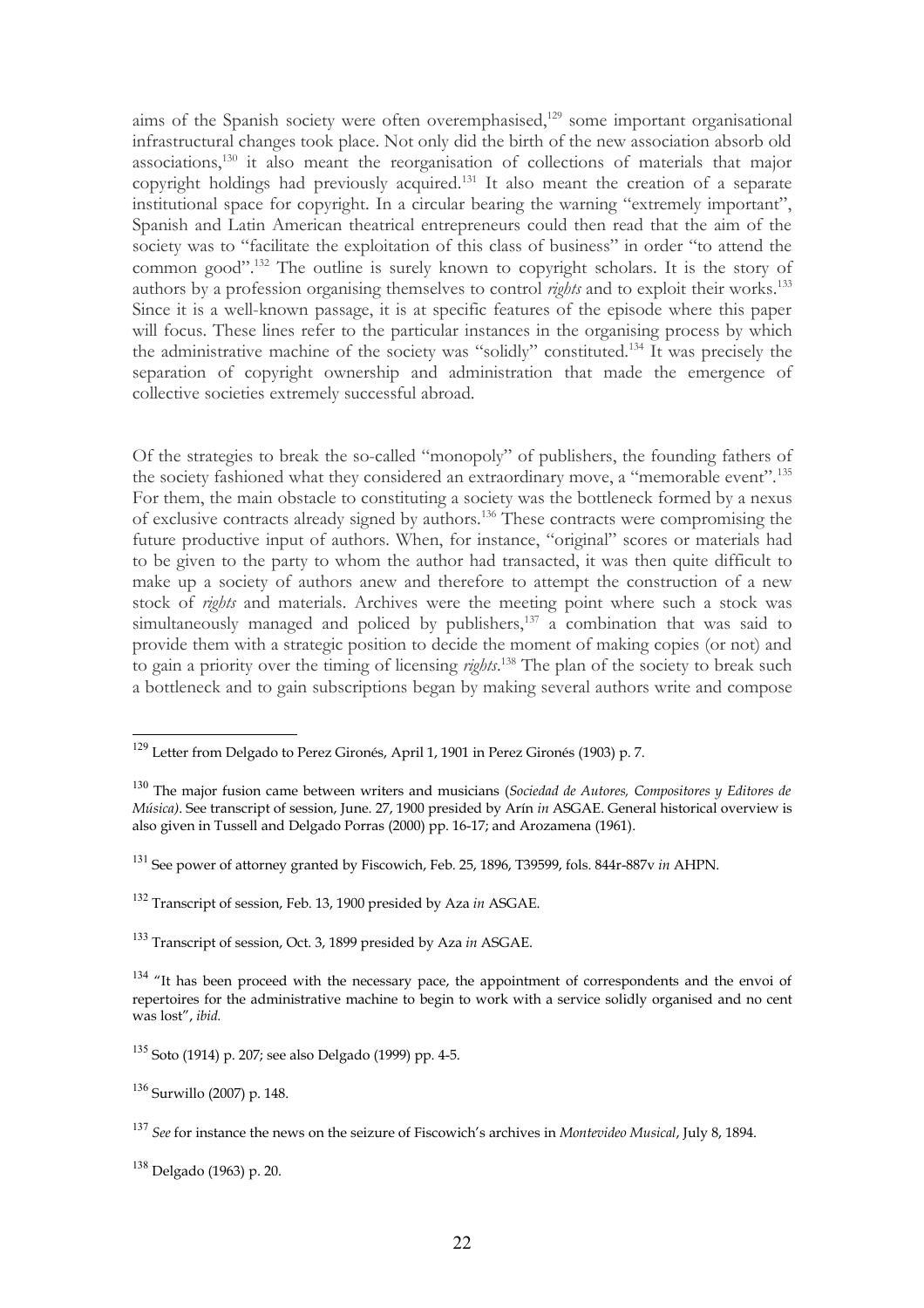aims of the Spanish society were often overemphasised,<sup>[129](#page-21-0)</sup> some important organisational infrastructural changes took place. Not only did the birth of the new association absorb old associations,[130](#page-21-1) it also meant the reorganisation of collections of materials that major copyright holdings had previously acquired.<sup>[131](#page-21-2)</sup> It also meant the creation of a separate institutional space for copyright. In a circular bearing the warning "extremely important", Spanish and Latin American theatrical entrepreneurs could then read that the aim of the society was to "facilitate the exploitation of this class of business" in order "to attend the common good".[132](#page-21-3) The outline is surely known to copyright scholars. It is the story of authors by a profession organising themselves to control *rights* and to exploit their works.<sup>[133](#page-21-4)</sup> Since it is a well-known passage, it is at specific features of the episode where this paper will focus. These lines refer to the particular instances in the organising process by which the administrative machine of the society was "solidly" constituted.[134](#page-21-5) It was precisely the separation of copyright ownership and administration that made the emergence of collective societies extremely successful abroad.

Of the strategies to break the so-called "monopoly" of publishers, the founding fathers of the society fashioned what they considered an extraordinary move, a "memorable event".[135](#page-21-6) For them, the main obstacle to constituting a society was the bottleneck formed by a nexus of exclusive contracts already signed by authors.[136](#page-21-7) These contracts were compromising the future productive input of authors. When, for instance, "original" scores or materials had to be given to the party to whom the author had transacted, it was then quite difficult to make up a society of authors anew and therefore to attempt the construction of a new stock of *rights* and materials. Archives were the meeting point where such a stock was simultaneously managed and policed by publishers, $137$  a combination that was said to provide them with a strategic position to decide the moment of making copies (or not) and to gain a priority over the timing of licensing *rights*. [138](#page-21-9) The plan of the society to break such a bottleneck and to gain subscriptions began by making several authors write and compose

<span id="page-21-0"></span><sup>129</sup> Letter from Delgado to Perez Gironés, April 1, 1901 in Perez Gironés (1903) p. 7.

<span id="page-21-1"></span><sup>130</sup> The major fusion came between writers and musicians (*Sociedad de Autores, Compositores y Editores de Música)*. See transcript of session, June. 27, 1900 presided by Arín *in* ASGAE. General historical overview is also given in Tussell and Delgado Porras (2000) pp. 16-17; and Arozamena (1961).

<span id="page-21-2"></span><sup>131</sup> See power of attorney granted by Fiscowich, Feb. 25, 1896, T39599, fols. 844r-887v *in* AHPN.

<span id="page-21-3"></span><sup>132</sup> Transcript of session, Feb. 13, 1900 presided by Aza *in* ASGAE.

<span id="page-21-4"></span><sup>133</sup> Transcript of session, Oct. 3, 1899 presided by Aza *in* ASGAE.

<span id="page-21-5"></span> $134$  "It has been proceed with the necessary pace, the appointment of correspondents and the envoi of repertoires for the administrative machine to begin to work with a service solidly organised and no cent was lost", *ibid.*

<span id="page-21-6"></span><sup>135</sup> Soto (1914) p. 207; see also Delgado (1999) pp. 4-5.

<span id="page-21-7"></span><sup>136</sup> Surwillo (2007) p. 148.

<span id="page-21-8"></span><sup>137</sup> *See* for instance the news on the seizure of Fiscowich's archives in *Montevideo Musical*, July 8, 1894.

<span id="page-21-9"></span><sup>138</sup> Delgado (1963) p. 20.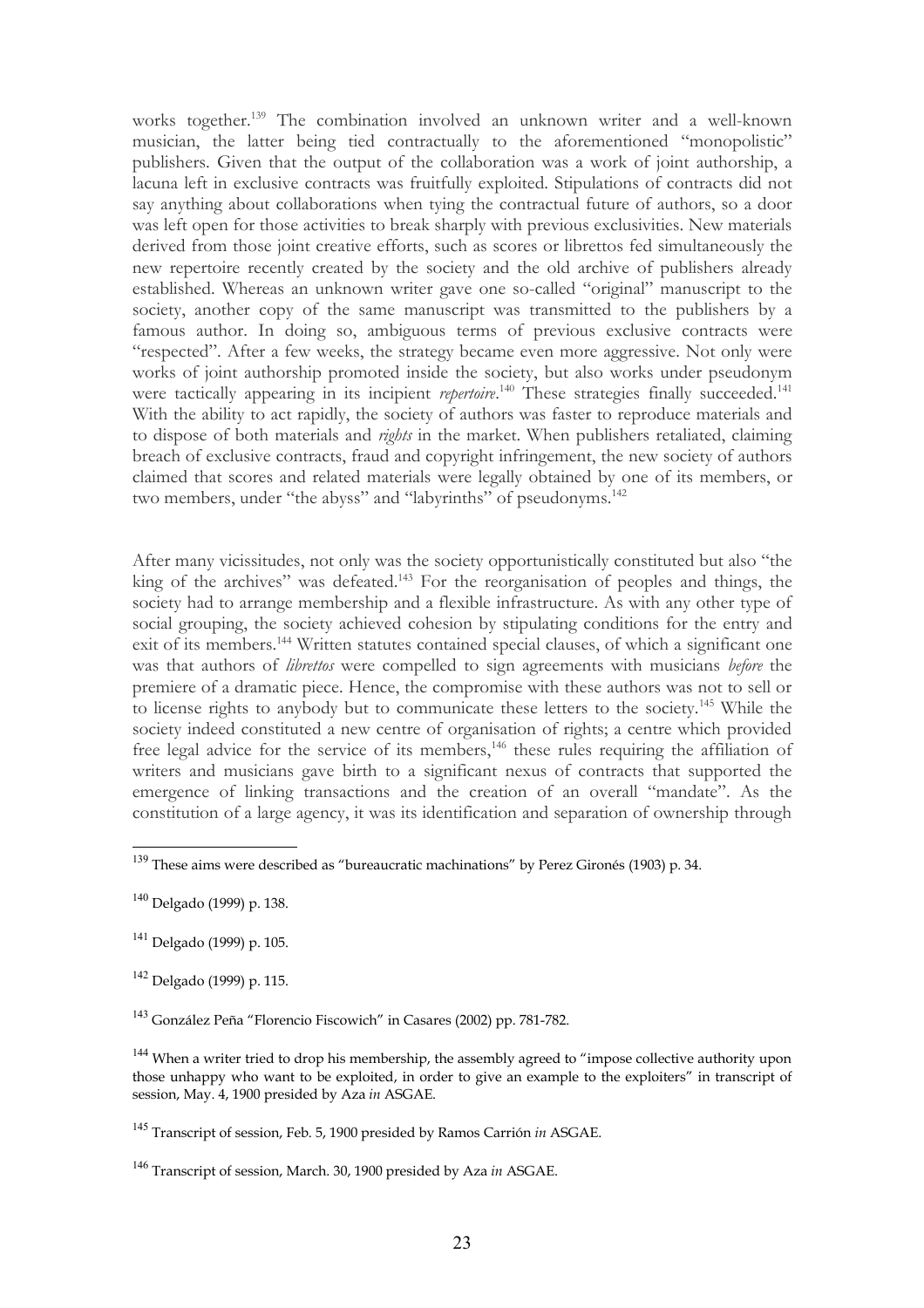works together.<sup>[139](#page-22-0)</sup> The combination involved an unknown writer and a well-known musician, the latter being tied contractually to the aforementioned "monopolistic" publishers. Given that the output of the collaboration was a work of joint authorship, a lacuna left in exclusive contracts was fruitfully exploited. Stipulations of contracts did not say anything about collaborations when tying the contractual future of authors, so a door was left open for those activities to break sharply with previous exclusivities. New materials derived from those joint creative efforts, such as scores or librettos fed simultaneously the new repertoire recently created by the society and the old archive of publishers already established. Whereas an unknown writer gave one so-called "original" manuscript to the society, another copy of the same manuscript was transmitted to the publishers by a famous author. In doing so, ambiguous terms of previous exclusive contracts were "respected". After a few weeks, the strategy became even more aggressive. Not only were works of joint authorship promoted inside the society, but also works under pseudonym were tactically appearing in its incipient *repertoire*.<sup>[140](#page-22-1)</sup> These strategies finally succeeded.<sup>[141](#page-22-2)</sup> With the ability to act rapidly, the society of authors was faster to reproduce materials and to dispose of both materials and *rights* in the market. When publishers retaliated, claiming breach of exclusive contracts, fraud and copyright infringement, the new society of authors claimed that scores and related materials were legally obtained by one of its members, or two members, under "the abyss" and "labyrinths" of pseudonyms.<sup>[142](#page-22-3)</sup>

After many vicissitudes, not only was the society opportunistically constituted but also "the king of the archives" was defeated.<sup>[143](#page-22-4)</sup> For the reorganisation of peoples and things, the society had to arrange membership and a flexible infrastructure. As with any other type of social grouping, the society achieved cohesion by stipulating conditions for the entry and exit of its members.<sup>[144](#page-22-5)</sup> Written statutes contained special clauses, of which a significant one was that authors of *librettos* were compelled to sign agreements with musicians *before* the premiere of a dramatic piece. Hence, the compromise with these authors was not to sell or to license rights to anybody but to communicate these letters to the society.<sup>[145](#page-22-6)</sup> While the society indeed constituted a new centre of organisation of rights; a centre which provided free legal advice for the service of its members,<sup>[146](#page-22-7)</sup> these rules requiring the affiliation of writers and musicians gave birth to a significant nexus of contracts that supported the emergence of linking transactions and the creation of an overall "mandate". As the constitution of a large agency, it was its identification and separation of ownership through

<span id="page-22-0"></span> $\frac{139}{139}$  These aims were described as "bureaucratic machinations" by Perez Gironés (1903) p. 34.

<span id="page-22-1"></span><sup>140</sup> Delgado (1999) p. 138.

<span id="page-22-2"></span><sup>141</sup> Delgado (1999) p. 105.

<span id="page-22-3"></span><sup>142</sup> Delgado (1999) p. 115.

<span id="page-22-4"></span><sup>143</sup> González Peña "Florencio Fiscowich" in Casares (2002) pp. 781-782.

<span id="page-22-5"></span><sup>&</sup>lt;sup>144</sup> When a writer tried to drop his membership, the assembly agreed to "impose collective authority upon those unhappy who want to be exploited, in order to give an example to the exploiters" in transcript of session, May. 4, 1900 presided by Aza *in* ASGAE.

<span id="page-22-6"></span><sup>145</sup> Transcript of session, Feb. 5, 1900 presided by Ramos Carrión *in* ASGAE.

<span id="page-22-7"></span><sup>146</sup> Transcript of session, March. 30, 1900 presided by Aza *in* ASGAE.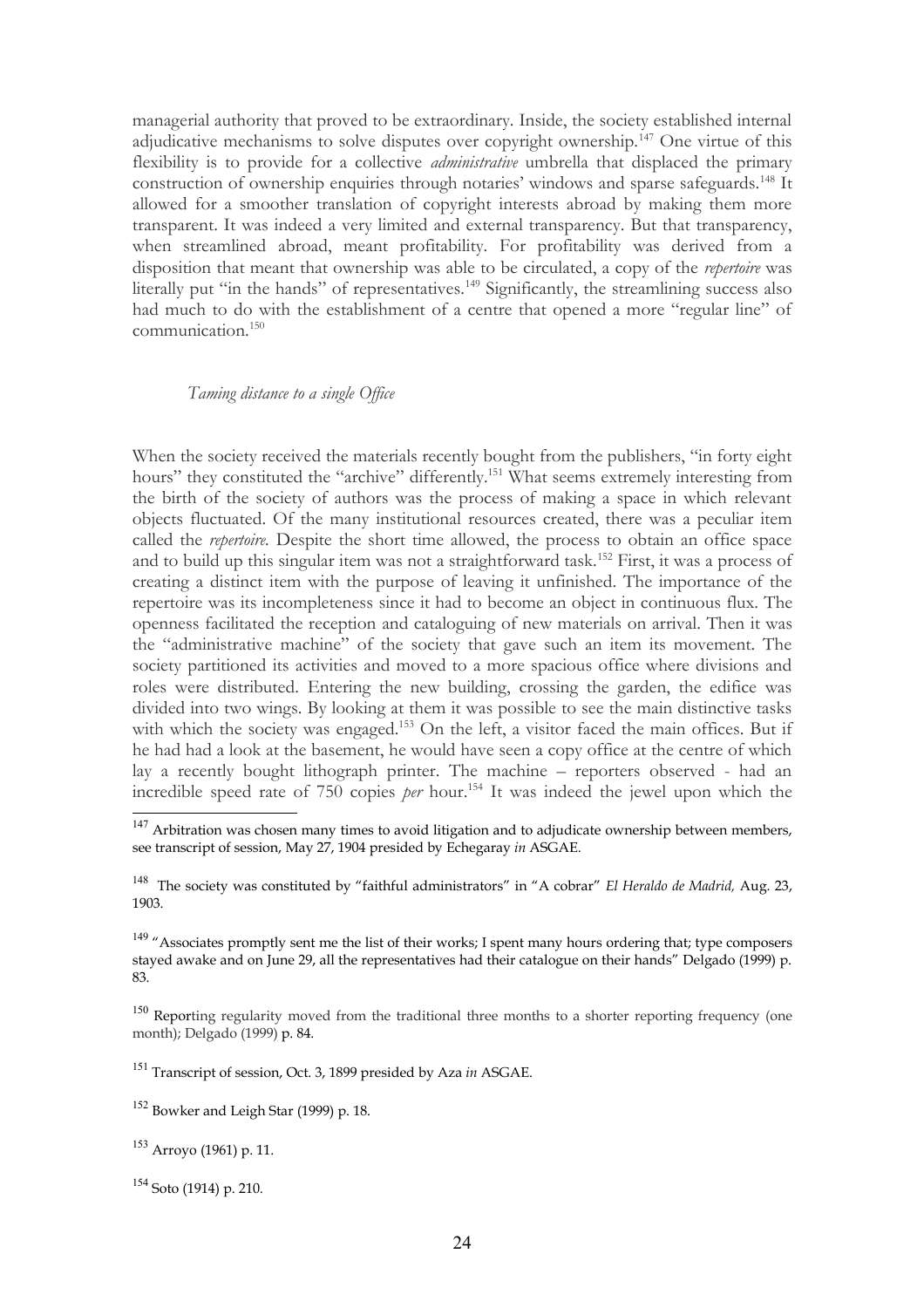managerial authority that proved to be extraordinary. Inside, the society established internal adjudicative mechanisms to solve disputes over copyright ownership.<sup>[147](#page-23-0)</sup> One virtue of this flexibility is to provide for a collective *administrative* umbrella that displaced the primary construction of ownership enquiries through notaries' windows and sparse safeguards.<sup>[148](#page-23-1)</sup> It allowed for a smoother translation of copyright interests abroad by making them more transparent. It was indeed a very limited and external transparency. But that transparency, when streamlined abroad, meant profitability. For profitability was derived from a disposition that meant that ownership was able to be circulated, a copy of the *repertoire* was literally put "in the hands" of representatives.<sup>[149](#page-23-2)</sup> Significantly, the streamlining success also had much to do with the establishment of a centre that opened a more "regular line" of communication.[150](#page-23-3)

## *Taming distance to a single Office*

When the society received the materials recently bought from the publishers, "in forty eight hours" they constituted the "archive" differently.<sup>[151](#page-23-4)</sup> What seems extremely interesting from the birth of the society of authors was the process of making a space in which relevant objects fluctuated. Of the many institutional resources created, there was a peculiar item called the *repertoire.* Despite the short time allowed, the process to obtain an office space and to build up this singular item was not a straightforward task.<sup>[152](#page-23-5)</sup> First, it was a process of creating a distinct item with the purpose of leaving it unfinished. The importance of the repertoire was its incompleteness since it had to become an object in continuous flux. The openness facilitated the reception and cataloguing of new materials on arrival. Then it was the "administrative machine" of the society that gave such an item its movement. The society partitioned its activities and moved to a more spacious office where divisions and roles were distributed. Entering the new building, crossing the garden, the edifice was divided into two wings. By looking at them it was possible to see the main distinctive tasks with which the society was engaged.<sup>[153](#page-23-6)</sup> On the left, a visitor faced the main offices. But if he had had a look at the basement, he would have seen a copy office at the centre of which lay a recently bought lithograph printer. The machine – reporters observed - had an incredible speed rate of 750 copies *per* hour.[154](#page-23-7) It was indeed the jewel upon which the

<span id="page-23-4"></span><sup>151</sup> Transcript of session, Oct. 3, 1899 presided by Aza *in* ASGAE.

<span id="page-23-6"></span><sup>153</sup> Arroyo (1961) p. 11.

<span id="page-23-7"></span> $154$  Soto (1914) p. 210.

<span id="page-23-0"></span> $147$  Arbitration was chosen many times to avoid litigation and to adjudicate ownership between members, see transcript of session, May 27, 1904 presided by Echegaray *in* ASGAE.

<span id="page-23-1"></span><sup>148</sup> The society was constituted by "faithful administrators" in "A cobrar" *El Heraldo de Madrid,* Aug. 23, 1903.

<span id="page-23-2"></span> $149$  "Associates promptly sent me the list of their works; I spent many hours ordering that; type composers stayed awake and on June 29, all the representatives had their catalogue on their hands" Delgado (1999) p. 83.

<span id="page-23-3"></span><sup>&</sup>lt;sup>150</sup> Reporting regularity moved from the traditional three months to a shorter reporting frequency (one month); Delgado (1999) p. 84.

<span id="page-23-5"></span><sup>152</sup> Bowker and Leigh Star (1999) p. 18.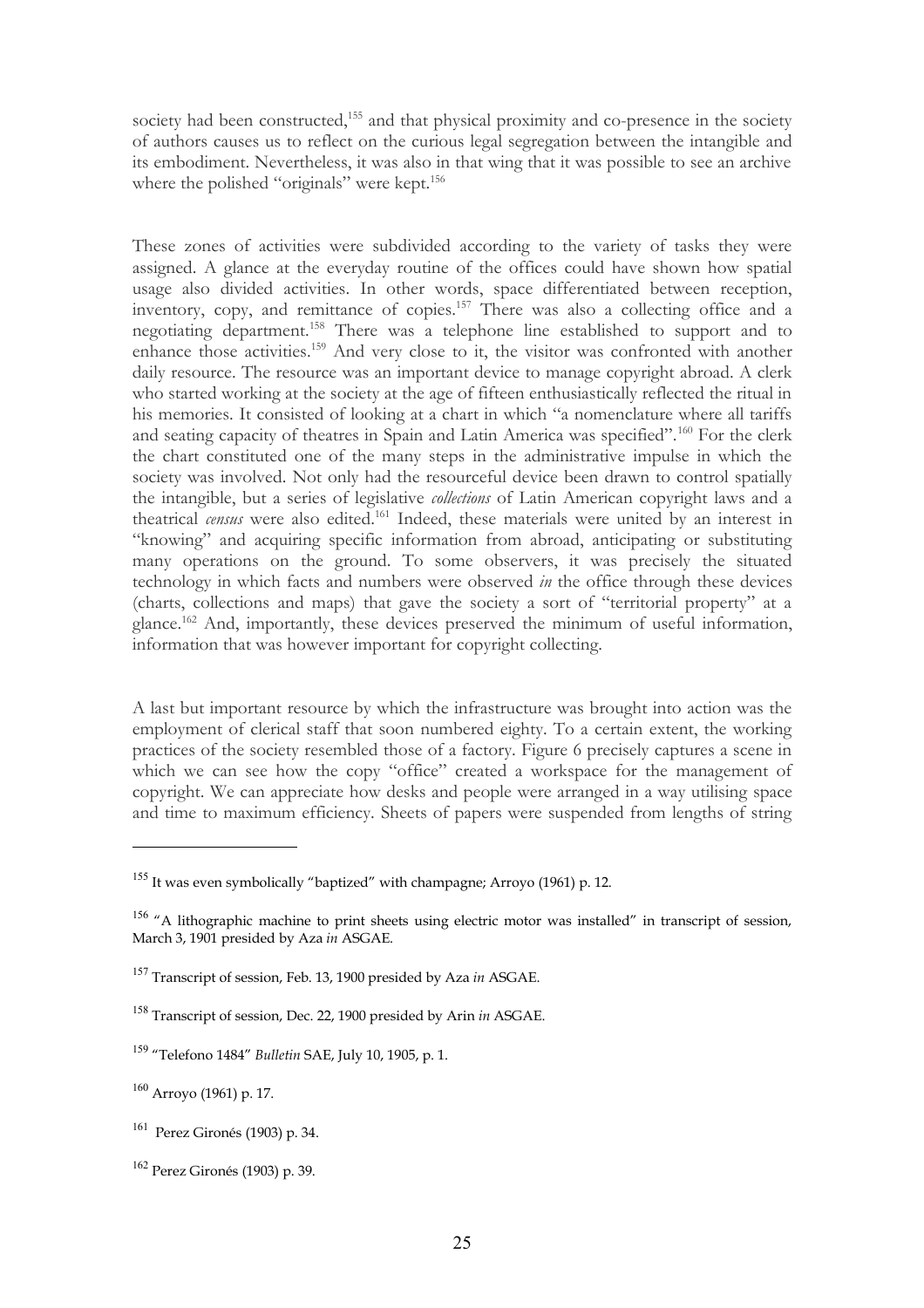society had been constructed,<sup>[155](#page-24-0)</sup> and that physical proximity and co-presence in the society of authors causes us to reflect on the curious legal segregation between the intangible and its embodiment. Nevertheless, it was also in that wing that it was possible to see an archive where the polished "originals" were kept.<sup>[156](#page-24-1)</sup>

These zones of activities were subdivided according to the variety of tasks they were assigned. A glance at the everyday routine of the offices could have shown how spatial usage also divided activities. In other words, space differentiated between reception, inventory, copy, and remittance of copies.[157](#page-24-2) There was also a collecting office and a negotiating department.[158](#page-24-3) There was a telephone line established to support and to enhance those activities.[159](#page-24-4) And very close to it, the visitor was confronted with another daily resource. The resource was an important device to manage copyright abroad. A clerk who started working at the society at the age of fifteen enthusiastically reflected the ritual in his memories. It consisted of looking at a chart in which "a nomenclature where all tariffs and seating capacity of theatres in Spain and Latin America was specified".<sup>[160](#page-24-5)</sup> For the clerk the chart constituted one of the many steps in the administrative impulse in which the society was involved. Not only had the resourceful device been drawn to control spatially the intangible, but a series of legislative *collections* of Latin American copyright laws and a theatrical *census* were also edited.[161](#page-24-6) Indeed, these materials were united by an interest in "knowing" and acquiring specific information from abroad, anticipating or substituting many operations on the ground. To some observers, it was precisely the situated technology in which facts and numbers were observed *in* the office through these devices (charts, collections and maps) that gave the society a sort of "territorial property" at a glance.[162](#page-24-7) And, importantly, these devices preserved the minimum of useful information, information that was however important for copyright collecting.

A last but important resource by which the infrastructure was brought into action was the employment of clerical staff that soon numbered eighty. To a certain extent, the working practices of the society resembled those of a factory. Figure 6 precisely captures a scene in which we can see how the copy "office" created a workspace for the management of copyright. We can appreciate how desks and people were arranged in a way utilising space and time to maximum efficiency. Sheets of papers were suspended from lengths of string

<span id="page-24-0"></span><sup>&</sup>lt;sup>155</sup> It was even symbolically "baptized" with champagne; Arroyo (1961) p. 12.

<span id="page-24-1"></span><sup>&</sup>lt;sup>156</sup> "A lithographic machine to print sheets using electric motor was installed" in transcript of session, March 3, 1901 presided by Aza *in* ASGAE.

<span id="page-24-2"></span><sup>157</sup> Transcript of session, Feb. 13, 1900 presided by Aza *in* ASGAE.

<span id="page-24-3"></span><sup>158</sup> Transcript of session, Dec. 22, 1900 presided by Arin *in* ASGAE.

<span id="page-24-4"></span><sup>159</sup> "Telefono 1484" *Bulletin* SAE, July 10, 1905, p. 1.

<span id="page-24-5"></span><sup>160</sup> Arroyo (1961) p. 17.

<span id="page-24-6"></span><sup>161</sup> Perez Gironés (1903) p. 34.

<span id="page-24-7"></span><sup>162</sup> Perez Gironés (1903) p. 39.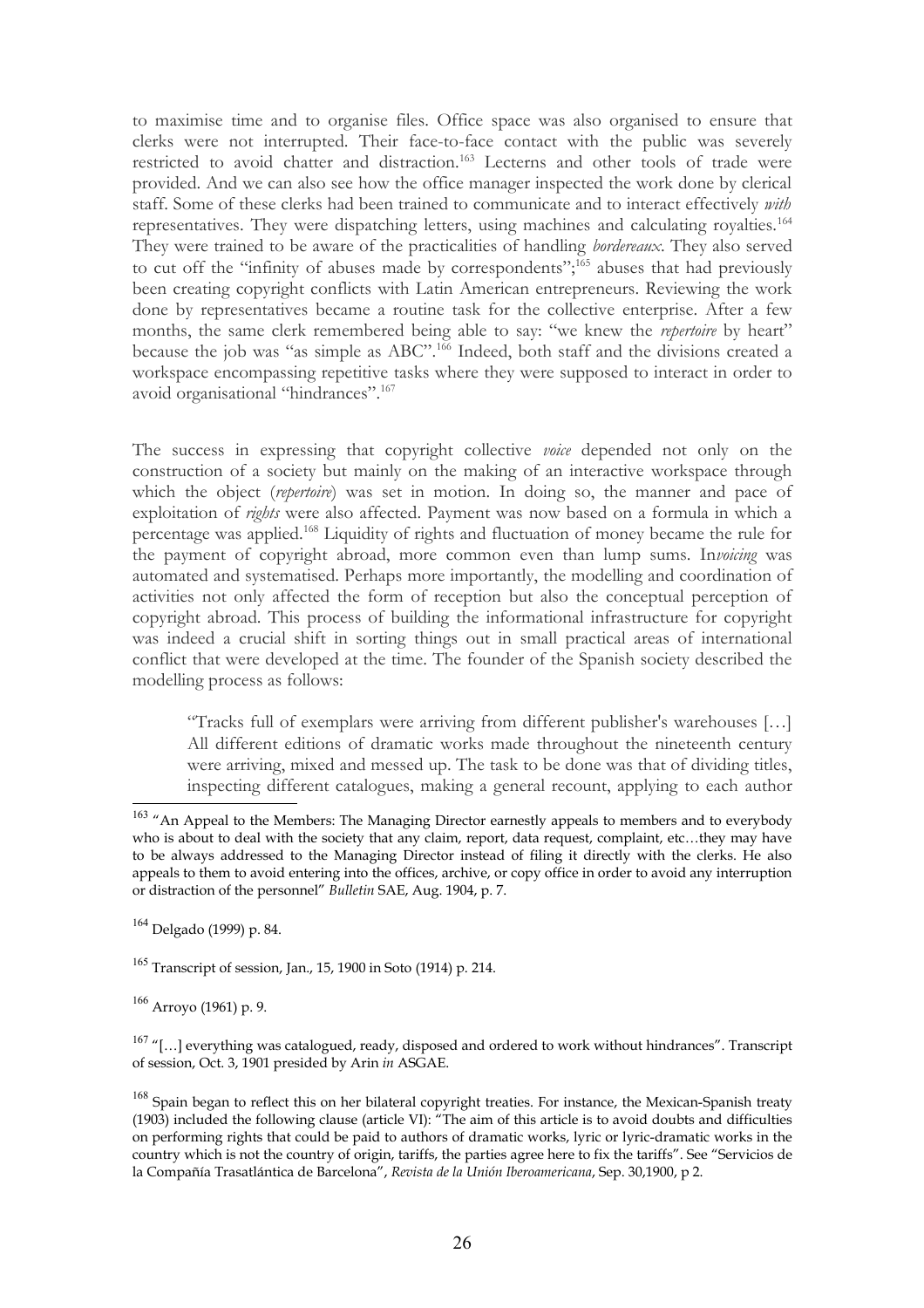to maximise time and to organise files. Office space was also organised to ensure that clerks were not interrupted. Their face-to-face contact with the public was severely restricted to avoid chatter and distraction.<sup>[163](#page-25-0)</sup> Lecterns and other tools of trade were provided. And we can also see how the office manager inspected the work done by clerical staff. Some of these clerks had been trained to communicate and to interact effectively *with* representatives. They were dispatching letters, using machines and calculating royalties.[164](#page-25-1) They were trained to be aware of the practicalities of handling *bordereaux*. They also served to cut off the "infinity of abuses made by correspondents";<sup>[165](#page-25-2)</sup> abuses that had previously been creating copyright conflicts with Latin American entrepreneurs. Reviewing the work done by representatives became a routine task for the collective enterprise. After a few months, the same clerk remembered being able to say: "we knew the *repertoire* by heart" because the job was "as simple as ABC".<sup>[166](#page-25-3)</sup> Indeed, both staff and the divisions created a workspace encompassing repetitive tasks where they were supposed to interact in order to avoid organisational "hindrances".<sup>[167](#page-25-4)</sup>

The success in expressing that copyright collective *voice* depended not only on the construction of a society but mainly on the making of an interactive workspace through which the object (*repertoire*) was set in motion. In doing so, the manner and pace of exploitation of *rights* were also affected. Payment was now based on a formula in which a percentage was applied.[168](#page-25-5) Liquidity of rights and fluctuation of money became the rule for the payment of copyright abroad, more common even than lump sums. In*voicing* was automated and systematised. Perhaps more importantly, the modelling and coordination of activities not only affected the form of reception but also the conceptual perception of copyright abroad. This process of building the informational infrastructure for copyright was indeed a crucial shift in sorting things out in small practical areas of international conflict that were developed at the time. The founder of the Spanish society described the modelling process as follows:

"Tracks full of exemplars were arriving from different publisher's warehouses […] All different editions of dramatic works made throughout the nineteenth century were arriving, mixed and messed up. The task to be done was that of dividing titles, inspecting different catalogues, making a general recount, applying to each author

<span id="page-25-1"></span> $164$  Delgado (1999) p. 84.

<span id="page-25-2"></span><sup>165</sup> Transcript of session, Jan., 15, 1900 in Soto (1914) p. 214.

<span id="page-25-3"></span> $166$  Arroyo (1961) p. 9.

<span id="page-25-4"></span> $167$  "[...] everything was catalogued, ready, disposed and ordered to work without hindrances". Transcript of session, Oct. 3, 1901 presided by Arin *in* ASGAE.

<span id="page-25-5"></span><sup>168</sup> Spain began to reflect this on her bilateral copyright treaties. For instance, the Mexican-Spanish treaty (1903) included the following clause (article VI): "The aim of this article is to avoid doubts and difficulties on performing rights that could be paid to authors of dramatic works, lyric or lyric-dramatic works in the country which is not the country of origin, tariffs, the parties agree here to fix the tariffs". See "Servicios de la Compañía Trasatlántica de Barcelona", *Revista de la Unión Iberoamericana*, Sep. 30,1900, p 2.

<span id="page-25-0"></span><sup>&</sup>lt;sup>163</sup> "An Appeal to the Members: The Managing Director earnestly appeals to members and to everybody who is about to deal with the society that any claim, report, data request, complaint, etc...they may have to be always addressed to the Managing Director instead of filing it directly with the clerks. He also appeals to them to avoid entering into the offices, archive, or copy office in order to avoid any interruption or distraction of the personnel" *Bulletin* SAE, Aug. 1904, p. 7.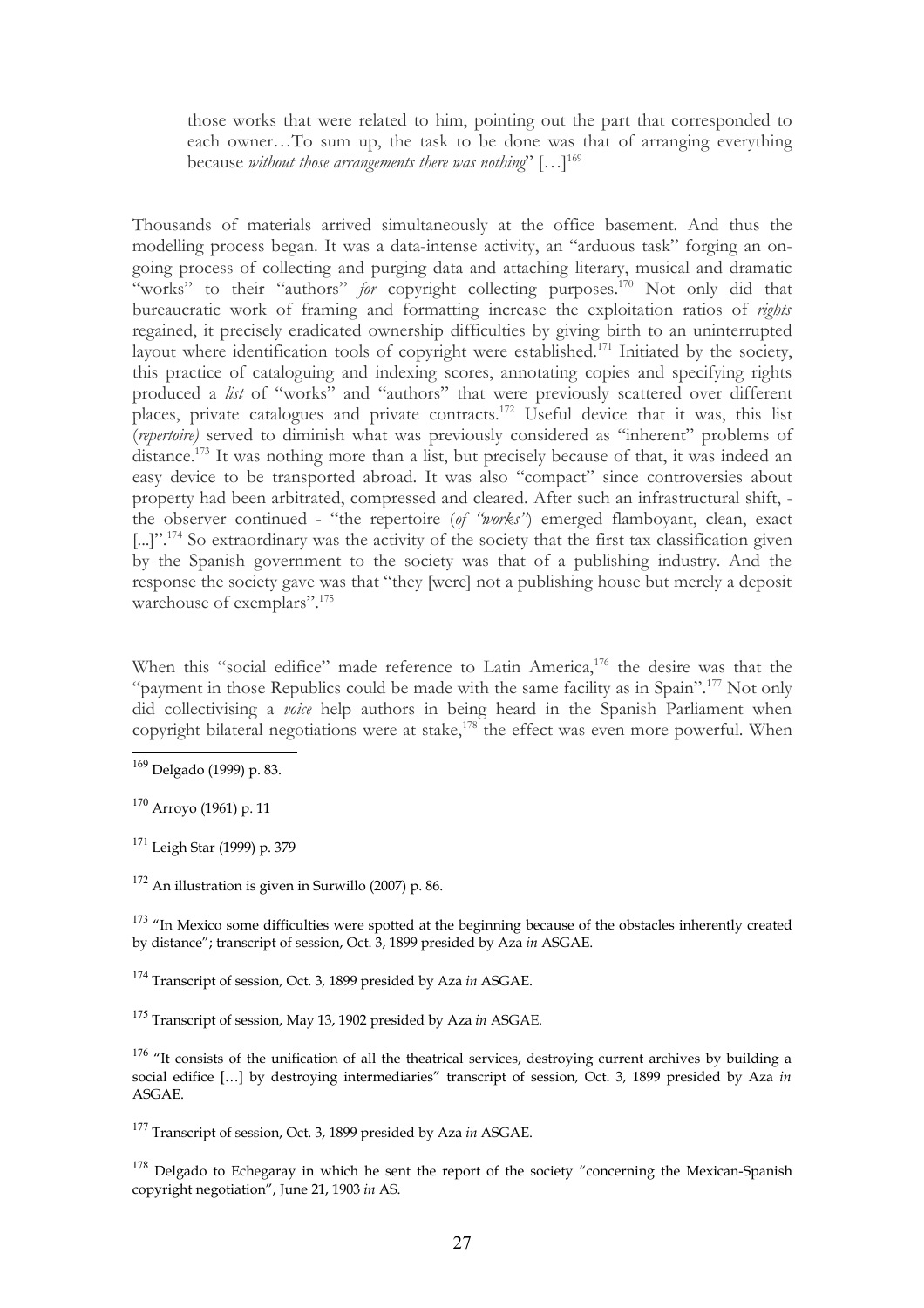those works that were related to him, pointing out the part that corresponded to each owner…To sum up, the task to be done was that of arranging everything because *without those arrangements there was nothing*" […][169](#page-26-0)

Thousands of materials arrived simultaneously at the office basement. And thus the modelling process began. It was a data-intense activity, an "arduous task" forging an ongoing process of collecting and purging data and attaching literary, musical and dramatic "works" to their "authors" *for* copyright collecting purposes.<sup>[170](#page-26-1)</sup> Not only did that bureaucratic work of framing and formatting increase the exploitation ratios of *rights* regained, it precisely eradicated ownership difficulties by giving birth to an uninterrupted layout where identification tools of copyright were established.<sup>[171](#page-26-2)</sup> Initiated by the society, this practice of cataloguing and indexing scores, annotating copies and specifying rights produced a *list* of "works" and "authors" that were previously scattered over different places, private catalogues and private contracts.[172](#page-26-3) Useful device that it was, this list (*repertoire)* served to diminish what was previously considered as "inherent" problems of distance.<sup>[173](#page-26-4)</sup> It was nothing more than a list, but precisely because of that, it was indeed an easy device to be transported abroad. It was also "compact" since controversies about property had been arbitrated, compressed and cleared. After such an infrastructural shift, the observer continued - "the repertoire (*of "works"*) emerged flamboyant, clean, exact [...]".<sup>[174](#page-26-5)</sup> So extraordinary was the activity of the society that the first tax classification given by the Spanish government to the society was that of a publishing industry. And the response the society gave was that "they [were] not a publishing house but merely a deposit warehouse of exemplars".<sup>[175](#page-26-6)</sup>

When this "social edifice" made reference to Latin America,<sup>[176](#page-26-7)</sup> the desire was that the "payment in those Republics could be made with the same facility as in Spain".<sup>[177](#page-26-8)</sup> Not only did collectivising a *voice* help authors in being heard in the Spanish Parliament when copyright bilateral negotiations were at stake, $178$  the effect was even more powerful. When

<span id="page-26-4"></span> $173$  "In Mexico some difficulties were spotted at the beginning because of the obstacles inherently created by distance"; transcript of session, Oct. 3, 1899 presided by Aza *in* ASGAE.

<span id="page-26-5"></span><sup>174</sup> Transcript of session, Oct. 3, 1899 presided by Aza *in* ASGAE.

<span id="page-26-8"></span><sup>177</sup> Transcript of session, Oct. 3, 1899 presided by Aza *in* ASGAE.

<span id="page-26-9"></span> $178$  Delgado to Echegaray in which he sent the report of the society "concerning the Mexican-Spanish copyright negotiation", June 21, 1903 *in* AS.

<span id="page-26-0"></span><sup>169</sup> Delgado (1999) p. 83.

<span id="page-26-1"></span> $170$  Arrovo (1961) p. 11

<span id="page-26-2"></span><sup>171</sup> Leigh Star (1999) p. 379

<span id="page-26-3"></span> $172$  An illustration is given in Surwillo (2007) p. 86.

<span id="page-26-6"></span><sup>175</sup> Transcript of session, May 13, 1902 presided by Aza *in* ASGAE.

<span id="page-26-7"></span> $176$  "It consists of the unification of all the theatrical services, destroying current archives by building a social edifice […] by destroying intermediaries" transcript of session, Oct. 3, 1899 presided by Aza *in* ASGAE.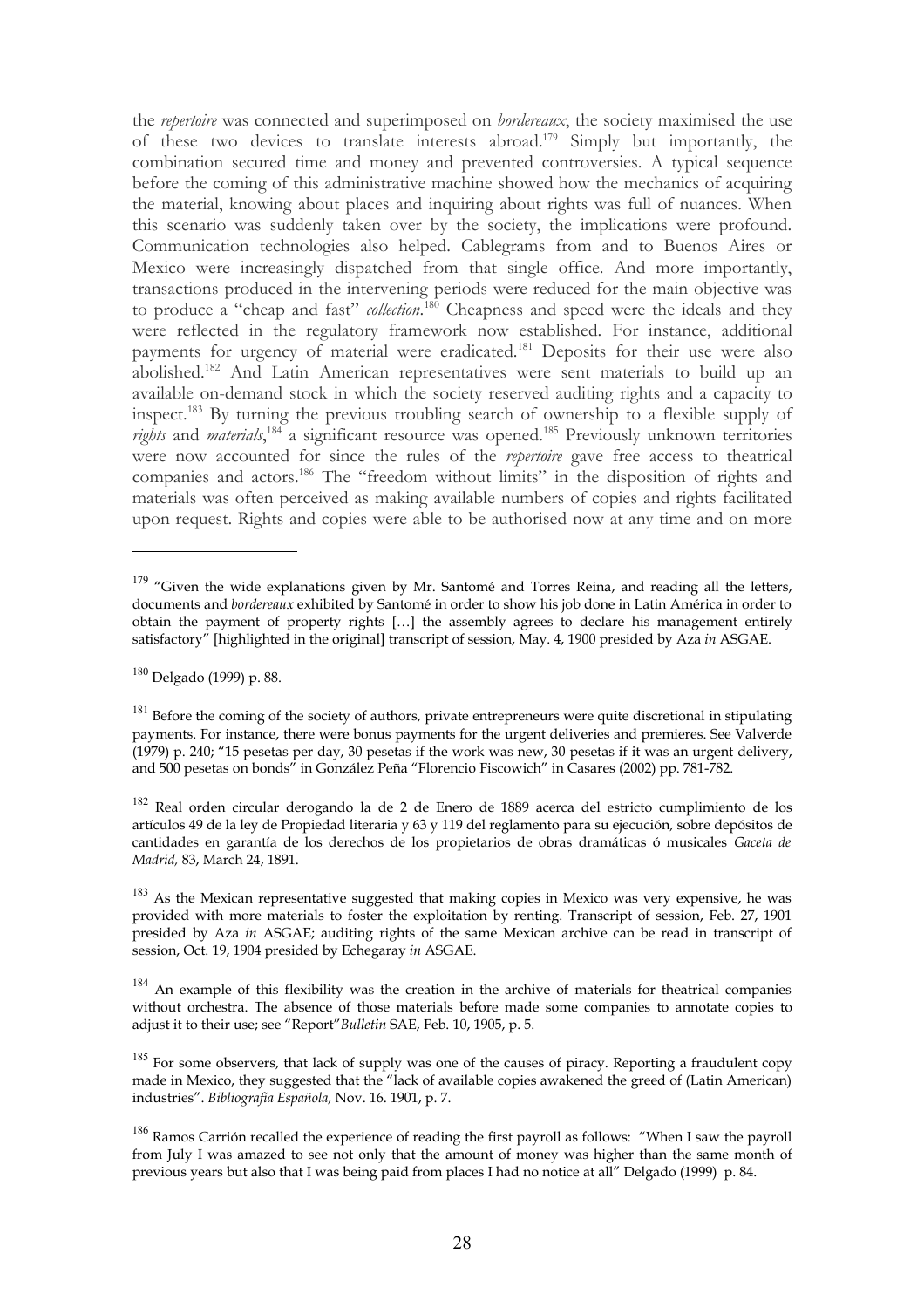the *repertoire* was connected and superimposed on *bordereaux*, the society maximised the use of these two devices to translate interests abroad.[179](#page-27-0) Simply but importantly, the combination secured time and money and prevented controversies. A typical sequence before the coming of this administrative machine showed how the mechanics of acquiring the material, knowing about places and inquiring about rights was full of nuances. When this scenario was suddenly taken over by the society, the implications were profound. Communication technologies also helped. Cablegrams from and to Buenos Aires or Mexico were increasingly dispatched from that single office. And more importantly, transactions produced in the intervening periods were reduced for the main objective was to produce a "cheap and fast" *collection*. [180](#page-27-1) Cheapness and speed were the ideals and they were reflected in the regulatory framework now established. For instance, additional payments for urgency of material were eradicated.<sup>[181](#page-27-2)</sup> Deposits for their use were also abolished.[182](#page-27-3) And Latin American representatives were sent materials to build up an available on-demand stock in which the society reserved auditing rights and a capacity to inspect.[183](#page-27-4) By turning the previous troubling search of ownership to a flexible supply of rights and *materials*,<sup>[184](#page-27-5)</sup> a significant resource was opened.<sup>[185](#page-27-6)</sup> Previously unknown territories were now accounted for since the rules of the *repertoire* gave free access to theatrical companies and actors.<sup>[186](#page-27-7)</sup> The "freedom without limits" in the disposition of rights and materials was often perceived as making available numbers of copies and rights facilitated upon request. Rights and copies were able to be authorised now at any time and on more

<span id="page-27-0"></span><sup>&</sup>lt;sup>179</sup> "Given the wide explanations given by Mr. Santomé and Torres Reina, and reading all the letters, documents and *bordereaux* exhibited by Santomé in order to show his job done in Latin América in order to obtain the payment of property rights […] the assembly agrees to declare his management entirely satisfactory" [highlighted in the original] transcript of session, May. 4, 1900 presided by Aza *in* ASGAE.

<span id="page-27-1"></span><sup>180</sup> Delgado (1999) p. 88.

<span id="page-27-2"></span><sup>&</sup>lt;sup>181</sup> Before the coming of the society of authors, private entrepreneurs were quite discretional in stipulating payments. For instance, there were bonus payments for the urgent deliveries and premieres. See Valverde (1979) p. 240; "15 pesetas per day, 30 pesetas if the work was new, 30 pesetas if it was an urgent delivery, and 500 pesetas on bonds" in González Peña "Florencio Fiscowich" in Casares (2002) pp. 781-782.

<span id="page-27-3"></span> $182$  Real orden circular derogando la de 2 de Enero de 1889 acerca del estricto cumplimiento de los artículos 49 de la ley de Propiedad literaria y 63 y 119 del reglamento para su ejecución, sobre depósitos de cantidades en garantía de los derechos de los propietarios de obras dramáticas ó musicales *Gaceta de Madrid,* 83, March 24, 1891.

<span id="page-27-4"></span><sup>&</sup>lt;sup>183</sup> As the Mexican representative suggested that making copies in Mexico was very expensive, he was provided with more materials to foster the exploitation by renting. Transcript of session, Feb. 27, 1901 presided by Aza *in* ASGAE; auditing rights of the same Mexican archive can be read in transcript of session, Oct. 19, 1904 presided by Echegaray *in* ASGAE.

<span id="page-27-5"></span><sup>&</sup>lt;sup>184</sup> An example of this flexibility was the creation in the archive of materials for theatrical companies without orchestra. The absence of those materials before made some companies to annotate copies to adjust it to their use; see "Report"*Bulletin* SAE, Feb. 10, 1905, p. 5.

<span id="page-27-6"></span><sup>&</sup>lt;sup>185</sup> For some observers, that lack of supply was one of the causes of piracy. Reporting a fraudulent copy made in Mexico, they suggested that the "lack of available copies awakened the greed of (Latin American) industries". *Bibliografía Española,* Nov. 16. 1901, p. 7.

<span id="page-27-7"></span><sup>&</sup>lt;sup>186</sup> Ramos Carrión recalled the experience of reading the first payroll as follows: "When I saw the payroll from July I was amazed to see not only that the amount of money was higher than the same month of previous years but also that I was being paid from places I had no notice at all" Delgado (1999) p. 84.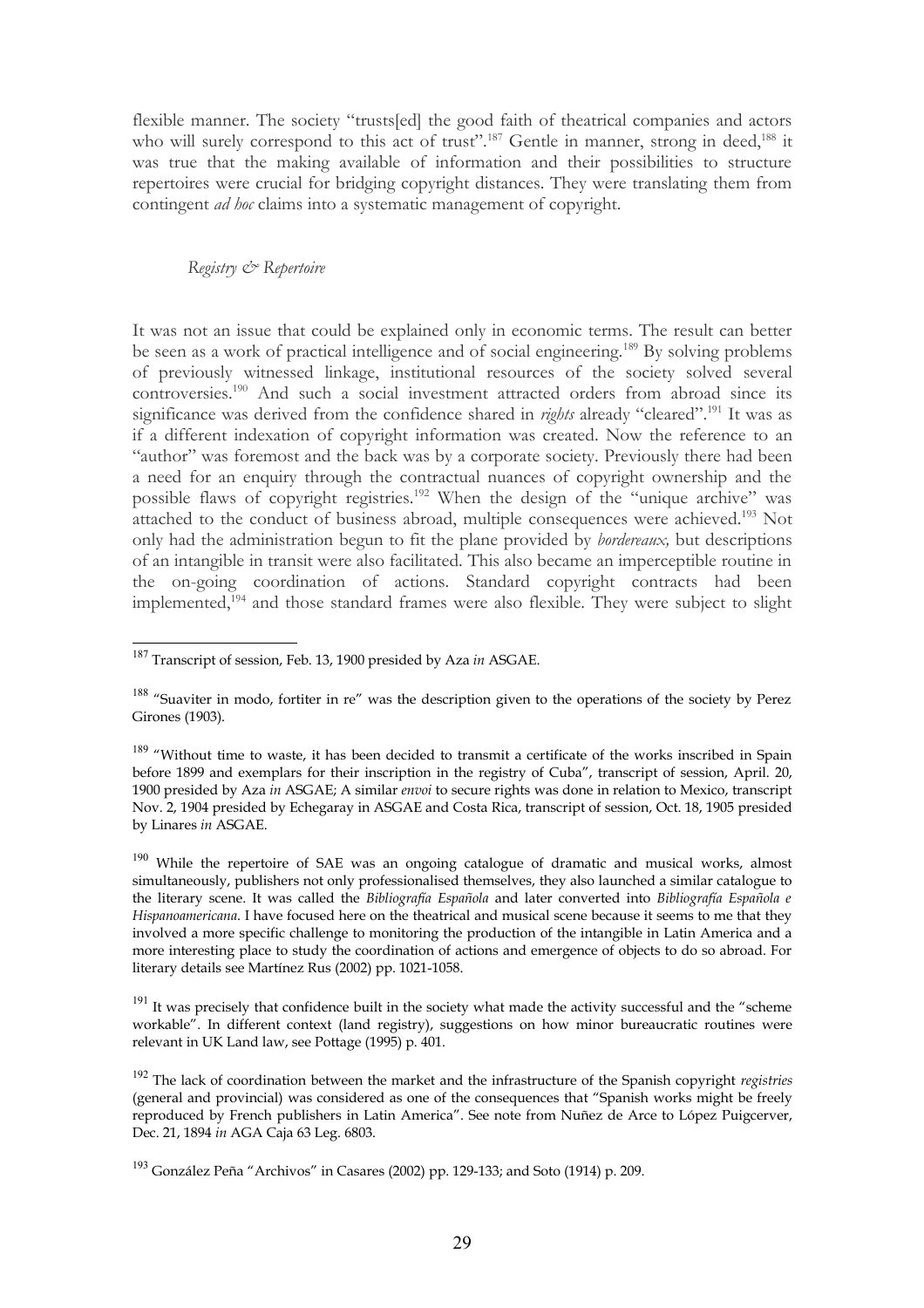flexible manner. The society "trusts[ed] the good faith of theatrical companies and actors who will surely correspond to this act of trust".<sup>[187](#page-28-0)</sup> Gentle in manner, strong in deed,<sup>[188](#page-28-1)</sup> it was true that the making available of information and their possibilities to structure repertoires were crucial for bridging copyright distances. They were translating them from contingent *ad hoc* claims into a systematic management of copyright.

*Registry & Repertoire*

It was not an issue that could be explained only in economic terms. The result can better be seen as a work of practical intelligence and of social engineering.<sup>[189](#page-28-2)</sup> By solving problems of previously witnessed linkage, institutional resources of the society solved several controversies.[190](#page-28-3) And such a social investment attracted orders from abroad since its significance was derived from the confidence shared in *rights* already "cleared".<sup>[191](#page-28-4)</sup> It was as if a different indexation of copyright information was created. Now the reference to an "author" was foremost and the back was by a corporate society. Previously there had been a need for an enquiry through the contractual nuances of copyright ownership and the possible flaws of copyright registries.[192](#page-28-5) When the design of the "unique archive" was attached to the conduct of business abroad, multiple consequences were achieved.<sup>[193](#page-28-6)</sup> Not only had the administration begun to fit the plane provided by *bordereaux,* but descriptions of an intangible in transit were also facilitated. This also became an imperceptible routine in the on-going coordination of actions. Standard copyright contracts had been implemented,<sup>[194](#page-29-0)</sup> and those standard frames were also flexible. They were subject to slight

<span id="page-28-0"></span><sup>187</sup> Transcript of session, Feb. 13, 1900 presided by Aza *in* ASGAE.

<span id="page-28-1"></span><sup>&</sup>lt;sup>188</sup> "Suaviter in modo, fortiter in re" was the description given to the operations of the society by Perez Girones (1903).

<span id="page-28-2"></span><sup>&</sup>lt;sup>189</sup> "Without time to waste, it has been decided to transmit a certificate of the works inscribed in Spain before 1899 and exemplars for their inscription in the registry of Cuba", transcript of session, April. 20, 1900 presided by Aza *in* ASGAE; A similar *envoi* to secure rights was done in relation to Mexico, transcript Nov. 2, 1904 presided by Echegaray in ASGAE and Costa Rica, transcript of session, Oct. 18, 1905 presided by Linares *in* ASGAE.

<span id="page-28-3"></span><sup>&</sup>lt;sup>190</sup> While the repertoire of SAE was an ongoing catalogue of dramatic and musical works, almost simultaneously, publishers not only professionalised themselves, they also launched a similar catalogue to the literary scene. It was called the *Bibliografía Española* and later converted into *Bibliografía Española e Hispanoamericana*. I have focused here on the theatrical and musical scene because it seems to me that they involved a more specific challenge to monitoring the production of the intangible in Latin America and a more interesting place to study the coordination of actions and emergence of objects to do so abroad. For literary details see Martínez Rus (2002) pp. 1021-1058.

<span id="page-28-4"></span><sup>&</sup>lt;sup>191</sup> It was precisely that confidence built in the society what made the activity successful and the "scheme workable". In different context (land registry), suggestions on how minor bureaucratic routines were relevant in UK Land law, see Pottage (1995) p. 401.

<span id="page-28-5"></span><sup>192</sup> The lack of coordination between the market and the infrastructure of the Spanish copyright *registries* (general and provincial) was considered as one of the consequences that "Spanish works might be freely reproduced by French publishers in Latin America". See note from Nuñez de Arce to López Puigcerver, Dec. 21, 1894 *in* AGA Caja 63 Leg. 6803.

<span id="page-28-6"></span><sup>193</sup> González Peña "Archivos" in Casares (2002) pp. 129-133; and Soto (1914) p. 209.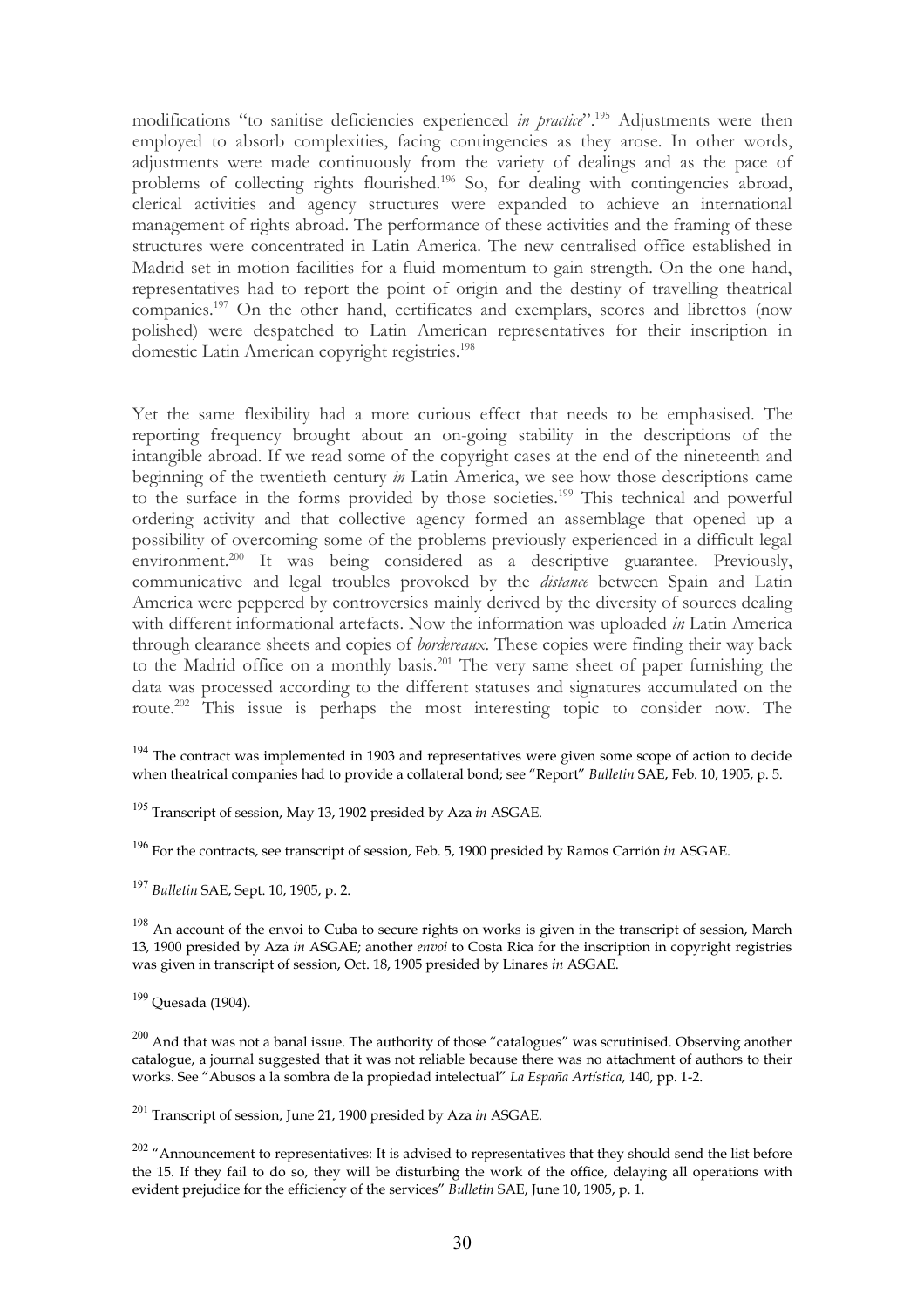modifications "to sanitise deficiencies experienced *in practice*".[195](#page-29-1) Adjustments were then employed to absorb complexities, facing contingencies as they arose. In other words, adjustments were made continuously from the variety of dealings and as the pace of problems of collecting rights flourished.<sup>[196](#page-29-2)</sup> So, for dealing with contingencies abroad, clerical activities and agency structures were expanded to achieve an international management of rights abroad. The performance of these activities and the framing of these structures were concentrated in Latin America. The new centralised office established in Madrid set in motion facilities for a fluid momentum to gain strength. On the one hand, representatives had to report the point of origin and the destiny of travelling theatrical companies.[197](#page-29-3) On the other hand, certificates and exemplars, scores and librettos (now polished) were despatched to Latin American representatives for their inscription in domestic Latin American copyright registries.<sup>[198](#page-29-4)</sup>

Yet the same flexibility had a more curious effect that needs to be emphasised. The reporting frequency brought about an on-going stability in the descriptions of the intangible abroad. If we read some of the copyright cases at the end of the nineteenth and beginning of the twentieth century *in* Latin America, we see how those descriptions came to the surface in the forms provided by those societies.<sup>[199](#page-29-5)</sup> This technical and powerful ordering activity and that collective agency formed an assemblage that opened up a possibility of overcoming some of the problems previously experienced in a difficult legal environment.<sup>[200](#page-29-6)</sup> It was being considered as a descriptive guarantee. Previously, communicative and legal troubles provoked by the *distance* between Spain and Latin America were peppered by controversies mainly derived by the diversity of sources dealing with different informational artefacts. Now the information was uploaded *in* Latin America through clearance sheets and copies of *bordereaux.* These copies were finding their way back to the Madrid office on a monthly basis.[201](#page-29-7) The very same sheet of paper furnishing the data was processed according to the different statuses and signatures accumulated on the route.[202](#page-29-8) This issue is perhaps the most interesting topic to consider now. The

<span id="page-29-2"></span><sup>196</sup> For the contracts, see transcript of session, Feb. 5, 1900 presided by Ramos Carrión *in* ASGAE.

<span id="page-29-3"></span><sup>197</sup> *Bulletin* SAE, Sept. 10, 1905, p. 2.

<span id="page-29-5"></span><sup>199</sup> Quesada (1904).

<span id="page-29-7"></span><sup>201</sup> Transcript of session, June 21, 1900 presided by Aza *in* ASGAE.

<span id="page-29-0"></span><sup>&</sup>lt;sup>194</sup> The contract was implemented in 1903 and representatives were given some scope of action to decide when theatrical companies had to provide a collateral bond; see "Report" *Bulletin* SAE, Feb. 10, 1905, p. 5.

<span id="page-29-1"></span><sup>195</sup> Transcript of session, May 13, 1902 presided by Aza *in* ASGAE.

<span id="page-29-4"></span> $198$  An account of the envoi to Cuba to secure rights on works is given in the transcript of session, March 13, 1900 presided by Aza *in* ASGAE; another *envoi* to Costa Rica for the inscription in copyright registries was given in transcript of session, Oct. 18, 1905 presided by Linares *in* ASGAE.

<span id="page-29-6"></span> $200$  And that was not a banal issue. The authority of those "catalogues" was scrutinised. Observing another catalogue, a journal suggested that it was not reliable because there was no attachment of authors to their works. See "Abusos a la sombra de la propiedad intelectual" *La España Artística*, 140, pp. 1-2.

<span id="page-29-8"></span> $202$  "Announcement to representatives: It is advised to representatives that they should send the list before the 15. If they fail to do so, they will be disturbing the work of the office, delaying all operations with evident prejudice for the efficiency of the services" *Bulletin* SAE, June 10, 1905, p. 1.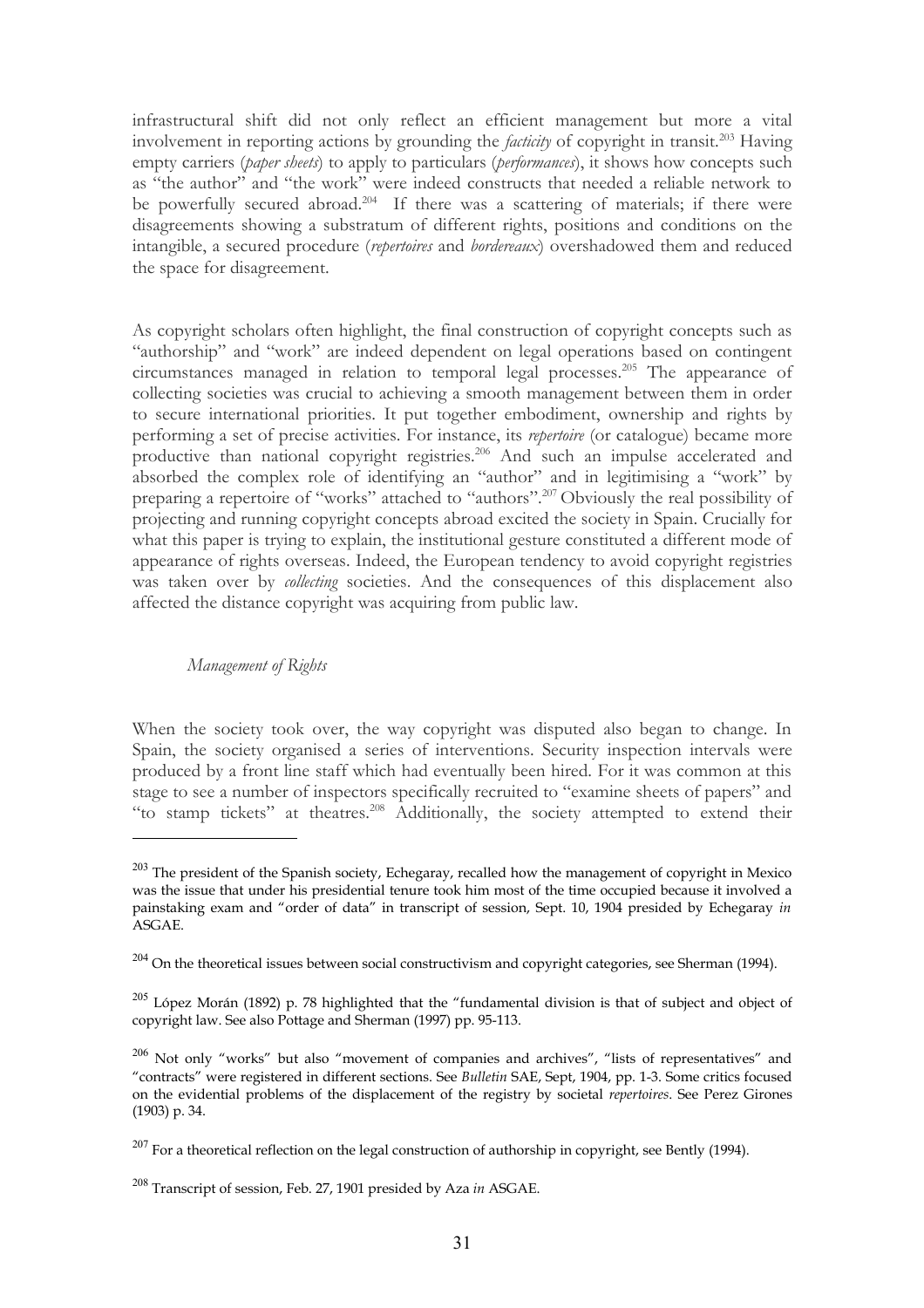infrastructural shift did not only reflect an efficient management but more a vital involvement in reporting actions by grounding the *facticity* of copyright in transit.[203](#page-30-0) Having empty carriers (*paper sheets*) to apply to particulars (*performances*), it shows how concepts such as "the author" and "the work" were indeed constructs that needed a reliable network to be powerfully secured abroad.<sup>[204](#page-30-1)</sup> If there was a scattering of materials; if there were disagreements showing a substratum of different rights, positions and conditions on the intangible, a secured procedure (*repertoires* and *bordereaux*) overshadowed them and reduced the space for disagreement.

As copyright scholars often highlight, the final construction of copyright concepts such as "authorship" and "work" are indeed dependent on legal operations based on contingent circumstances managed in relation to temporal legal processes.[205](#page-30-2) The appearance of collecting societies was crucial to achieving a smooth management between them in order to secure international priorities. It put together embodiment, ownership and rights by performing a set of precise activities. For instance, its *repertoire* (or catalogue) became more productive than national copyright registries.<sup>[206](#page-30-3)</sup> And such an impulse accelerated and absorbed the complex role of identifying an "author" and in legitimising a "work" by preparing a repertoire of "works" attached to "authors".[207](#page-30-4) Obviously the real possibility of projecting and running copyright concepts abroad excited the society in Spain. Crucially for what this paper is trying to explain, the institutional gesture constituted a different mode of appearance of rights overseas. Indeed, the European tendency to avoid copyright registries was taken over by *collecting* societies. And the consequences of this displacement also affected the distance copyright was acquiring from public law.

# *Management of Rights*

When the society took over, the way copyright was disputed also began to change. In Spain, the society organised a series of interventions. Security inspection intervals were produced by a front line staff which had eventually been hired. For it was common at this stage to see a number of inspectors specifically recruited to "examine sheets of papers" and "to stamp tickets" at theatres.<sup>[208](#page-30-5)</sup> Additionally, the society attempted to extend their

<span id="page-30-0"></span><sup>&</sup>lt;sup>203</sup> The president of the Spanish society, Echegaray, recalled how the management of copyright in Mexico was the issue that under his presidential tenure took him most of the time occupied because it involved a painstaking exam and "order of data" in transcript of session, Sept. 10, 1904 presided by Echegaray *in* ASGAE.

<span id="page-30-1"></span> $204$  On the theoretical issues between social constructivism and copyright categories, see Sherman (1994).

<span id="page-30-2"></span> $^{205}$  López Morán (1892) p. 78 highlighted that the "fundamental division is that of subject and object of copyright law. See also Pottage and Sherman (1997) pp. 95-113.

<span id="page-30-3"></span> $206$  Not only "works" but also "movement of companies and archives", "lists of representatives" and "contracts" were registered in different sections. See *Bulletin* SAE, Sept, 1904, pp. 1-3. Some critics focused on the evidential problems of the displacement of the registry by societal *repertoires*. See Perez Girones (1903) p. 34.

<span id="page-30-4"></span> $^{207}$  For a theoretical reflection on the legal construction of authorship in copyright, see Bently (1994).

<span id="page-30-5"></span><sup>208</sup> Transcript of session, Feb. 27, 1901 presided by Aza *in* ASGAE.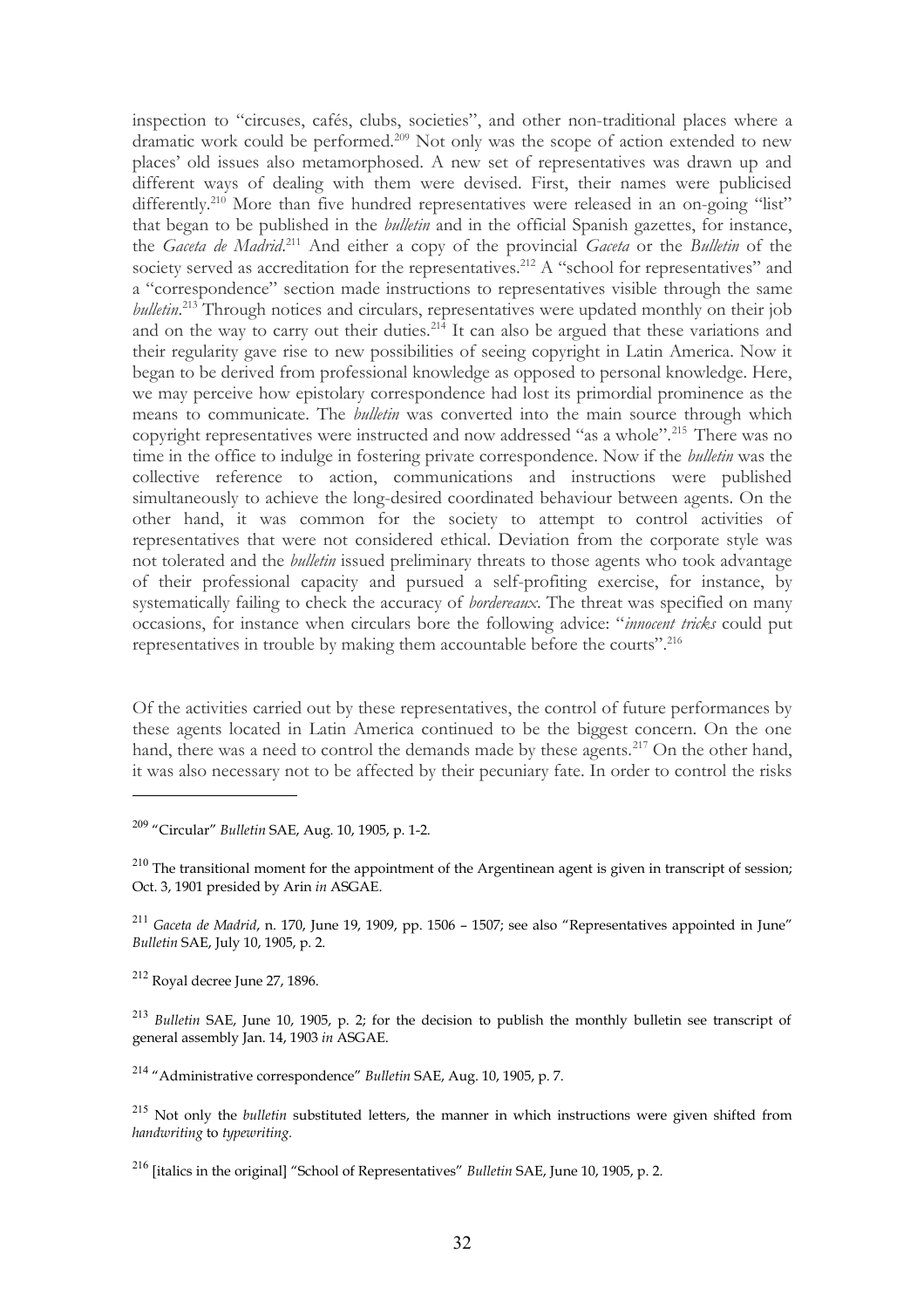inspection to "circuses, cafés, clubs, societies", and other non-traditional places where a dramatic work could be performed.<sup>[209](#page-31-0)</sup> Not only was the scope of action extended to new places' old issues also metamorphosed. A new set of representatives was drawn up and different ways of dealing with them were devised. First, their names were publicised differently.<sup>[210](#page-31-1)</sup> More than five hundred representatives were released in an on-going "list" that began to be published in the *bulletin* and in the official Spanish gazettes, for instance, the *Gaceta de Madrid*. [211](#page-31-2) And either a copy of the provincial *Gaceta* or the *Bulletin* of the society served as accreditation for the representatives.<sup>[212](#page-31-3)</sup> A "school for representatives" and a "correspondence" section made instructions to representatives visible through the same *bulletin*. [213](#page-31-4) Through notices and circulars, representatives were updated monthly on their job and on the way to carry out their duties.<sup>[214](#page-31-5)</sup> It can also be argued that these variations and their regularity gave rise to new possibilities of seeing copyright in Latin America. Now it began to be derived from professional knowledge as opposed to personal knowledge. Here, we may perceive how epistolary correspondence had lost its primordial prominence as the means to communicate. The *bulletin* was converted into the main source through which copyright representatives were instructed and now addressed "as a whole".<sup>[215](#page-31-6)</sup> There was no time in the office to indulge in fostering private correspondence. Now if the *bulletin* was the collective reference to action, communications and instructions were published simultaneously to achieve the long-desired coordinated behaviour between agents. On the other hand, it was common for the society to attempt to control activities of representatives that were not considered ethical. Deviation from the corporate style was not tolerated and the *bulletin* issued preliminary threats to those agents who took advantage of their professional capacity and pursued a self-profiting exercise, for instance, by systematically failing to check the accuracy of *bordereaux*. The threat was specified on many occasions, for instance when circulars bore the following advice: "*innocent tricks* could put representatives in trouble by making them accountable before the courts".[216](#page-31-7)

Of the activities carried out by these representatives, the control of future performances by these agents located in Latin America continued to be the biggest concern. On the one hand, there was a need to control the demands made by these agents.<sup>[217](#page-32-0)</sup> On the other hand, it was also necessary not to be affected by their pecuniary fate. In order to control the risks

<span id="page-31-2"></span><sup>211</sup> *Gaceta de Madrid*, n. 170, June 19, 1909, pp. 1506 – 1507; see also "Representatives appointed in June" *Bulletin* SAE, July 10, 1905, p. 2.

<span id="page-31-3"></span><sup>212</sup> Royal decree June 27, 1896.

<span id="page-31-4"></span><sup>213</sup> *Bulletin* SAE, June 10, 1905, p. 2; for the decision to publish the monthly bulletin see transcript of general assembly Jan. 14, 1903 *in* ASGAE.

<span id="page-31-5"></span><sup>214</sup> "Administrative correspondence" *Bulletin* SAE, Aug. 10, 1905, p. 7.

<span id="page-31-6"></span><sup>215</sup> Not only the *bulletin* substituted letters, the manner in which instructions were given shifted from *handwriting* to *typewriting.* 

<span id="page-31-7"></span><sup>216</sup> [italics in the original] "School of Representatives" *Bulletin* SAE, June 10, 1905, p. 2.

<span id="page-31-0"></span><sup>209</sup> "Circular" *Bulletin* SAE, Aug. 10, 1905, p. 1-2.

<span id="page-31-1"></span> $210$  The transitional moment for the appointment of the Argentinean agent is given in transcript of session; Oct. 3, 1901 presided by Arin *in* ASGAE.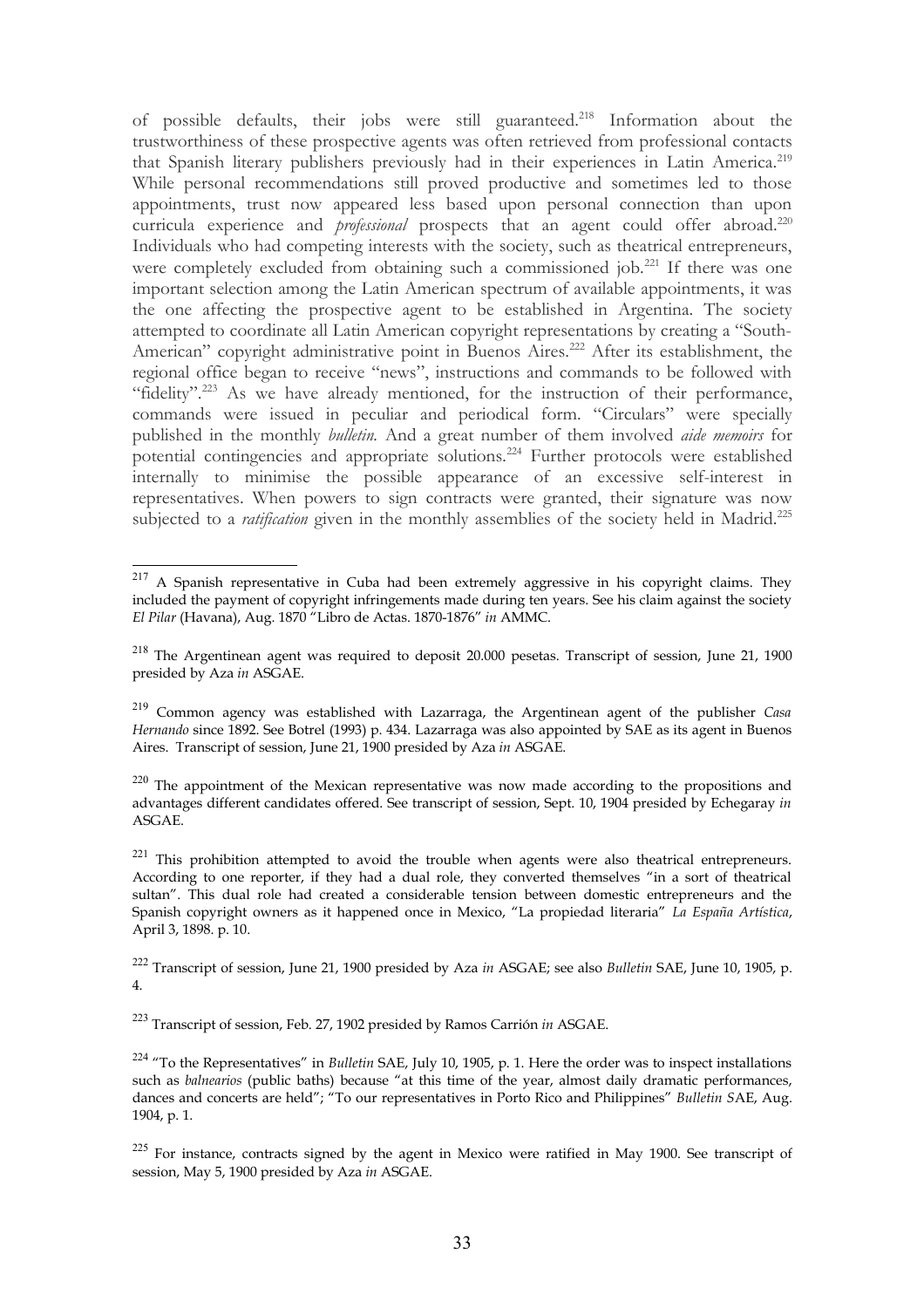of possible defaults, their jobs were still guaranteed.[218](#page-32-1) Information about the trustworthiness of these prospective agents was often retrieved from professional contacts that Spanish literary publishers previously had in their experiences in Latin America.[219](#page-32-2) While personal recommendations still proved productive and sometimes led to those appointments, trust now appeared less based upon personal connection than upon curricula experience and *professional* prospects that an agent could offer abroad.<sup>[220](#page-32-3)</sup> Individuals who had competing interests with the society, such as theatrical entrepreneurs, were completely excluded from obtaining such a commissioned job.<sup>[221](#page-32-4)</sup> If there was one important selection among the Latin American spectrum of available appointments, it was the one affecting the prospective agent to be established in Argentina. The society attempted to coordinate all Latin American copyright representations by creating a "South-American" copyright administrative point in Buenos Aires.<sup>[222](#page-32-5)</sup> After its establishment, the regional office began to receive "news", instructions and commands to be followed with "fidelity".<sup>[223](#page-32-6)</sup> As we have already mentioned, for the instruction of their performance, commands were issued in peculiar and periodical form. "Circulars" were specially published in the monthly *bulletin.* And a great number of them involved *aide memoirs* for potential contingencies and appropriate solutions*.* [224](#page-32-7) Further protocols were established internally to minimise the possible appearance of an excessive self-interest in representatives. When powers to sign contracts were granted, their signature was now subjected to a *ratification* given in the monthly assemblies of the society held in Madrid.<sup>[225](#page-32-8)</sup>

<span id="page-32-5"></span><sup>222</sup> Transcript of session, June 21, 1900 presided by Aza *in* ASGAE; see also *Bulletin* SAE, June 10, 1905, p. 4.

<span id="page-32-6"></span><sup>223</sup> Transcript of session, Feb. 27, 1902 presided by Ramos Carrión *in* ASGAE.

<span id="page-32-0"></span><sup>&</sup>lt;sup>217</sup> A Spanish representative in Cuba had been extremely aggressive in his copyright claims. They included the payment of copyright infringements made during ten years. See his claim against the society *El Pilar* (Havana), Aug. 1870 "Libro de Actas. 1870-1876" *in* AMMC.

<span id="page-32-1"></span><sup>218</sup> The Argentinean agent was required to deposit 20.000 pesetas. Transcript of session, June 21, 1900 presided by Aza *in* ASGAE.

<span id="page-32-2"></span><sup>219</sup> Common agency was established with Lazarraga, the Argentinean agent of the publisher *Casa Hernando* since 1892. See Botrel (1993) p. 434. Lazarraga was also appointed by SAE as its agent in Buenos Aires. Transcript of session, June 21, 1900 presided by Aza *in* ASGAE.

<span id="page-32-3"></span> $220$  The appointment of the Mexican representative was now made according to the propositions and advantages different candidates offered. See transcript of session, Sept. 10, 1904 presided by Echegaray *in* ASGAE.

<span id="page-32-4"></span> $221$  This prohibition attempted to avoid the trouble when agents were also theatrical entrepreneurs. According to one reporter, if they had a dual role, they converted themselves "in a sort of theatrical sultan". This dual role had created a considerable tension between domestic entrepreneurs and the Spanish copyright owners as it happened once in Mexico, "La propiedad literaria" *La España Artística*, April 3, 1898. p. 10.

<span id="page-32-7"></span><sup>224</sup> "To the Representatives" in *Bulletin* SAE, July 10, 1905, p. 1. Here the order was to inspect installations such as *balnearios* (public baths) because "at this time of the year, almost daily dramatic performances, dances and concerts are held"; "To our representatives in Porto Rico and Philippines" *Bulletin S*AE, Aug. 1904, p. 1.

<span id="page-32-8"></span> $225$  For instance, contracts signed by the agent in Mexico were ratified in May 1900. See transcript of session, May 5, 1900 presided by Aza *in* ASGAE.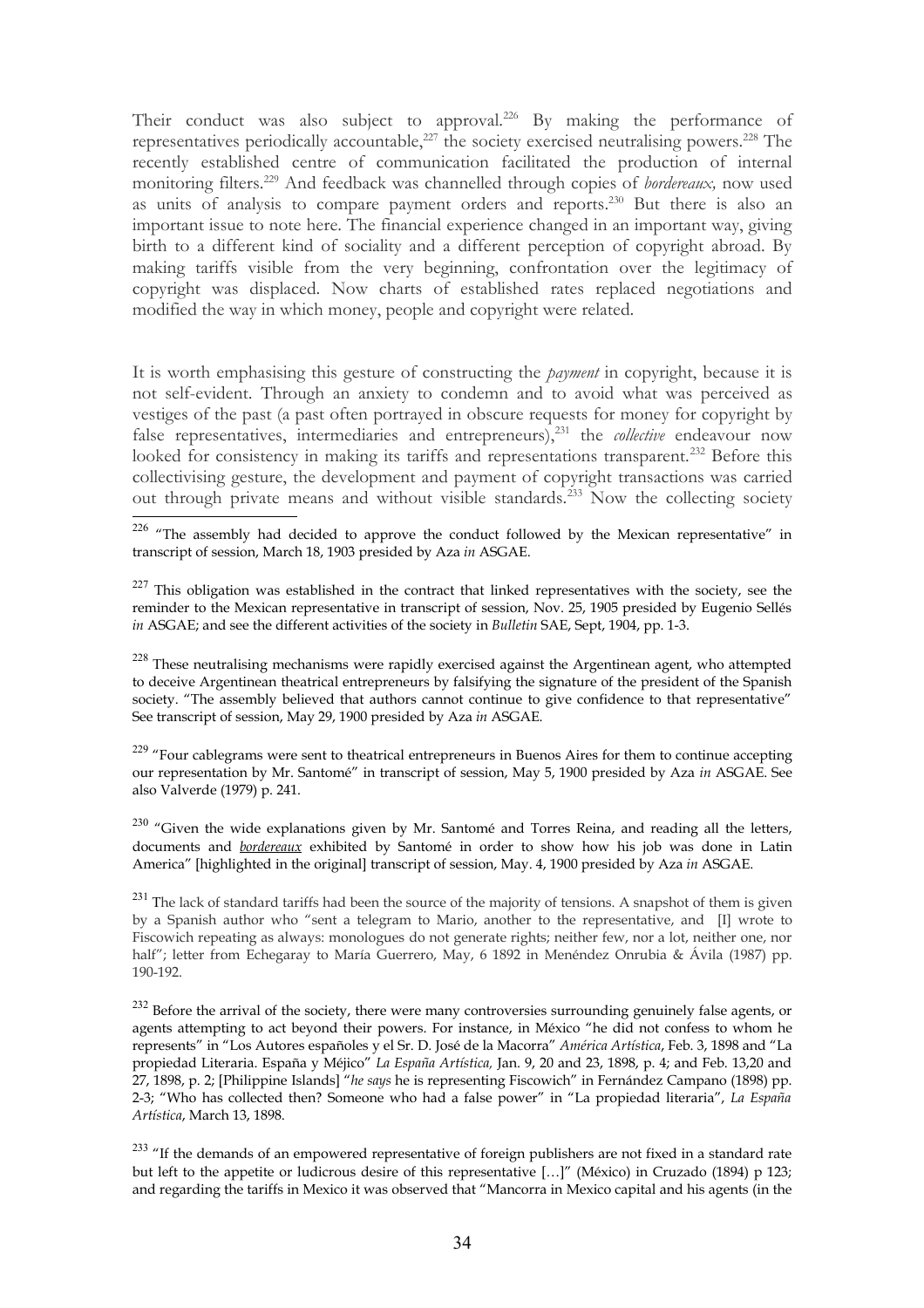Their conduct was also subject to approval.<sup>[226](#page-33-0)</sup> By making the performance of representatives periodically accountable, $^{227}$  $^{227}$  $^{227}$  the society exercised neutralising powers.<sup>[228](#page-33-2)</sup> The recently established centre of communication facilitated the production of internal monitoring filters.[229](#page-33-3) And feedback was channelled through copies of *bordereaux,* now used as units of analysis to compare payment orders and reports.[230](#page-33-4) But there is also an important issue to note here. The financial experience changed in an important way, giving birth to a different kind of sociality and a different perception of copyright abroad. By making tariffs visible from the very beginning, confrontation over the legitimacy of copyright was displaced. Now charts of established rates replaced negotiations and modified the way in which money, people and copyright were related.

It is worth emphasising this gesture of constructing the *payment* in copyright, because it is not self-evident. Through an anxiety to condemn and to avoid what was perceived as vestiges of the past (a past often portrayed in obscure requests for money for copyright by false representatives, intermediaries and entrepreneurs),<sup>[231](#page-33-5)</sup> the *collective* endeavour now looked for consistency in making its tariffs and representations transparent.<sup>[232](#page-33-6)</sup> Before this collectivising gesture, the development and payment of copyright transactions was carried out through private means and without visible standards.<sup>[233](#page-33-7)</sup> Now the collecting society

<span id="page-33-0"></span><sup>226</sup> "The assembly had decided to approve the conduct followed by the Mexican representative" in transcript of session, March 18, 1903 presided by Aza *in* ASGAE.

<span id="page-33-1"></span> $227$  This obligation was established in the contract that linked representatives with the society, see the reminder to the Mexican representative in transcript of session, Nov. 25, 1905 presided by Eugenio Sellés *in* ASGAE; and see the different activities of the society in *Bulletin* SAE, Sept, 1904, pp. 1-3.

<span id="page-33-2"></span> $228$  These neutralising mechanisms were rapidly exercised against the Argentinean agent, who attempted to deceive Argentinean theatrical entrepreneurs by falsifying the signature of the president of the Spanish society. "The assembly believed that authors cannot continue to give confidence to that representative" See transcript of session, May 29, 1900 presided by Aza *in* ASGAE.

<span id="page-33-3"></span><sup>229</sup> "Four cablegrams were sent to theatrical entrepreneurs in Buenos Aires for them to continue accepting our representation by Mr. Santomé" in transcript of session, May 5, 1900 presided by Aza *in* ASGAE. See also Valverde (1979) p. 241.

<span id="page-33-4"></span> $^{230}$  "Given the wide explanations given by Mr. Santomé and Torres Reina, and reading all the letters, documents and *bordereaux* exhibited by Santomé in order to show how his job was done in Latin America" [highlighted in the original] transcript of session, May. 4, 1900 presided by Aza *in* ASGAE.

<span id="page-33-5"></span><sup>231</sup> The lack of standard tariffs had been the source of the majority of tensions. A snapshot of them is given by a Spanish author who "sent a telegram to Mario, another to the representative, and [I] wrote to Fiscowich repeating as always: monologues do not generate rights; neither few, nor a lot, neither one, nor half"; letter from Echegaray to María Guerrero, May, 6 1892 in Menéndez Onrubia & Ávila (1987) pp. 190-192.

<span id="page-33-6"></span> $232$  Before the arrival of the society, there were many controversies surrounding genuinely false agents, or agents attempting to act beyond their powers. For instance, in México "he did not confess to whom he represents" in "Los Autores españoles y el Sr. D. José de la Macorra" *América Artística*, Feb. 3, 1898 and "La propiedad Literaria. España y Méjico" *La España Artística,* Jan. 9, 20 and 23, 1898, p. 4; and Feb. 13,20 and 27, 1898, p. 2; [Philippine Islands] "*he says* he is representing Fiscowich" in Fernández Campano (1898) pp. 2-3; "Who has collected then? Someone who had a false power" in "La propiedad literaria", *La España Artística*, March 13, 1898.

<span id="page-33-7"></span><sup>233</sup> "If the demands of an empowered representative of foreign publishers are not fixed in a standard rate but left to the appetite or ludicrous desire of this representative […]" (México) in Cruzado (1894) p 123; and regarding the tariffs in Mexico it was observed that "Mancorra in Mexico capital and his agents (in the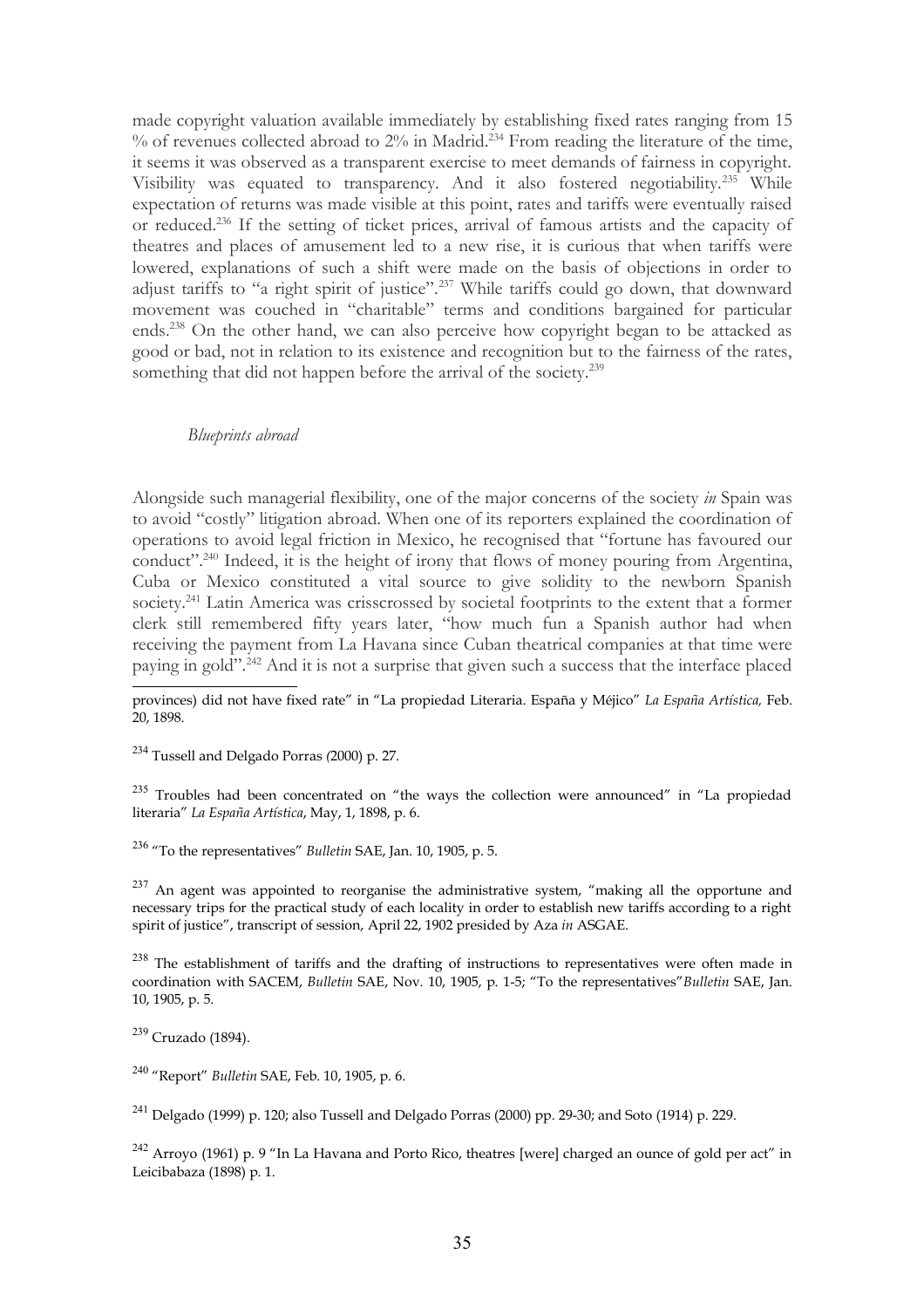made copyright valuation available immediately by establishing fixed rates ranging from 15 % of revenues collected abroad to 2% in Madrid.<sup>[234](#page-34-0)</sup> From reading the literature of the time, it seems it was observed as a transparent exercise to meet demands of fairness in copyright. Visibility was equated to transparency. And it also fostered negotiability.[235](#page-34-1) While expectation of returns was made visible at this point, rates and tariffs were eventually raised or reduced.[236](#page-34-2) If the setting of ticket prices, arrival of famous artists and the capacity of theatres and places of amusement led to a new rise, it is curious that when tariffs were lowered, explanations of such a shift were made on the basis of objections in order to adjust tariffs to "a right spirit of justice".<sup>[237](#page-34-3)</sup> While tariffs could go down, that downward movement was couched in "charitable" terms and conditions bargained for particular ends.<sup>[238](#page-34-4)</sup> On the other hand, we can also perceive how copyright began to be attacked as good or bad, not in relation to its existence and recognition but to the fairness of the rates, something that did not happen before the arrival of the society.<sup>[239](#page-34-5)</sup>

## *Blueprints abroad*

Alongside such managerial flexibility, one of the major concerns of the society *in* Spain was to avoid "costly" litigation abroad. When one of its reporters explained the coordination of operations to avoid legal friction in Mexico, he recognised that "fortune has favoured our conduct"<sup>2,40</sup> Indeed, it is the height of irony that flows of money pouring from Argentina, Cuba or Mexico constituted a vital source to give solidity to the newborn Spanish society.<sup>[241](#page-34-7)</sup> Latin America was crisscrossed by societal footprints to the extent that a former clerk still remembered fifty years later, "how much fun a Spanish author had when receiving the payment from La Havana since Cuban theatrical companies at that time were paying in gold".<sup>[242](#page-34-8)</sup> And it is not a surprise that given such a success that the interface placed

provinces) did not have fixed rate" in "La propiedad Literaria. España y Méjico" *La España Artística,* Feb. 20, 1898.

<span id="page-34-0"></span><sup>234</sup> Tussell and Delgado Porras *(*2000) p. 27.

<span id="page-34-1"></span> $235$  Troubles had been concentrated on "the ways the collection were announced" in "La propiedad literaria" *La España Artística*, May, 1, 1898, p. 6.

<span id="page-34-2"></span><sup>236</sup> "To the representatives" *Bulletin* SAE, Jan. 10, 1905, p. 5.

<span id="page-34-3"></span> $237$  An agent was appointed to reorganise the administrative system, "making all the opportune and necessary trips for the practical study of each locality in order to establish new tariffs according to a right spirit of justice", transcript of session, April 22, 1902 presided by Aza *in* ASGAE.

<span id="page-34-4"></span> $238$  The establishment of tariffs and the drafting of instructions to representatives were often made in coordination with SACEM, *Bulletin* SAE, Nov. 10, 1905, p. 1-5; "To the representatives"*Bulletin* SAE, Jan. 10, 1905, p. 5.

<span id="page-34-5"></span><sup>239</sup> Cruzado (1894).

<span id="page-34-6"></span><sup>240</sup> "Report" *Bulletin* SAE, Feb. 10, 1905, p. 6.

<span id="page-34-7"></span><sup>241</sup> Delgado (1999) p. 120; also Tussell and Delgado Porras (2000) pp. 29-30; and Soto (1914) p. 229.

<span id="page-34-8"></span> $242$  Arroyo (1961) p. 9 "In La Havana and Porto Rico, theatres [were] charged an ounce of gold per act" in Leicibabaza (1898) p. 1.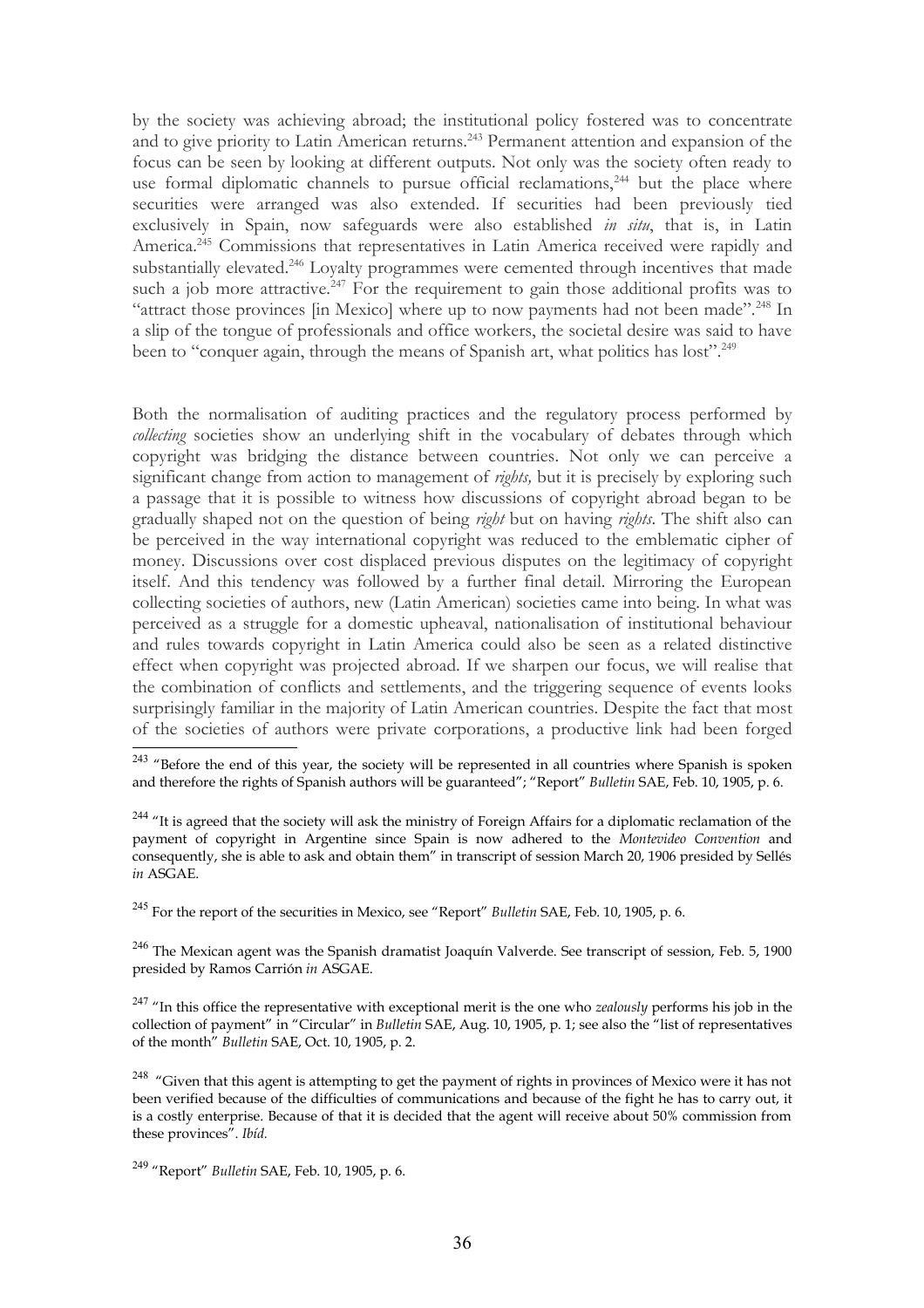by the society was achieving abroad; the institutional policy fostered was to concentrate and to give priority to Latin American returns.<sup>[243](#page-35-0)</sup> Permanent attention and expansion of the focus can be seen by looking at different outputs. Not only was the society often ready to use formal diplomatic channels to pursue official reclamations, $244$  but the place where securities were arranged was also extended. If securities had been previously tied exclusively in Spain, now safeguards were also established *in situ*, that is, in Latin America.<sup>[245](#page-35-2)</sup> Commissions that representatives in Latin America received were rapidly and substantially elevated.<sup>[246](#page-35-3)</sup> Loyalty programmes were cemented through incentives that made such a job more attractive.<sup>[247](#page-35-4)</sup> For the requirement to gain those additional profits was to "attract those provinces [in Mexico] where up to now payments had not been made".[248](#page-35-5) In a slip of the tongue of professionals and office workers, the societal desire was said to have been to "conquer again, through the means of Spanish art, what politics has lost".<sup>[249](#page-35-6)</sup>

Both the normalisation of auditing practices and the regulatory process performed by *collecting* societies show an underlying shift in the vocabulary of debates through which copyright was bridging the distance between countries. Not only we can perceive a significant change from action to management of *rights,* but it is precisely by exploring such a passage that it is possible to witness how discussions of copyright abroad began to be gradually shaped not on the question of being *right* but on having *rights*. The shift also can be perceived in the way international copyright was reduced to the emblematic cipher of money. Discussions over cost displaced previous disputes on the legitimacy of copyright itself. And this tendency was followed by a further final detail. Mirroring the European collecting societies of authors, new (Latin American) societies came into being. In what was perceived as a struggle for a domestic upheaval, nationalisation of institutional behaviour and rules towards copyright in Latin America could also be seen as a related distinctive effect when copyright was projected abroad. If we sharpen our focus, we will realise that the combination of conflicts and settlements, and the triggering sequence of events looks surprisingly familiar in the majority of Latin American countries. Despite the fact that most of the societies of authors were private corporations, a productive link had been forged

<span id="page-35-2"></span><sup>245</sup> For the report of the securities in Mexico, see "Report" *Bulletin* SAE, Feb. 10, 1905, p. 6.

<span id="page-35-3"></span><sup>246</sup> The Mexican agent was the Spanish dramatist Joaquín Valverde. See transcript of session, Feb. 5, 1900 presided by Ramos Carrión *in* ASGAE.

<span id="page-35-4"></span><sup>247</sup> "In this office the representative with exceptional merit is the one who *zealously* performs his job in the collection of payment" in "Circular" in *Bulletin* SAE, Aug. 10, 1905, p. 1; see also the "list of representatives of the month" *Bulletin* SAE, Oct. 10, 1905, p. 2.

<span id="page-35-5"></span><sup>248</sup> "Given that this agent is attempting to get the payment of rights in provinces of Mexico were it has not been verified because of the difficulties of communications and because of the fight he has to carry out, it is a costly enterprise. Because of that it is decided that the agent will receive about 50% commission from these provinces". *Ibíd.*

<span id="page-35-0"></span><sup>&</sup>lt;sup>243</sup> "Before the end of this year, the society will be represented in all countries where Spanish is spoken and therefore the rights of Spanish authors will be guaranteed"; "Report" *Bulletin* SAE, Feb. 10, 1905, p. 6.

<span id="page-35-1"></span><sup>&</sup>lt;sup>244</sup> "It is agreed that the society will ask the ministry of Foreign Affairs for a diplomatic reclamation of the payment of copyright in Argentine since Spain is now adhered to the *Montevideo Convention* and consequently, she is able to ask and obtain them" in transcript of session March 20, 1906 presided by Sellés *in* ASGAE.

<span id="page-35-6"></span><sup>249</sup> "Report" *Bulletin* SAE, Feb. 10, 1905, p. 6.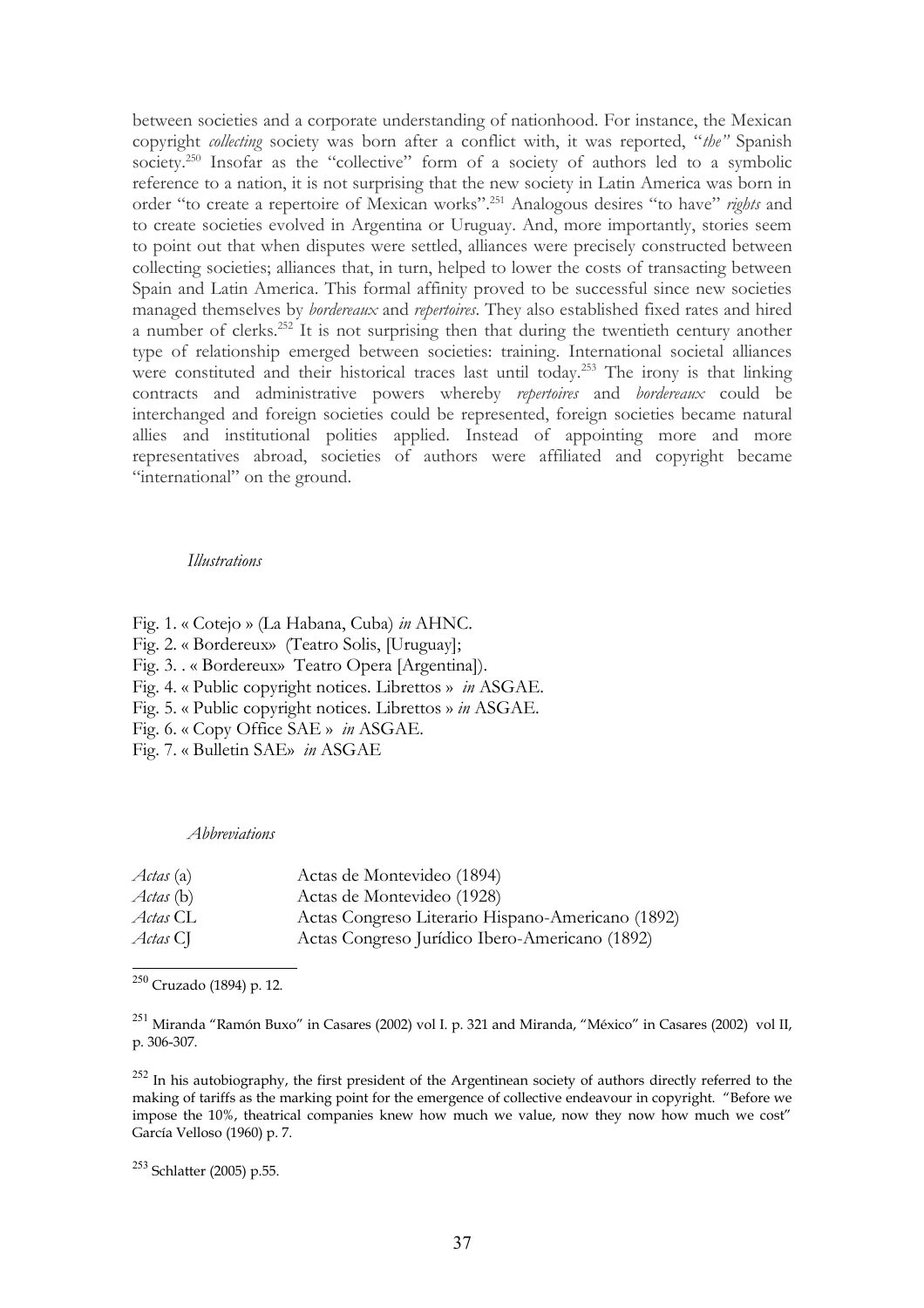between societies and a corporate understanding of nationhood. For instance, the Mexican copyright *collecting* society was born after a conflict with, it was reported, "*the"* Spanish society.<sup>[250](#page-36-0)</sup> Insofar as the "collective" form of a society of authors led to a symbolic reference to a nation, it is not surprising that the new society in Latin America was born in order "to create a repertoire of Mexican works".[251](#page-36-1) Analogous desires "to have" *rights* and to create societies evolved in Argentina or Uruguay. And, more importantly, stories seem to point out that when disputes were settled, alliances were precisely constructed between collecting societies; alliances that, in turn, helped to lower the costs of transacting between Spain and Latin America. This formal affinity proved to be successful since new societies managed themselves by *bordereaux* and *repertoires*. They also established fixed rates and hired a number of clerks.[252](#page-36-2) It is not surprising then that during the twentieth century another type of relationship emerged between societies: training. International societal alliances were constituted and their historical traces last until today.<sup>[253](#page-36-3)</sup> The irony is that linking contracts and administrative powers whereby *repertoires* and *bordereaux* could be interchanged and foreign societies could be represented, foreign societies became natural allies and institutional polities applied. Instead of appointing more and more representatives abroad, societies of authors were affiliated and copyright became "international" on the ground.

#### *Illustrations*

Fig. 1. « Cotejo » (La Habana, Cuba) *in* AHNC. Fig. 2. « Bordereux» (Teatro Solis, [Uruguay]; Fig. 3. . « Bordereux» Teatro Opera [Argentina]). Fig. 4. « Public copyright notices. Librettos » *in* ASGAE. Fig. 5. « Public copyright notices. Librettos » *in* ASGAE. Fig. 6. « Copy Office SAE » *in* ASGAE. Fig. 7. « Bulletin SAE» *in* ASGAE

*Abbreviations*

| <i>Actas</i> (a) | Actas de Montevideo (1894)                        |
|------------------|---------------------------------------------------|
| <i>Actas</i> (b) | Actas de Montevideo (1928)                        |
| Actas CL         | Actas Congreso Literario Hispano-Americano (1892) |
| Actas CJ         | Actas Congreso Jurídico Ibero-Americano (1892)    |

<span id="page-36-0"></span><sup>250</sup> Cruzado (1894) p. 12.

<span id="page-36-1"></span><sup>251</sup> Miranda "Ramón Buxo" in Casares (2002) vol I. p. 321 and Miranda, "México" in Casares (2002) vol II, p. 306-307.

<span id="page-36-2"></span> $^{252}$  In his autobiography, the first president of the Argentinean society of authors directly referred to the making of tariffs as the marking point for the emergence of collective endeavour in copyright. "Before we impose the 10%, theatrical companies knew how much we value, now they now how much we cost" García Velloso (1960) p. 7.

<span id="page-36-3"></span><sup>253</sup> Schlatter (2005) p.55.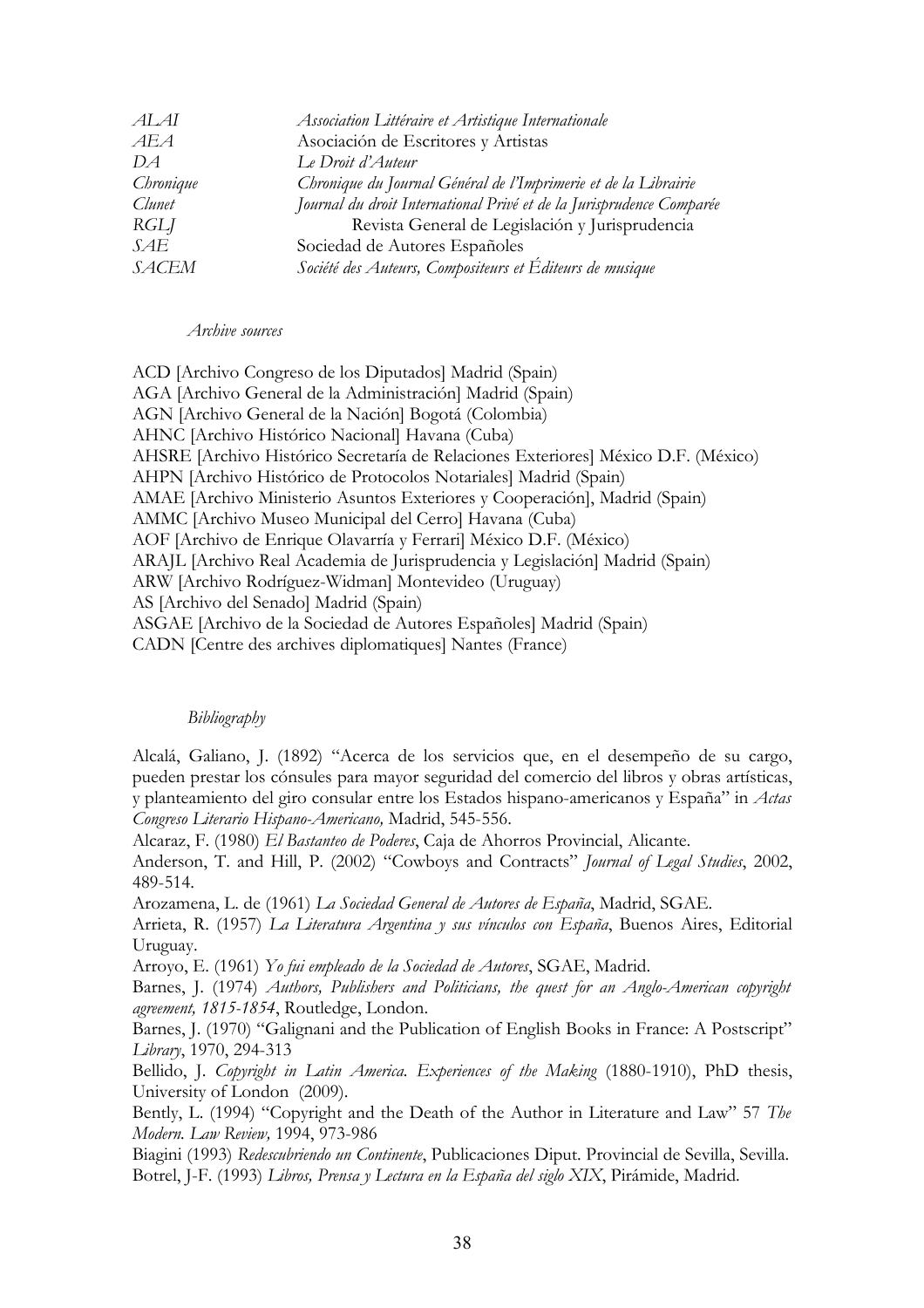| ALAI         | Association Littéraire et Artistique Internationale                  |
|--------------|----------------------------------------------------------------------|
| AEA          | Asociación de Escritores y Artistas                                  |
| DA           | Le Droit d'Auteur                                                    |
| Chronique    | Chronique du Journal Général de l'Imprimerie et de la Librairie      |
| Clunet       | Journal du droit International Privé et de la Jurisprudence Comparée |
| RGLJ         | Revista General de Legislación y Jurisprudencia                      |
| SAE          | Sociedad de Autores Españoles                                        |
| <b>SACEM</b> | Société des Auteurs, Compositeurs et Éditeurs de musique             |

#### *Archive sources*

ACD [Archivo Congreso de los Diputados] Madrid (Spain) AGA [Archivo General de la Administración] Madrid (Spain) AGN [Archivo General de la Nación] Bogotá (Colombia) AHNC [Archivo Histórico Nacional] Havana (Cuba) AHSRE [Archivo Histórico Secretaría de Relaciones Exteriores] México D.F. (México) AHPN [Archivo Histórico de Protocolos Notariales] Madrid (Spain) AMAE [Archivo Ministerio Asuntos Exteriores y Cooperación], Madrid (Spain) AMMC [Archivo Museo Municipal del Cerro] Havana (Cuba) AOF [Archivo de Enrique Olavarría y Ferrari] México D.F. (México) ARAJL [Archivo Real Academia de Jurisprudencia y Legislación] Madrid (Spain) ARW [Archivo Rodríguez-Widman] Montevideo (Uruguay) AS [Archivo del Senado] Madrid (Spain) ASGAE [Archivo de la Sociedad de Autores Españoles] Madrid (Spain) CADN [Centre des archives diplomatiques] Nantes (France)

### *Bibliography*

Alcalá, Galiano, J. (1892) "Acerca de los servicios que, en el desempeño de su cargo, pueden prestar los cónsules para mayor seguridad del comercio del libros y obras artísticas, y planteamiento del giro consular entre los Estados hispano-americanos y España" in *Actas Congreso Literario Hispano-Americano,* Madrid, 545-556.

Alcaraz, F. (1980) *El Bastanteo de Poderes*, Caja de Ahorros Provincial, Alicante.

Anderson, T. and Hill, P. (2002) "Cowboys and Contracts" *Journal of Legal Studies*, 2002, 489-514.

Arozamena, L. de (1961) *La Sociedad General de Autores de España*, Madrid, SGAE.

Arrieta, R. (1957) *La Literatura Argentina y sus vínculos con España*, Buenos Aires, Editorial Uruguay.

Arroyo, E. (1961) *Yo fui empleado de la Sociedad de Autores*, SGAE, Madrid.

Barnes, J. (1974) *Authors, Publishers and Politicians, the quest for an Anglo-American copyright agreement, 1815-1854*, Routledge, London.

Barnes, J. (1970) "Galignani and the Publication of English Books in France: A Postscript" *Library*, 1970, 294-313

Bellido, J. *Copyright in Latin America. Experiences of the Making* (1880-1910), PhD thesis, University of London (2009).

Bently, L. (1994) "Copyright and the Death of the Author in Literature and Law" 57 *The Modern. Law Review,* 1994, 973-986

Biagini (1993) *Redescubriendo un Continente*, Publicaciones Diput. Provincial de Sevilla, Sevilla. Botrel, J-F. (1993) *Libros, Prensa y Lectura en la España del siglo XIX*, Pirámide, Madrid.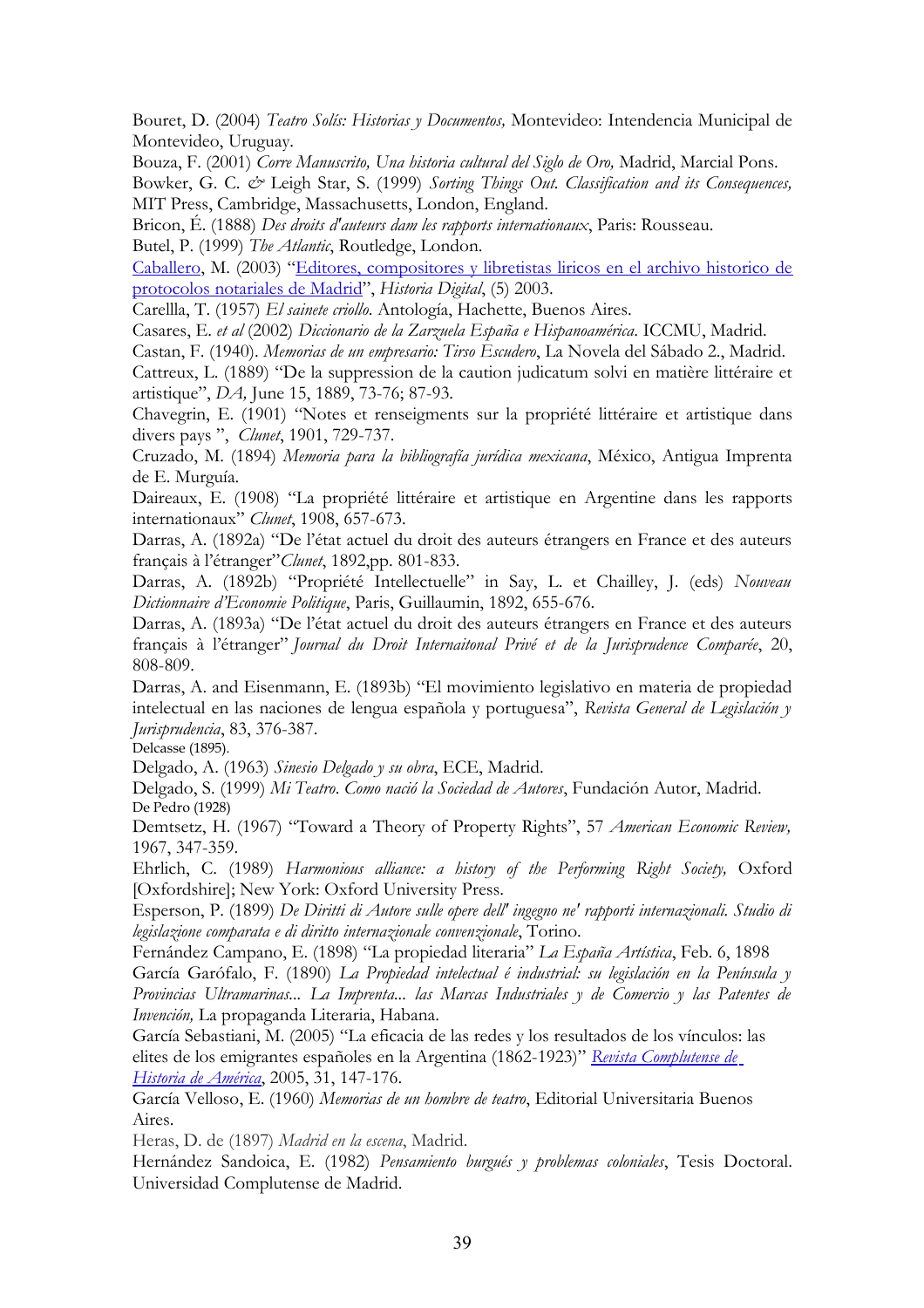Bouret, D. (2004) *Teatro Solís: Historias y Documentos,* Montevideo: Intendencia Municipal de Montevideo, Uruguay.

Bouza, F. (2001) *Corre Manuscrito, Una historia cultural del Siglo de Oro,* Madrid, Marcial Pons.

Bowker, G. C. *&* Leigh Star, S. (1999) *Sorting Things Out. Classification and its Consequences,* MIT Press, Cambridge, Massachusetts, London, England.

Bricon, É. (1888) *Des droits d'auteurs dam les rapports internationaux*, Paris: Rousseau.

Butel, P. (1999) *The Atlantic*, Routledge, London.

[Caballero,](http://dialnet.unirioja.es/servlet/autor?codigo=784231) M. (2003) ["Editores, compositores y libretistas liricos en el archivo historico de](http://dialnet.unirioja.es/servlet/articulo?codigo=931332) [protocolos notariales de Madrid"](http://dialnet.unirioja.es/servlet/articulo?codigo=931332), *Historia Digital*, (5) 2003.

Carellla, T. (1957) *El sainete criollo*. Antología, Hachette, Buenos Aires.

Casares, E. *et al* (2002) *Diccionario de la Zarzuela España e Hispanoamérica*. ICCMU, Madrid.

Castan, F. (1940). *Memorias de un empresario: Tirso Escudero*, La Novela del Sábado 2., Madrid.

Cattreux, L. (1889) "De la suppression de la caution judicatum solvi en matière littéraire et artistique", *DA,* June 15, 1889, 73-76; 87-93.

Chavegrin, E. (1901) "Notes et renseigments sur la propriété littéraire et artistique dans divers pays ", *Clunet*, 1901, 729-737.

Cruzado, M. (1894) *Memoria para la bibliografía jurídica mexicana*, México, Antigua Imprenta de E. Murguía.

Daireaux, E. (1908) "La propriété littéraire et artistique en Argentine dans les rapports internationaux" *Clunet*, 1908, 657-673.

Darras, A. (1892a) "De l'état actuel du droit des auteurs étrangers en France et des auteurs français à l'étranger"*Clunet*, 1892,pp. 801-833.

Darras, A. (1892b) "Propriété Intellectuelle" in Say, L. et Chailley, J. (eds) *Nouveau Dictionnaire d'Economie Politique*, Paris, Guillaumin, 1892, 655-676.

Darras, A. (1893a) "De l'état actuel du droit des auteurs étrangers en France et des auteurs français à l'étranger" *Journal du Droit Internaitonal Privé et de la Jurisprudence Comparée*, 20, 808-809.

Darras, A. and Eisenmann, E. (1893b) "El movimiento legislativo en materia de propiedad intelectual en las naciones de lengua española y portuguesa", *Revista General de Legislación y Jurisprudencia*, 83, 376-387.

Delcasse (1895).

Delgado, A. (1963) *Sinesio Delgado y su obra*, ECE, Madrid.

Delgado, S. (1999) *Mi Teatro*. *Como nació la Sociedad de Autores*, Fundación Autor, Madrid. De Pedro (1928)

Demtsetz, H. (1967) "Toward a Theory of Property Rights", 57 *American Economic Review,* 1967, 347-359.

Ehrlich, C. (1989) *Harmonious alliance: a history of the Performing Right Society,* Oxford [Oxfordshire]; New York: Oxford University Press.

Esperson, P. (1899) *De Diritti di Autore sulle opere dell' ingegno ne' rapporti internazionali. Studio di legislazione comparata e di diritto internazionale convenzionale*, Torino.

Fernández Campano, E. (1898) "La propiedad literaria" *La España Artística*, Feb. 6, 1898 García Garófalo, F. (1890) *La Propiedad intelectual é industrial: su legislación en la Península y*

*Provincias Ultramarinas... La Imprenta... las Marcas Industriales y de Comercio y las Patentes de Invención,* La propaganda Literaria, Habana.

García Sebastiani, M. (2005) "La eficacia de las redes y los resultados de los vínculos: las elites de los emigrantes españoles en la Argentina (1862-1923)" *[Revista Complutense de](javascript:void(0);) [Historia de América](javascript:void(0);)*, 2005, 31, 147-176.

García Velloso, E. (1960) *Memorias de un hombre de teatro*, Editorial Universitaria Buenos Aires.

Heras, D. de (1897) *Madrid en la escena*, Madrid.

Hernández Sandoica, E. (1982) *Pensamiento burgués y problemas coloniales*, Tesis Doctoral. Universidad Complutense de Madrid.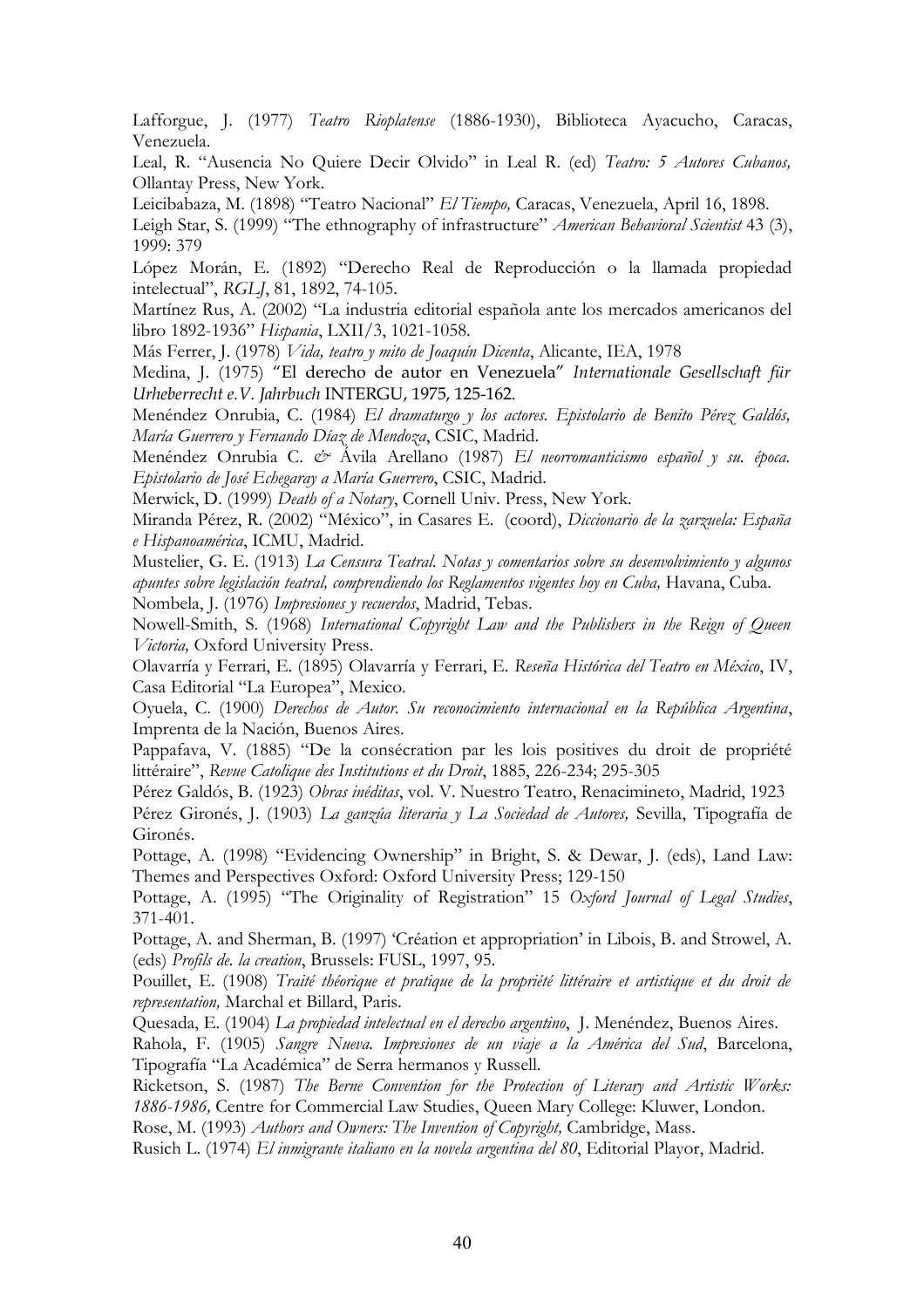Lafforgue, J. (1977) *Teatro Rioplatense* (1886-1930), Biblioteca Ayacucho, Caracas, Venezuela.

Leal, R. "Ausencia No Quiere Decir Olvido" in Leal R. (ed) *Teatro: 5 Autores Cubanos,* Ollantay Press, New York.

Leicibabaza, M. (1898) "Teatro Nacional" *El Tiempo,* Caracas, Venezuela, April 16, 1898.

Leigh Star, S. (1999) "The ethnography of infrastructure" *American Behavioral Scientist* 43 (3), 1999: 379

López Morán, E. (1892) "Derecho Real de Reproducción o la llamada propiedad intelectual", *RGLJ*, 81, 1892, 74-105.

Martínez Rus, A. (2002) "La industria editorial española ante los mercados americanos del libro 1892-1936" *Hispania*, LXII/3, 1021-1058.

Más Ferrer, J. (1978) *Vida, teatro y mito de Joaquín Dicenta*, Alicante, IEA, 1978

Medina, J. (1975) "El derecho de autor en Venezuela" *Internationale Gesellschaft für Urheberrecht e.V. Jahrbuch* INTERGU, 1975, 125-162.

Menéndez Onrubia, C. (1984) *El dramaturgo y los actores. Epistolario de Benito Pérez Galdós, María Guerrero y Fernando Díaz de Mendoza*, CSIC, Madrid.

Menéndez Onrubia C. *&* Ávila Arellano (1987) *El neorromanticismo español y su. época. Epistolario de José Echegaray a María Guerrero*, CSIC, Madrid.

Merwick, D. (1999) *Death of a Notary*, Cornell Univ. Press, New York.

Miranda Pérez, R. (2002) "México", in Casares E. (coord), *Diccionario de la zarzuela: España e Hispanoamérica*, ICMU, Madrid.

Mustelier, G. E. (1913) *La Censura Teatral. Notas y comentarios sobre su desenvolvimiento y algunos apuntes sobre legislación teatral, comprendiendo los Reglamentos vigentes hoy en Cuba,* Havana, Cuba. Nombela, J. (1976) *Impresiones y recuerdos*, Madrid, Tebas.

Nowell-Smith, S. (1968) *International Copyright Law and the Publishers in the Reign of Queen Victoria,* Oxford University Press.

Olavarría y Ferrari, E. (1895) Olavarría y Ferrari, E. *Reseña Histórica del Teatro en México*, IV, Casa Editorial "La Europea", Mexico.

Oyuela, C. (1900) *Derechos de Autor. Su reconocimiento internacional en la República Argentina*, Imprenta de la Nación, Buenos Aires.

Pappafava, V. (1885) "De la consécration par les lois positives du droit de propriété littéraire", *Revue Catolique des Institutions et du Droit*, 1885, 226-234; 295-305

Pérez Galdós, B. (1923) *Obras inéditas*, vol. V. Nuestro Teatro, Renacimineto, Madrid, 1923

Pérez Gironés, J. (1903) *La ganzúa literaria y La Sociedad de Autores,* Sevilla, Tipografía de Gironés.

Pottage, A. (1998) "Evidencing Ownership" in Bright, S. & Dewar, J. (eds), Land Law: Themes and Perspectives Oxford: Oxford University Press; 129-150

Pottage, A. (1995) "The Originality of Registration" 15 *Oxford Journal of Legal Studies*, 371-401.

Pottage, A. and Sherman, B. (1997) 'Création et appropriation' in Libois, B. and Strowel, A. (eds) *Profils de. la creation*, Brussels: FUSL, 1997, 95.

Pouillet, E. (1908) *Traité théorique et pratique de la propriété littéraire et artistique et du droit de representation,* Marchal et Billard, Paris.

Quesada, E. (1904) *La propiedad intelectual en el derecho argentino*, J. Menéndez, Buenos Aires.

Rahola, F. (1905) *Sangre Nueva. Impresiones de un viaje a la América del Sud*, Barcelona, Tipografía "La Académica" de Serra hermanos y Russell.

Ricketson, S. (1987) *The Berne Convention for the Protection of Literary and Artistic Works: 1886-1986,* Centre for Commercial Law Studies, Queen Mary College: Kluwer, London.

Rose, M. (1993) *Authors and Owners: The Invention of Copyright,* Cambridge, Mass.

Rusich L. (1974) *El inmigrante italiano en la novela argentina del 80*, Editorial Playor, Madrid.